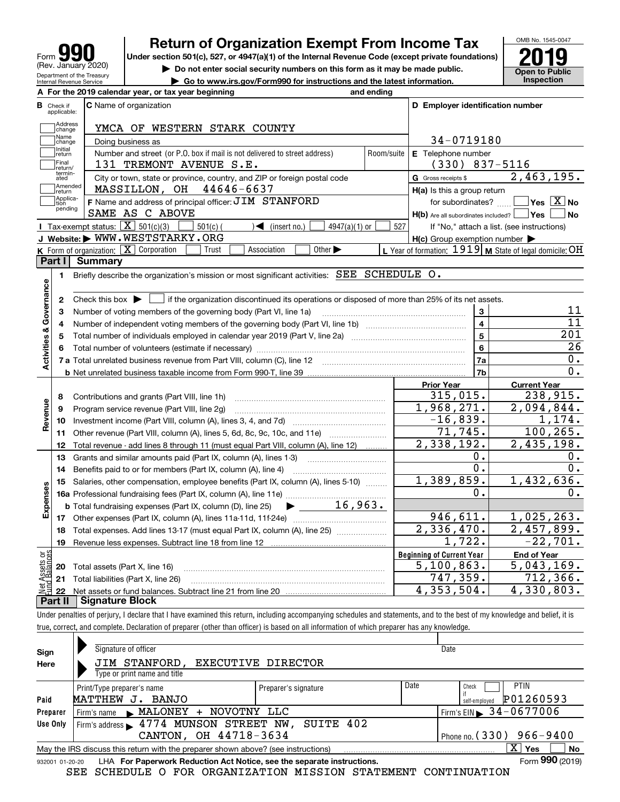| Form                                                   |
|--------------------------------------------------------|
| (Rev. January 2020)                                    |
| Department of the Treasury<br>Internal Revenue Service |

# **Return of Organization Exempt From Income Tax**

Under section 501(c), 527, or 4947(a)(1) of the Internal Revenue Code (except private foundations) **2019** 

**| Do not enter social security numbers on this form as it may be made public.**

**| Go to www.irs.gov/Form990 for instructions and the latest information. Inspection**



| В                                                     |                         | A For the 2019 calendar year, or tax year beginning                                                                                                 | and ending              |                                                     |                                                                                                                                                     |
|-------------------------------------------------------|-------------------------|-----------------------------------------------------------------------------------------------------------------------------------------------------|-------------------------|-----------------------------------------------------|-----------------------------------------------------------------------------------------------------------------------------------------------------|
|                                                       | Check if<br>applicable: | <b>C</b> Name of organization                                                                                                                       |                         | D Employer identification number                    |                                                                                                                                                     |
|                                                       | Address<br>change       | YMCA OF WESTERN STARK COUNTY                                                                                                                        |                         |                                                     |                                                                                                                                                     |
|                                                       | Name<br>change          | Doing business as                                                                                                                                   |                         | 34-0719180                                          |                                                                                                                                                     |
|                                                       | Initial<br>return       | Number and street (or P.O. box if mail is not delivered to street address)                                                                          | Room/suite              | E Telephone number                                  |                                                                                                                                                     |
|                                                       | Final<br>return/        | 131 TREMONT AVENUE S.E.                                                                                                                             |                         | $(330)$ 837-5116                                    |                                                                                                                                                     |
|                                                       | termin-<br>ated         | City or town, state or province, country, and ZIP or foreign postal code                                                                            |                         | G Gross receipts \$                                 | 2,463,195.                                                                                                                                          |
|                                                       | Amended<br>Ireturn      | MASSILLON, OH 44646-6637                                                                                                                            |                         | $H(a)$ is this a group return                       |                                                                                                                                                     |
|                                                       | Applica-<br>tion        | F Name and address of principal officer: JIM STANFORD                                                                                               |                         | for subordinates?                                   | $\sqrt{}$ Yes $\sqrt{}$ X $\sqrt{}$ No                                                                                                              |
|                                                       | pending                 | SAME AS C ABOVE                                                                                                                                     |                         | $H(b)$ Are all subordinates included?               | <b>No</b><br> Yes                                                                                                                                   |
|                                                       |                         | <b>I</b> Tax-exempt status: $\overline{X}$ 501(c)(3)<br>$\sqrt{\phantom{a}}$ (insert no.)<br>$501(c)$ (<br>$4947(a)(1)$ or                          | 527                     |                                                     | If "No," attach a list. (see instructions)                                                                                                          |
|                                                       |                         | J Website: WWW.WESTSTARKY.ORG                                                                                                                       |                         | $H(c)$ Group exemption number $\blacktriangleright$ |                                                                                                                                                     |
|                                                       |                         | K Form of organization: $X$ Corporation<br>Association<br>Other $\blacktriangleright$<br>Trust                                                      |                         |                                                     | L Year of formation: $1919$ M State of legal domicile: OH                                                                                           |
| Part I                                                |                         | <b>Summary</b>                                                                                                                                      |                         |                                                     |                                                                                                                                                     |
|                                                       | 1                       | Briefly describe the organization's mission or most significant activities: SEE SCHEDULE O.                                                         |                         |                                                     |                                                                                                                                                     |
|                                                       |                         |                                                                                                                                                     |                         |                                                     |                                                                                                                                                     |
|                                                       | 2                       | Check this box $\blacktriangleright$ $\blacksquare$ if the organization discontinued its operations or disposed of more than 25% of its net assets. |                         |                                                     |                                                                                                                                                     |
| Activities & Governance                               | 3                       | Number of voting members of the governing body (Part VI, line 1a)                                                                                   |                         | 3                                                   | 11                                                                                                                                                  |
|                                                       | 4                       |                                                                                                                                                     |                         | $\overline{4}$                                      | $\overline{11}$                                                                                                                                     |
|                                                       | 5                       |                                                                                                                                                     | $\overline{\mathbf{5}}$ | 201                                                 |                                                                                                                                                     |
|                                                       | 6                       |                                                                                                                                                     |                         | $6\phantom{a}$                                      | 26                                                                                                                                                  |
|                                                       |                         |                                                                                                                                                     |                         | 7a                                                  | $\overline{0}$ .                                                                                                                                    |
|                                                       |                         |                                                                                                                                                     |                         | 7b                                                  | 0.                                                                                                                                                  |
|                                                       |                         |                                                                                                                                                     |                         |                                                     |                                                                                                                                                     |
|                                                       |                         |                                                                                                                                                     |                         | <b>Prior Year</b>                                   | <b>Current Year</b>                                                                                                                                 |
|                                                       | 8                       | Contributions and grants (Part VIII, line 1h)                                                                                                       |                         | 315,015.                                            |                                                                                                                                                     |
|                                                       | 9                       | Program service revenue (Part VIII, line 2g)                                                                                                        |                         | 1,968,271.                                          |                                                                                                                                                     |
|                                                       | 10                      |                                                                                                                                                     |                         | $-16,839.$                                          |                                                                                                                                                     |
|                                                       | 11                      | Other revenue (Part VIII, column (A), lines 5, 6d, 8c, 9c, 10c, and 11e)                                                                            |                         | 71, 745.                                            |                                                                                                                                                     |
|                                                       | 12                      | Total revenue - add lines 8 through 11 (must equal Part VIII, column (A), line 12)                                                                  |                         | 2,338,192.                                          |                                                                                                                                                     |
|                                                       | 13                      | Grants and similar amounts paid (Part IX, column (A), lines 1-3)                                                                                    |                         | 0.                                                  |                                                                                                                                                     |
|                                                       | 14                      |                                                                                                                                                     |                         | $\overline{0}$ .                                    |                                                                                                                                                     |
|                                                       | 15                      | Salaries, other compensation, employee benefits (Part IX, column (A), lines 5-10)                                                                   |                         | 1,389,859.                                          |                                                                                                                                                     |
|                                                       |                         |                                                                                                                                                     |                         | ο.                                                  |                                                                                                                                                     |
|                                                       |                         | 16,963.<br><b>b</b> Total fundraising expenses (Part IX, column (D), line 25)<br>$\blacktriangleright$ and $\blacktriangleright$                    |                         |                                                     |                                                                                                                                                     |
|                                                       |                         |                                                                                                                                                     |                         | 946,611.                                            |                                                                                                                                                     |
|                                                       | 18                      | Total expenses. Add lines 13-17 (must equal Part IX, column (A), line 25)                                                                           |                         | 2,336,470.                                          |                                                                                                                                                     |
|                                                       | 19                      |                                                                                                                                                     |                         | 1,722.                                              |                                                                                                                                                     |
|                                                       |                         |                                                                                                                                                     |                         | <b>Beginning of Current Year</b>                    | <b>End of Year</b>                                                                                                                                  |
| Revenue<br>Expenses<br>ಕ್ಷ<br>$\overline{\mathbf{S}}$ | 20                      | Total assets (Part X, line 16)                                                                                                                      |                         | 5,100,863.                                          | 238,915.<br>2,094,844.<br>1,174.<br>100, 265.<br>2,435,198.<br>0.<br>0.<br>1,432,636.<br>Ο.<br>1,025,263.<br>2,457,899.<br>$-22,701.$<br>5,043,169. |
|                                                       |                         | 21 Total liabilities (Part X, line 26)                                                                                                              |                         | 747, 359.                                           | 712, 366.                                                                                                                                           |

Under penalties of perjury, I declare that I have examined this return, including accompanying schedules and statements, and to the best of my knowledge and belief, it is true, correct, and complete. Declaration of preparer (other than officer) is based on all information of which preparer has any knowledge.

| Sign                                                                                                        | Signature of officer                                                                                         |                      |      | Date                         |  |  |  |  |  |  |
|-------------------------------------------------------------------------------------------------------------|--------------------------------------------------------------------------------------------------------------|----------------------|------|------------------------------|--|--|--|--|--|--|
| Here                                                                                                        | JIM STANFORD, EXECUTIVE DIRECTOR                                                                             |                      |      |                              |  |  |  |  |  |  |
|                                                                                                             | Type or print name and title                                                                                 |                      |      |                              |  |  |  |  |  |  |
|                                                                                                             | Print/Type preparer's name                                                                                   | Preparer's signature | Date | <b>PTIN</b><br>Check         |  |  |  |  |  |  |
| Paid                                                                                                        | MATTHEW<br>BANJO<br>J.                                                                                       |                      |      | P01260593<br>self-employed   |  |  |  |  |  |  |
| Preparer                                                                                                    | Firm's name MALONEY<br>+ NOVOTNY LLC                                                                         |                      |      | Firm's EIN $\, 34 - 0677006$ |  |  |  |  |  |  |
| Use Only                                                                                                    | Firm's address 1774 MUNSON STREET NW, SUITE 402                                                              |                      |      |                              |  |  |  |  |  |  |
|                                                                                                             | CANTON, OH 44718-3634<br>Phone no. $(330)$ 966-9400                                                          |                      |      |                              |  |  |  |  |  |  |
| X.<br><b>No</b><br>Yes<br>May the IRS discuss this return with the preparer shown above? (see instructions) |                                                                                                              |                      |      |                              |  |  |  |  |  |  |
|                                                                                                             | Form 990 (2019)<br>LHA For Paperwork Reduction Act Notice, see the separate instructions.<br>932001 01-20-20 |                      |      |                              |  |  |  |  |  |  |

SEE SCHEDULE O FOR ORGANIZATION MISSION STATEMENT CONTINUATION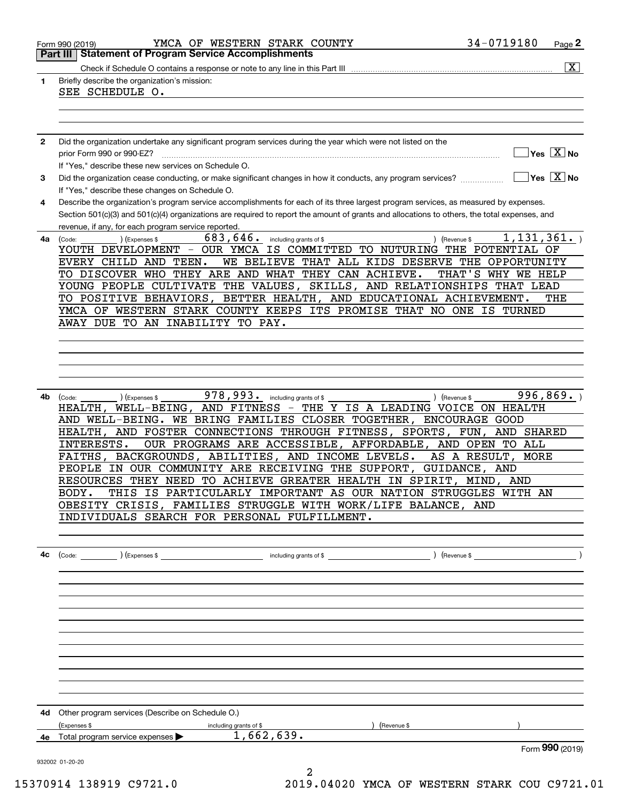|              | YMCA OF WESTERN STARK COUNTY<br>Form 990 (2019)                                                                                                                 | 34-0719180                             | Page 2                                             |
|--------------|-----------------------------------------------------------------------------------------------------------------------------------------------------------------|----------------------------------------|----------------------------------------------------|
|              | <b>Statement of Program Service Accomplishments</b><br>Part III                                                                                                 |                                        |                                                    |
| 1            | Briefly describe the organization's mission:                                                                                                                    |                                        | $\overline{\mathbf{x}}$                            |
|              | SEE SCHEDULE O.                                                                                                                                                 |                                        |                                                    |
|              |                                                                                                                                                                 |                                        |                                                    |
|              |                                                                                                                                                                 |                                        |                                                    |
| $\mathbf{2}$ | Did the organization undertake any significant program services during the year which were not listed on the                                                    |                                        |                                                    |
|              | prior Form 990 or 990-EZ?                                                                                                                                       |                                        | $\overline{\mathsf{Yes} \mathrel{\overline{X}}$ No |
|              | If "Yes," describe these new services on Schedule O.                                                                                                            |                                        |                                                    |
| 3            | Did the organization cease conducting, or make significant changes in how it conducts, any program services?<br>If "Yes," describe these changes on Schedule O. | $\sqrt{}$ Yes $\sqrt{}$ X $\sqrt{}$ No |                                                    |
| 4            | Describe the organization's program service accomplishments for each of its three largest program services, as measured by expenses.                            |                                        |                                                    |
|              | Section 501(c)(3) and 501(c)(4) organizations are required to report the amount of grants and allocations to others, the total expenses, and                    |                                        |                                                    |
|              | revenue, if any, for each program service reported.<br>683,646.                                                                                                 | 1, 131, 361.                           |                                                    |
| 4a           | including grants of \$<br>(Expenses \$<br>) (Revenue \$<br>(Code:<br>YOUTH DEVELOPMENT - OUR YMCA IS COMMITTED TO NUTURING                                      | THE POTENTIAL OF                       |                                                    |
|              | WE BELIEVE THAT ALL KIDS DESERVE THE<br>EVERY CHILD AND TEEN.                                                                                                   | OPPORTUNITY                            |                                                    |
|              | TO DISCOVER WHO THEY ARE AND WHAT THEY CAN ACHIEVE.                                                                                                             | THAT'S WHY WE HELP                     |                                                    |
|              | YOUNG PEOPLE CULTIVATE THE VALUES, SKILLS, AND RELATIONSHIPS THAT LEAD                                                                                          |                                        |                                                    |
|              | TO POSITIVE BEHAVIORS, BETTER HEALTH, AND EDUCATIONAL ACHIEVEMENT.                                                                                              |                                        | THE                                                |
|              | YMCA OF WESTERN STARK COUNTY KEEPS ITS PROMISE THAT NO ONE IS TURNED                                                                                            |                                        |                                                    |
|              | AWAY DUE TO AN INABILITY TO PAY.                                                                                                                                |                                        |                                                    |
|              |                                                                                                                                                                 |                                        |                                                    |
|              |                                                                                                                                                                 |                                        |                                                    |
|              |                                                                                                                                                                 |                                        |                                                    |
|              |                                                                                                                                                                 |                                        |                                                    |
| 4b           | 978,993.<br>) (Expenses \$<br>including grants of \$<br>) (Revenue \$<br>(Code:                                                                                 | 996, 869.                              |                                                    |
|              | WELL-BEING, AND FITNESS - THE Y IS A LEADING VOICE ON HEALTH<br>HEALTH,                                                                                         |                                        |                                                    |
|              | AND WELL-BEING. WE BRING FAMILIES CLOSER TOGETHER,<br>AND FOSTER CONNECTIONS THROUGH FITNESS, SPORTS, FUN,<br>HEALTH,                                           | <b>ENCOURAGE GOOD</b><br>AND SHARED    |                                                    |
|              | INTERESTS.<br>OUR PROGRAMS ARE ACCESSIBLE, AFFORDABLE, AND OPEN TO ALL                                                                                          |                                        |                                                    |
|              | BACKGROUNDS, ABILITIES, AND INCOME LEVELS.<br>FAITHS,                                                                                                           | AS A RESULT,<br><b>MORE</b>            |                                                    |
|              | IN OUR COMMUNITY ARE RECEIVING THE SUPPORT, GUIDANCE,<br>PEOPLE                                                                                                 | AND                                    |                                                    |
|              | RESOURCES THEY NEED TO ACHIEVE GREATER HEALTH IN SPIRIT, MIND, AND                                                                                              |                                        |                                                    |
|              | THIS IS PARTICULARLY IMPORTANT AS OUR NATION STRUGGLES WITH AN<br>BODY.                                                                                         |                                        |                                                    |
|              | OBESITY CRISIS, FAMILIES STRUGGLE WITH WORK/LIFE BALANCE, AND                                                                                                   |                                        |                                                    |
|              | INDIVIDUALS SEARCH FOR PERSONAL FULFILLMENT.                                                                                                                    |                                        |                                                    |
|              |                                                                                                                                                                 |                                        |                                                    |
| 4c           |                                                                                                                                                                 |                                        |                                                    |
|              |                                                                                                                                                                 |                                        |                                                    |
|              |                                                                                                                                                                 |                                        |                                                    |
|              |                                                                                                                                                                 |                                        |                                                    |
|              |                                                                                                                                                                 |                                        |                                                    |
|              |                                                                                                                                                                 |                                        |                                                    |
|              |                                                                                                                                                                 |                                        |                                                    |
|              |                                                                                                                                                                 |                                        |                                                    |
|              |                                                                                                                                                                 |                                        |                                                    |
|              |                                                                                                                                                                 |                                        |                                                    |
|              |                                                                                                                                                                 |                                        |                                                    |
|              | <b>4d</b> Other program services (Describe on Schedule O.)                                                                                                      |                                        |                                                    |
|              | (Expenses \$<br>including grants of \$<br>) (Revenue \$<br>1,662,639.                                                                                           |                                        |                                                    |
| 4е           | Total program service expenses                                                                                                                                  |                                        | Form 990 (2019)                                    |
|              | 932002 01-20-20                                                                                                                                                 |                                        |                                                    |

2 15370914 138919 C9721.0 2019.04020 YMCA OF WESTERN STARK COU C9721.01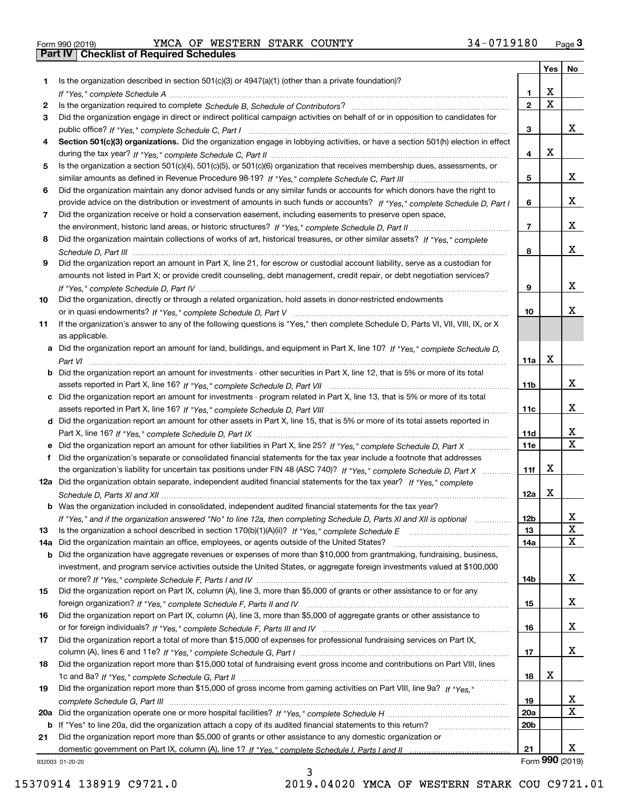| Form 990 (2019) |  |  |
|-----------------|--|--|

Form 990 (2019) Page **3Part IV Checklist of Required Schedules** YMCA OF WESTERN STARK COUNTY 34-0719180

|     |                                                                                                                                       |                 |             | Yes   No        |
|-----|---------------------------------------------------------------------------------------------------------------------------------------|-----------------|-------------|-----------------|
| 1.  | Is the organization described in section $501(c)(3)$ or $4947(a)(1)$ (other than a private foundation)?                               |                 |             |                 |
|     |                                                                                                                                       | 1.              | х           |                 |
| 2   |                                                                                                                                       | $\mathbf{2}$    | $\mathbf X$ |                 |
| 3   | Did the organization engage in direct or indirect political campaign activities on behalf of or in opposition to candidates for       |                 |             |                 |
|     |                                                                                                                                       | 3               |             | x               |
| 4   | Section 501(c)(3) organizations. Did the organization engage in lobbying activities, or have a section 501(h) election in effect      |                 |             |                 |
|     |                                                                                                                                       | 4               | x           |                 |
| 5   | Is the organization a section 501(c)(4), 501(c)(5), or 501(c)(6) organization that receives membership dues, assessments, or          |                 |             |                 |
|     |                                                                                                                                       | 5               |             | x               |
| 6   | Did the organization maintain any donor advised funds or any similar funds or accounts for which donors have the right to             |                 |             |                 |
|     | provide advice on the distribution or investment of amounts in such funds or accounts? If "Yes," complete Schedule D, Part I          | 6               |             | x               |
| 7   | Did the organization receive or hold a conservation easement, including easements to preserve open space,                             |                 |             | x               |
|     |                                                                                                                                       | $\overline{7}$  |             |                 |
| 8   | Did the organization maintain collections of works of art, historical treasures, or other similar assets? If "Yes," complete          |                 |             | x               |
|     |                                                                                                                                       | 8               |             |                 |
| 9   | Did the organization report an amount in Part X, line 21, for escrow or custodial account liability, serve as a custodian for         |                 |             |                 |
|     | amounts not listed in Part X; or provide credit counseling, debt management, credit repair, or debt negotiation services?             |                 |             | x               |
|     |                                                                                                                                       | 9               |             |                 |
| 10  | Did the organization, directly or through a related organization, hold assets in donor-restricted endowments                          | 10              |             | x               |
| 11  | If the organization's answer to any of the following questions is "Yes," then complete Schedule D, Parts VI, VII, VIII, IX, or X      |                 |             |                 |
|     | as applicable.                                                                                                                        |                 |             |                 |
|     | a Did the organization report an amount for land, buildings, and equipment in Part X, line 10? If "Yes." complete Schedule D.         |                 |             |                 |
|     |                                                                                                                                       | 11a             | x           |                 |
|     | <b>b</b> Did the organization report an amount for investments - other securities in Part X, line 12, that is 5% or more of its total |                 |             |                 |
|     |                                                                                                                                       | 11 <sub>b</sub> |             | x               |
|     | c Did the organization report an amount for investments - program related in Part X, line 13, that is 5% or more of its total         |                 |             |                 |
|     |                                                                                                                                       | 11c             |             | x               |
|     | d Did the organization report an amount for other assets in Part X, line 15, that is 5% or more of its total assets reported in       |                 |             |                 |
|     |                                                                                                                                       | 11d             |             | x               |
|     |                                                                                                                                       | 11e             |             | X               |
| f   | Did the organization's separate or consolidated financial statements for the tax year include a footnote that addresses               |                 |             |                 |
|     | the organization's liability for uncertain tax positions under FIN 48 (ASC 740)? If "Yes," complete Schedule D, Part X                | 11f             | x           |                 |
|     | 12a Did the organization obtain separate, independent audited financial statements for the tax year? If "Yes," complete               |                 |             |                 |
|     |                                                                                                                                       | 12a             | X           |                 |
|     | b Was the organization included in consolidated, independent audited financial statements for the tax year?                           |                 |             |                 |
|     | If "Yes," and if the organization answered "No" to line 12a, then completing Schedule D, Parts XI and XII is optional                 | 12 <sub>b</sub> |             | 47              |
| 13  | Is the organization a school described in section 170(b)(1)(A)(ii)? If "Yes," complete Schedule E                                     | 13              |             | X               |
| 14a | Did the organization maintain an office, employees, or agents outside of the United States?                                           | 14a             |             | X               |
|     | <b>b</b> Did the organization have aggregate revenues or expenses of more than \$10,000 from grantmaking, fundraising, business,      |                 |             |                 |
|     | investment, and program service activities outside the United States, or aggregate foreign investments valued at \$100,000            |                 |             |                 |
|     |                                                                                                                                       | 14b             |             | x               |
| 15  | Did the organization report on Part IX, column (A), line 3, more than \$5,000 of grants or other assistance to or for any             |                 |             |                 |
|     |                                                                                                                                       | 15              |             | x               |
| 16  | Did the organization report on Part IX, column (A), line 3, more than \$5,000 of aggregate grants or other assistance to              |                 |             |                 |
|     |                                                                                                                                       | 16              |             | x               |
| 17  | Did the organization report a total of more than \$15,000 of expenses for professional fundraising services on Part IX,               |                 |             |                 |
|     |                                                                                                                                       | 17              |             | x               |
| 18  | Did the organization report more than \$15,000 total of fundraising event gross income and contributions on Part VIII, lines          |                 |             |                 |
|     |                                                                                                                                       | 18              | x           |                 |
| 19  | Did the organization report more than \$15,000 of gross income from gaming activities on Part VIII, line 9a? If "Yes."                |                 |             |                 |
|     |                                                                                                                                       | 19              |             | x               |
|     |                                                                                                                                       | <b>20a</b>      |             | X               |
|     | b If "Yes" to line 20a, did the organization attach a copy of its audited financial statements to this return?                        | 20 <sub>b</sub> |             |                 |
| 21  | Did the organization report more than \$5,000 of grants or other assistance to any domestic organization or                           |                 |             |                 |
|     |                                                                                                                                       | 21              |             | x               |
|     | 932003 01-20-20                                                                                                                       |                 |             | Form 990 (2019) |

3

932003 01-20-20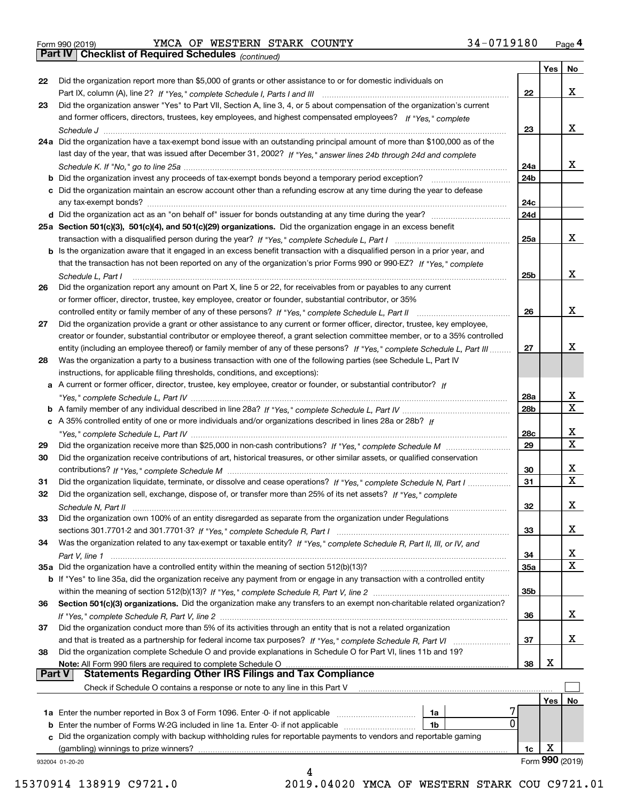|  | Form 990 (2019) |
|--|-----------------|
|  |                 |

Form 990 (2019) YMCA OF WESTERN STARK COUNTY 3 4-0719180 <sub>Page</sub> 4<br>**Part IV | Checklist of Required Schedules** <sub>(continued)</sub>

*(continued)*

|          |                                                                                                                              |            | Yes | No              |
|----------|------------------------------------------------------------------------------------------------------------------------------|------------|-----|-----------------|
| 22       | Did the organization report more than \$5,000 of grants or other assistance to or for domestic individuals on                |            |     |                 |
|          |                                                                                                                              | 22         |     | x               |
| 23       | Did the organization answer "Yes" to Part VII, Section A, line 3, 4, or 5 about compensation of the organization's current   |            |     |                 |
|          | and former officers, directors, trustees, key employees, and highest compensated employees? If "Yes," complete               |            |     |                 |
|          |                                                                                                                              | 23         |     | x               |
|          | 24a Did the organization have a tax-exempt bond issue with an outstanding principal amount of more than \$100,000 as of the  |            |     |                 |
|          | last day of the year, that was issued after December 31, 2002? If "Yes," answer lines 24b through 24d and complete           |            |     |                 |
|          |                                                                                                                              | 24a        |     | x               |
|          | <b>b</b> Did the organization invest any proceeds of tax-exempt bonds beyond a temporary period exception?                   | 24b        |     |                 |
|          | c Did the organization maintain an escrow account other than a refunding escrow at any time during the year to defease       |            |     |                 |
|          |                                                                                                                              | 24c<br>24d |     |                 |
|          |                                                                                                                              |            |     |                 |
|          | 25a Section 501(c)(3), 501(c)(4), and 501(c)(29) organizations. Did the organization engage in an excess benefit             | 25a        |     | x               |
|          | b Is the organization aware that it engaged in an excess benefit transaction with a disqualified person in a prior year, and |            |     |                 |
|          | that the transaction has not been reported on any of the organization's prior Forms 990 or 990-EZ? If "Yes," complete        |            |     |                 |
|          | Schedule L, Part I                                                                                                           | 25b        |     | x               |
| 26       | Did the organization report any amount on Part X, line 5 or 22, for receivables from or payables to any current              |            |     |                 |
|          | or former officer, director, trustee, key employee, creator or founder, substantial contributor, or 35%                      |            |     |                 |
|          |                                                                                                                              | 26         |     | x               |
| 27       | Did the organization provide a grant or other assistance to any current or former officer, director, trustee, key employee,  |            |     |                 |
|          | creator or founder, substantial contributor or employee thereof, a grant selection committee member, or to a 35% controlled  |            |     |                 |
|          | entity (including an employee thereof) or family member of any of these persons? If "Yes," complete Schedule L, Part III     | 27         |     | x.              |
| 28       | Was the organization a party to a business transaction with one of the following parties (see Schedule L, Part IV            |            |     |                 |
|          | instructions, for applicable filing thresholds, conditions, and exceptions):                                                 |            |     |                 |
|          | a A current or former officer, director, trustee, key employee, creator or founder, or substantial contributor? If           |            |     |                 |
|          |                                                                                                                              | 28a        |     | x               |
|          |                                                                                                                              | 28b        |     | х               |
|          | c A 35% controlled entity of one or more individuals and/or organizations described in lines 28a or 28b? $\mu$               |            |     |                 |
|          |                                                                                                                              | 28c        |     | x               |
| 29       |                                                                                                                              | 29         |     | Χ               |
| 30       | Did the organization receive contributions of art, historical treasures, or other similar assets, or qualified conservation  |            |     |                 |
|          |                                                                                                                              | 30         |     | x               |
| 31       | Did the organization liquidate, terminate, or dissolve and cease operations? If "Yes," complete Schedule N, Part I           | 31         |     | X               |
| 32       | Did the organization sell, exchange, dispose of, or transfer more than 25% of its net assets? If "Yes," complete             |            |     |                 |
|          |                                                                                                                              | 32         |     | х               |
| 33       | Did the organization own 100% of an entity disregarded as separate from the organization under Regulations                   |            |     |                 |
|          |                                                                                                                              | 33         |     | х               |
| 34       | Was the organization related to any tax-exempt or taxable entity? If "Yes," complete Schedule R, Part II, III, or IV, and    |            |     |                 |
|          |                                                                                                                              | 34         |     | х               |
|          | 35a Did the organization have a controlled entity within the meaning of section 512(b)(13)?                                  | 35a        |     | X               |
|          | b If "Yes" to line 35a, did the organization receive any payment from or engage in any transaction with a controlled entity  |            |     |                 |
|          |                                                                                                                              | 35b        |     |                 |
| 36       | Section 501(c)(3) organizations. Did the organization make any transfers to an exempt non-charitable related organization?   |            |     | x               |
| 37       | Did the organization conduct more than 5% of its activities through an entity that is not a related organization             | 36         |     |                 |
|          | and that is treated as a partnership for federal income tax purposes? If "Yes," complete Schedule R, Part VI                 | 37         |     | x               |
| 38       | Did the organization complete Schedule O and provide explanations in Schedule O for Part VI, lines 11b and 19?               |            |     |                 |
|          | Note: All Form 990 filers are required to complete Schedule O                                                                | 38         | X   |                 |
| ∣ Part V | <b>Statements Regarding Other IRS Filings and Tax Compliance</b>                                                             |            |     |                 |
|          | Check if Schedule O contains a response or note to any line in this Part V                                                   |            |     |                 |
|          |                                                                                                                              |            | Yes | No              |
|          | <b>1a</b> Enter the number reported in Box 3 of Form 1096. Enter -0- if not applicable <i>manumumumum</i><br>1a              |            |     |                 |
|          | 0<br><b>b</b> Enter the number of Forms W-2G included in line 1a. Enter -0- if not applicable<br>1b                          |            |     |                 |
|          | c Did the organization comply with backup withholding rules for reportable payments to vendors and reportable gaming         |            |     |                 |
|          | (gambling) winnings to prize winners?                                                                                        | 1c         | X   |                 |
|          | 932004 01-20-20                                                                                                              |            |     | Form 990 (2019) |

4

15370914 138919 C9721.0 2019.04020 YMCA OF WESTERN STARK COU C9721.01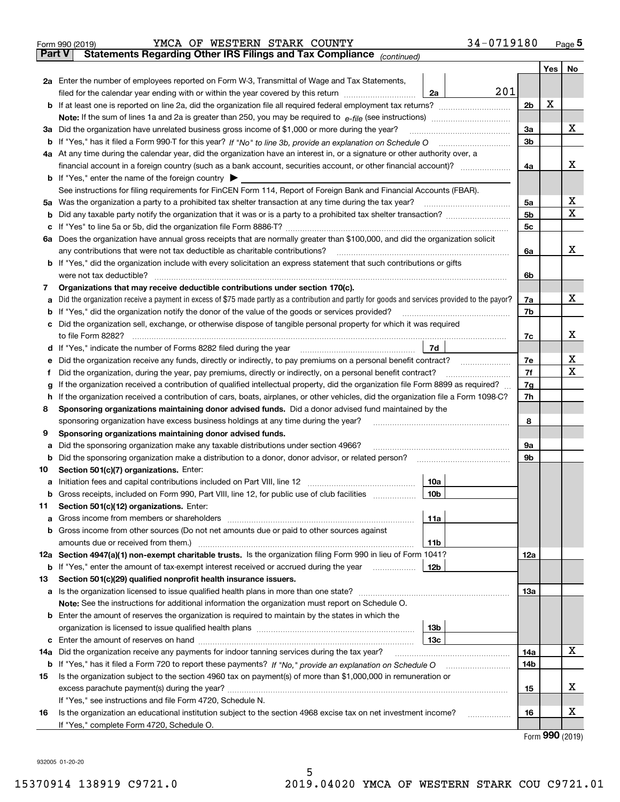|               | 34-0719180<br>YMCA OF WESTERN STARK COUNTY<br>Form 990 (2019)                                                                                   |                |     | $_{\text{Page}}$ 5 |  |  |  |  |  |
|---------------|-------------------------------------------------------------------------------------------------------------------------------------------------|----------------|-----|--------------------|--|--|--|--|--|
| <b>Part V</b> | Statements Regarding Other IRS Filings and Tax Compliance (continued)                                                                           |                |     |                    |  |  |  |  |  |
|               |                                                                                                                                                 |                | Yes | No                 |  |  |  |  |  |
|               | 2a Enter the number of employees reported on Form W-3, Transmittal of Wage and Tax Statements,                                                  |                |     |                    |  |  |  |  |  |
|               | 201<br>filed for the calendar year ending with or within the year covered by this return<br>2a                                                  |                |     |                    |  |  |  |  |  |
| b             |                                                                                                                                                 | 2 <sub>b</sub> | х   |                    |  |  |  |  |  |
|               |                                                                                                                                                 |                |     |                    |  |  |  |  |  |
| За            | Did the organization have unrelated business gross income of \$1,000 or more during the year?                                                   | 3a             |     | x                  |  |  |  |  |  |
| b             |                                                                                                                                                 | 3 <sub>b</sub> |     |                    |  |  |  |  |  |
|               | 4a At any time during the calendar year, did the organization have an interest in, or a signature or other authority over, a                    |                |     |                    |  |  |  |  |  |
|               |                                                                                                                                                 | 4a             |     | x                  |  |  |  |  |  |
|               | <b>b</b> If "Yes," enter the name of the foreign country $\blacktriangleright$                                                                  |                |     |                    |  |  |  |  |  |
|               | See instructions for filing requirements for FinCEN Form 114, Report of Foreign Bank and Financial Accounts (FBAR).                             |                |     |                    |  |  |  |  |  |
| 5a            | Was the organization a party to a prohibited tax shelter transaction at any time during the tax year?                                           | 5a             |     | х                  |  |  |  |  |  |
| b             |                                                                                                                                                 | 5 <sub>b</sub> |     | X                  |  |  |  |  |  |
| с             |                                                                                                                                                 | 5c             |     |                    |  |  |  |  |  |
|               | 6a Does the organization have annual gross receipts that are normally greater than \$100,000, and did the organization solicit                  |                |     |                    |  |  |  |  |  |
|               | any contributions that were not tax deductible as charitable contributions?                                                                     | 6a             |     | x                  |  |  |  |  |  |
| b             | If "Yes," did the organization include with every solicitation an express statement that such contributions or gifts                            |                |     |                    |  |  |  |  |  |
|               | were not tax deductible?                                                                                                                        | 6b             |     |                    |  |  |  |  |  |
| 7             | Organizations that may receive deductible contributions under section 170(c).                                                                   |                |     |                    |  |  |  |  |  |
| а             | Did the organization receive a payment in excess of \$75 made partly as a contribution and partly for goods and services provided to the payor? | 7a             |     | x                  |  |  |  |  |  |
| b             | If "Yes," did the organization notify the donor of the value of the goods or services provided?                                                 | 7b             |     |                    |  |  |  |  |  |
| с             | Did the organization sell, exchange, or otherwise dispose of tangible personal property for which it was required                               |                |     |                    |  |  |  |  |  |
|               |                                                                                                                                                 | 7c             |     | х                  |  |  |  |  |  |
| d             | 7d                                                                                                                                              |                |     |                    |  |  |  |  |  |
| е             | Did the organization receive any funds, directly or indirectly, to pay premiums on a personal benefit contract?                                 | 7e             |     | х                  |  |  |  |  |  |
| f             | Did the organization, during the year, pay premiums, directly or indirectly, on a personal benefit contract?                                    | 7f             |     | X                  |  |  |  |  |  |
| g             | If the organization received a contribution of qualified intellectual property, did the organization file Form 8899 as required?                | 7g             |     |                    |  |  |  |  |  |
| h             | If the organization received a contribution of cars, boats, airplanes, or other vehicles, did the organization file a Form 1098-C?              | 7h             |     |                    |  |  |  |  |  |
| 8             | Sponsoring organizations maintaining donor advised funds. Did a donor advised fund maintained by the                                            |                |     |                    |  |  |  |  |  |
|               | sponsoring organization have excess business holdings at any time during the year?                                                              | 8              |     |                    |  |  |  |  |  |
| 9             | Sponsoring organizations maintaining donor advised funds.                                                                                       |                |     |                    |  |  |  |  |  |
| а             | Did the sponsoring organization make any taxable distributions under section 4966?                                                              | 9а             |     |                    |  |  |  |  |  |
| b             | Did the sponsoring organization make a distribution to a donor, donor advisor, or related person?                                               | 9b             |     |                    |  |  |  |  |  |
| 10            | Section 501(c)(7) organizations. Enter:                                                                                                         |                |     |                    |  |  |  |  |  |
| а             | 10a<br>Initiation fees and capital contributions included on Part VIII, line 12 [111] [11] [12] [11] [12] [11] [12] [                           |                |     |                    |  |  |  |  |  |
|               | 10b <br>Gross receipts, included on Form 990, Part VIII, line 12, for public use of club facilities                                             |                |     |                    |  |  |  |  |  |
| 11            | Section 501(c)(12) organizations. Enter:                                                                                                        |                |     |                    |  |  |  |  |  |
| a             | Gross income from members or shareholders<br>11a                                                                                                |                |     |                    |  |  |  |  |  |
| b             | Gross income from other sources (Do not net amounts due or paid to other sources against                                                        |                |     |                    |  |  |  |  |  |
|               | 11 <sub>b</sub><br>amounts due or received from them.)                                                                                          |                |     |                    |  |  |  |  |  |
|               | 12a Section 4947(a)(1) non-exempt charitable trusts. Is the organization filing Form 990 in lieu of Form 1041?                                  | <b>12a</b>     |     |                    |  |  |  |  |  |
|               | b If "Yes," enter the amount of tax-exempt interest received or accrued during the year<br>12b                                                  |                |     |                    |  |  |  |  |  |
| 13            | Section 501(c)(29) qualified nonprofit health insurance issuers.                                                                                |                |     |                    |  |  |  |  |  |
| a             | Is the organization licensed to issue qualified health plans in more than one state?                                                            | <b>13a</b>     |     |                    |  |  |  |  |  |
|               | Note: See the instructions for additional information the organization must report on Schedule O.                                               |                |     |                    |  |  |  |  |  |
| b             | Enter the amount of reserves the organization is required to maintain by the states in which the                                                |                |     |                    |  |  |  |  |  |
|               | 13 <sub>b</sub>                                                                                                                                 |                |     |                    |  |  |  |  |  |
| с             | 13 <sub>c</sub>                                                                                                                                 |                |     |                    |  |  |  |  |  |
| 14a           | Did the organization receive any payments for indoor tanning services during the tax year?                                                      | 14a            |     | X                  |  |  |  |  |  |
|               | <b>b</b> If "Yes," has it filed a Form 720 to report these payments? If "No," provide an explanation on Schedule O                              | 14b            |     |                    |  |  |  |  |  |
| 15            | Is the organization subject to the section 4960 tax on payment(s) of more than \$1,000,000 in remuneration or                                   |                |     |                    |  |  |  |  |  |
|               |                                                                                                                                                 | 15             |     | х                  |  |  |  |  |  |
|               | If "Yes," see instructions and file Form 4720, Schedule N.                                                                                      |                |     |                    |  |  |  |  |  |
| 16            | Is the organization an educational institution subject to the section 4968 excise tax on net investment income?                                 | 16             |     | х                  |  |  |  |  |  |
|               | If "Yes," complete Form 4720, Schedule O.                                                                                                       |                |     |                    |  |  |  |  |  |

5

Form (2019) **990**

932005 01-20-20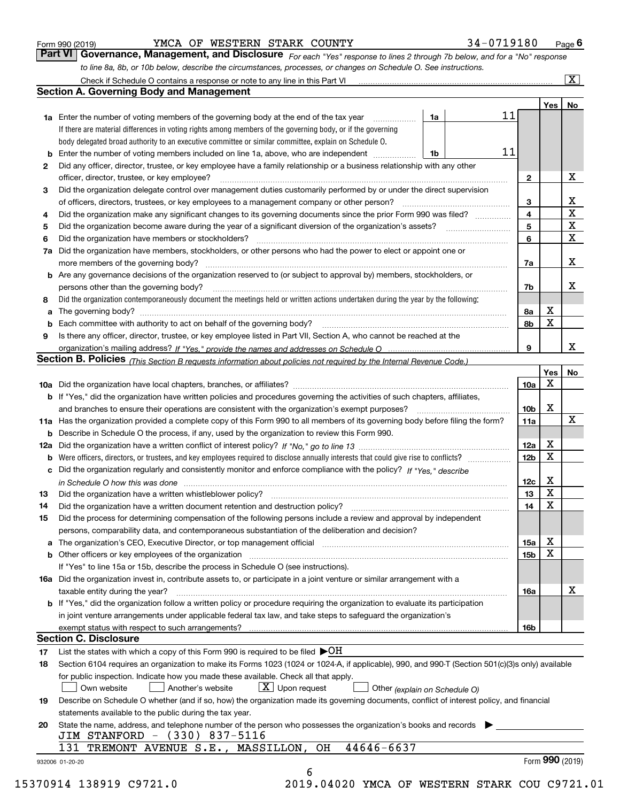| Form 990 (2019) |  |  |
|-----------------|--|--|
|                 |  |  |

YMCA OF WESTERN STARK COUNTY 34-0719180

*For each "Yes" response to lines 2 through 7b below, and for a "No" response to line 8a, 8b, or 10b below, describe the circumstances, processes, or changes on Schedule O. See instructions.* Form 990 (2019) **CONDA BEART STARK COUNTY** 1990 (2019) **Page 6**<br>**Part VI Governance, Management, and Disclosure** For each "Yes" response to lines 2 through 7b below, and for a "No" response

|        | <b>1a</b> Enter the number of voting members of the governing body at the end of the tax year                                                                                                                                  | 1a | 11 |                         | Yes <sub>1</sub> | No                      |
|--------|--------------------------------------------------------------------------------------------------------------------------------------------------------------------------------------------------------------------------------|----|----|-------------------------|------------------|-------------------------|
|        | If there are material differences in voting rights among members of the governing body, or if the governing                                                                                                                    |    |    |                         |                  |                         |
|        | body delegated broad authority to an executive committee or similar committee, explain on Schedule O.                                                                                                                          |    |    |                         |                  |                         |
| b      | Enter the number of voting members included on line 1a, above, who are independent                                                                                                                                             | 1b | 11 |                         |                  |                         |
| 2      | Did any officer, director, trustee, or key employee have a family relationship or a business relationship with any other                                                                                                       |    |    |                         |                  |                         |
|        | officer, director, trustee, or key employee?                                                                                                                                                                                   |    |    | $\mathbf{2}$            |                  | X                       |
| З      | Did the organization delegate control over management duties customarily performed by or under the direct supervision                                                                                                          |    |    |                         |                  |                         |
|        | of officers, directors, trustees, or key employees to a management company or other person?                                                                                                                                    |    |    | 3                       |                  | X                       |
| 4      | Did the organization make any significant changes to its governing documents since the prior Form 990 was filed?                                                                                                               |    |    | $\overline{\mathbf{4}}$ |                  | $\overline{\mathbf{x}}$ |
| 5      |                                                                                                                                                                                                                                |    |    | 5                       |                  | $\overline{\mathbf{x}}$ |
| 6      | Did the organization have members or stockholders?                                                                                                                                                                             |    |    | 6                       |                  | $\mathbf x$             |
| 7a     | Did the organization have members, stockholders, or other persons who had the power to elect or appoint one or                                                                                                                 |    |    |                         |                  |                         |
|        |                                                                                                                                                                                                                                |    |    | 7a                      |                  | X                       |
|        | <b>b</b> Are any governance decisions of the organization reserved to (or subject to approval by) members, stockholders, or                                                                                                    |    |    |                         |                  |                         |
|        | persons other than the governing body?                                                                                                                                                                                         |    |    | 7b                      |                  | X                       |
| 8      | Did the organization contemporaneously document the meetings held or written actions undertaken during the year by the following:                                                                                              |    |    |                         |                  |                         |
| a      |                                                                                                                                                                                                                                |    |    | 8а                      | X                |                         |
|        |                                                                                                                                                                                                                                |    |    | 8b                      | х                |                         |
| b<br>9 | Is there any officer, director, trustee, or key employee listed in Part VII, Section A, who cannot be reached at the                                                                                                           |    |    |                         |                  |                         |
|        |                                                                                                                                                                                                                                |    |    | 9                       |                  | X                       |
|        | Section B. Policies (This Section B requests information about policies not required by the Internal Revenue Code.)                                                                                                            |    |    |                         |                  |                         |
|        |                                                                                                                                                                                                                                |    |    |                         | Yes              | No                      |
|        |                                                                                                                                                                                                                                |    |    | 10a                     | X                |                         |
|        | <b>b</b> If "Yes," did the organization have written policies and procedures governing the activities of such chapters, affiliates,                                                                                            |    |    |                         |                  |                         |
|        |                                                                                                                                                                                                                                |    |    | 10 <sub>b</sub>         | X                |                         |
|        | 11a Has the organization provided a complete copy of this Form 990 to all members of its governing body before filing the form?                                                                                                |    |    | 11a                     |                  | $\mathbf X$             |
|        | <b>b</b> Describe in Schedule O the process, if any, used by the organization to review this Form 990.                                                                                                                         |    |    |                         |                  |                         |
|        |                                                                                                                                                                                                                                |    |    | 12a                     | X                |                         |
|        | <b>b</b> Were officers, directors, or trustees, and key employees required to disclose annually interests that could give rise to conflicts?                                                                                   |    |    | 12 <sub>b</sub>         | x                |                         |
|        | c Did the organization regularly and consistently monitor and enforce compliance with the policy? If "Yes," describe                                                                                                           |    |    |                         |                  |                         |
|        |                                                                                                                                                                                                                                |    |    | 12c                     | X                |                         |
| 13     | in Schedule O how this was done manufactured and continuum control of the Schedule O how this was done manufactured and continuum control of the Schedule O how this was done                                                  |    |    | 13                      | X                |                         |
| 14     |                                                                                                                                                                                                                                |    |    | 14                      | X                |                         |
| 15     | Did the process for determining compensation of the following persons include a review and approval by independent                                                                                                             |    |    |                         |                  |                         |
|        | persons, comparability data, and contemporaneous substantiation of the deliberation and decision?                                                                                                                              |    |    |                         |                  |                         |
|        | a The organization's CEO, Executive Director, or top management official manufactured content content of the organization's CEO, Executive Director, or top management official manufactured content of the state of the state |    |    | 15a                     | X                |                         |
|        |                                                                                                                                                                                                                                |    |    | 15b                     | X                |                         |
|        | If "Yes" to line 15a or 15b, describe the process in Schedule O (see instructions).                                                                                                                                            |    |    |                         |                  |                         |
|        | 16a Did the organization invest in, contribute assets to, or participate in a joint venture or similar arrangement with a                                                                                                      |    |    |                         |                  |                         |
|        | taxable entity during the year?                                                                                                                                                                                                |    |    | 16a                     |                  | X                       |
|        | b If "Yes," did the organization follow a written policy or procedure requiring the organization to evaluate its participation                                                                                                 |    |    |                         |                  |                         |
|        | in joint venture arrangements under applicable federal tax law, and take steps to safeguard the organization's                                                                                                                 |    |    |                         |                  |                         |
|        | exempt status with respect to such arrangements?                                                                                                                                                                               |    |    | 16b                     |                  |                         |
|        | <b>Section C. Disclosure</b>                                                                                                                                                                                                   |    |    |                         |                  |                         |
| 17     | List the states with which a copy of this Form 990 is required to be filed $\blacktriangleright$ OH                                                                                                                            |    |    |                         |                  |                         |
| 18     | Section 6104 requires an organization to make its Forms 1023 (1024 or 1024-A, if applicable), 990, and 990-T (Section 501(c)(3)s only) available                                                                               |    |    |                         |                  |                         |
|        | for public inspection. Indicate how you made these available. Check all that apply.                                                                                                                                            |    |    |                         |                  |                         |
|        | $X$ Upon request<br>Own website<br>Another's website<br>Other (explain on Schedule O)                                                                                                                                          |    |    |                         |                  |                         |
| 19     | Describe on Schedule O whether (and if so, how) the organization made its governing documents, conflict of interest policy, and financial                                                                                      |    |    |                         |                  |                         |
|        | statements available to the public during the tax year.                                                                                                                                                                        |    |    |                         |                  |                         |
| 20     | State the name, address, and telephone number of the person who possesses the organization's books and records                                                                                                                 |    |    |                         |                  |                         |
|        | JIM STANFORD - (330) 837-5116                                                                                                                                                                                                  |    |    |                         |                  |                         |
|        | 44646-6637<br>131<br>TREMONT AVENUE S.E., MASSILLON, OH                                                                                                                                                                        |    |    |                         |                  |                         |
|        |                                                                                                                                                                                                                                |    |    |                         | Form 990 (2019)  |                         |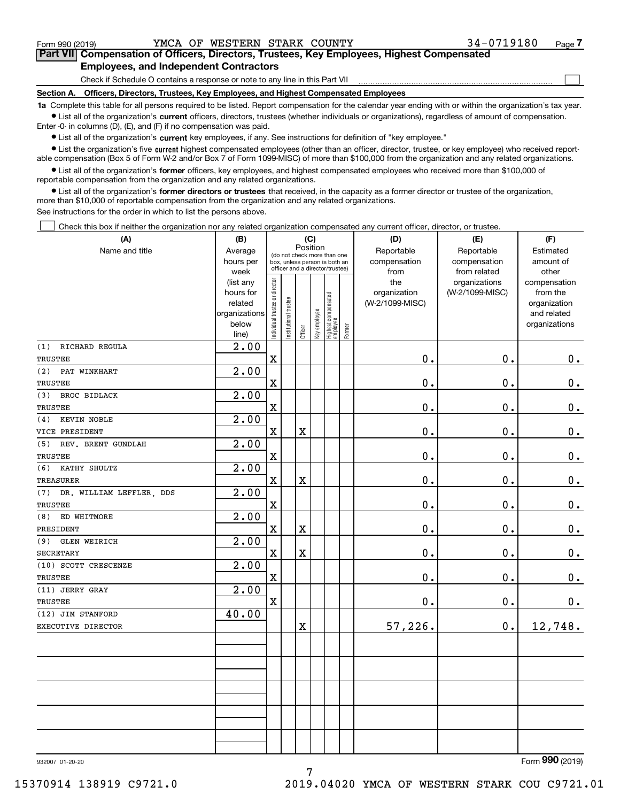$\mathcal{L}^{\text{max}}$ 

# **7Part VII Compensation of Officers, Directors, Trustees, Key Employees, Highest Compensated Employees, and Independent Contractors**

Check if Schedule O contains a response or note to any line in this Part VII

**Section A. Officers, Directors, Trustees, Key Employees, and Highest Compensated Employees**

**1a**  Complete this table for all persons required to be listed. Report compensation for the calendar year ending with or within the organization's tax year. **•** List all of the organization's current officers, directors, trustees (whether individuals or organizations), regardless of amount of compensation.

Enter -0- in columns (D), (E), and (F) if no compensation was paid.

 $\bullet$  List all of the organization's  $\,$ current key employees, if any. See instructions for definition of "key employee."

**•** List the organization's five current highest compensated employees (other than an officer, director, trustee, or key employee) who received reportable compensation (Box 5 of Form W-2 and/or Box 7 of Form 1099-MISC) of more than \$100,000 from the organization and any related organizations.

**•** List all of the organization's former officers, key employees, and highest compensated employees who received more than \$100,000 of reportable compensation from the organization and any related organizations.

**former directors or trustees**  ¥ List all of the organization's that received, in the capacity as a former director or trustee of the organization, more than \$10,000 of reportable compensation from the organization and any related organizations.

See instructions for the order in which to list the persons above.

**(A)**

Check this box if neither the organization nor any related organization compensated any current officer, director, or trustee.  $\mathcal{L}^{\text{max}}$ 

| (A)                             | (B)               |                               |                                 |             | (C)          |                                  |        | (D)             | (E)             | (F)                              |
|---------------------------------|-------------------|-------------------------------|---------------------------------|-------------|--------------|----------------------------------|--------|-----------------|-----------------|----------------------------------|
| Name and title                  | Average           |                               | (do not check more than one     | Position    |              |                                  |        | Reportable      | Reportable      | Estimated                        |
|                                 | hours per         |                               | box, unless person is both an   |             |              |                                  |        | compensation    | compensation    | amount of                        |
|                                 | week              |                               | officer and a director/trustee) |             |              |                                  |        | from            | from related    | other                            |
|                                 | (list any         |                               |                                 |             |              |                                  |        | the             | organizations   | compensation                     |
|                                 | hours for         |                               |                                 |             |              |                                  |        | organization    | (W-2/1099-MISC) | from the                         |
|                                 | related           |                               |                                 |             |              |                                  |        | (W-2/1099-MISC) |                 | organization                     |
|                                 | organizations     |                               |                                 |             |              |                                  |        |                 |                 | and related                      |
|                                 | below<br>line)    | ndividual trustee or director | nstitutional trustee            | Officer     | Key employee | Highest compensated<br> employee | Former |                 |                 | organizations                    |
| RICHARD REGULA<br>(1)           | $\overline{2.00}$ |                               |                                 |             |              |                                  |        |                 |                 |                                  |
| TRUSTEE                         |                   | $\mathbf X$                   |                                 |             |              |                                  |        | 0.              | 0.              | 0.                               |
| (2)<br>PAT WINKHART             | 2.00              |                               |                                 |             |              |                                  |        |                 |                 |                                  |
| TRUSTEE                         |                   | $\overline{\mathbf{X}}$       |                                 |             |              |                                  |        | 0.              | $\mathbf 0$ .   | $\mathbf 0$ .                    |
| <b>BROC BIDLACK</b><br>(3)      | 2.00              |                               |                                 |             |              |                                  |        |                 |                 |                                  |
| TRUSTEE                         |                   | $\mathbf X$                   |                                 |             |              |                                  |        | 0.              | 0.              | $0_{.}$                          |
| KEVIN NOBLE<br>(4)              | 2.00              |                               |                                 |             |              |                                  |        |                 |                 |                                  |
| VICE PRESIDENT                  |                   | $\mathbf X$                   |                                 | X           |              |                                  |        | 0.              | $\mathbf 0$ .   | $0_{.}$                          |
| (5)<br>REV. BRENT GUNDLAH       | 2.00              |                               |                                 |             |              |                                  |        |                 |                 |                                  |
| TRUSTEE                         |                   | $\mathbf X$                   |                                 |             |              |                                  |        | 0.              | $\mathbf 0$ .   | $\mathbf 0$ .                    |
| KATHY SHULTZ<br>(6)             | 2.00              |                               |                                 |             |              |                                  |        |                 |                 |                                  |
| <b>TREASURER</b>                |                   | $\mathbf X$                   |                                 | $\mathbf X$ |              |                                  |        | 0.              | $\mathbf 0$ .   | $0$ .                            |
| DR. WILLIAM LEFFLER, DDS<br>(7) | 2.00              |                               |                                 |             |              |                                  |        |                 |                 |                                  |
| TRUSTEE                         |                   | $\mathbf X$                   |                                 |             |              |                                  |        | 0.              | 0.              | $\mathbf 0$ .                    |
| (8)<br>ED WHITMORE              | 2.00              |                               |                                 |             |              |                                  |        |                 |                 |                                  |
| PRESIDENT                       |                   | $\mathbf x$                   |                                 | X           |              |                                  |        | 0.              | $\mathbf 0$ .   | $\mathbf 0$ .                    |
| (9)<br><b>GLEN WEIRICH</b>      | $\overline{2.00}$ |                               |                                 |             |              |                                  |        |                 |                 |                                  |
| <b>SECRETARY</b>                |                   | $\mathbf X$                   |                                 | X           |              |                                  |        | 0.              | $\mathbf 0$ .   | $\mathbf 0$ .                    |
| (10) SCOTT CRESCENZE            | 2.00              |                               |                                 |             |              |                                  |        |                 |                 |                                  |
| TRUSTEE                         |                   | $\overline{\textbf{X}}$       |                                 |             |              |                                  |        | 0.              | 0.              | 0.                               |
| (11) JERRY GRAY                 | 2.00              |                               |                                 |             |              |                                  |        |                 |                 |                                  |
| TRUSTEE                         |                   | $\overline{\textbf{X}}$       |                                 |             |              |                                  |        | 0.              | 0.              | 0.                               |
| (12) JIM STANFORD               | 40.00             |                               |                                 |             |              |                                  |        |                 |                 |                                  |
| EXECUTIVE DIRECTOR              |                   |                               |                                 | X           |              |                                  |        | 57,226.         | $\mathbf 0$ .   | 12,748.                          |
|                                 |                   |                               |                                 |             |              |                                  |        |                 |                 |                                  |
|                                 |                   |                               |                                 |             |              |                                  |        |                 |                 |                                  |
|                                 |                   |                               |                                 |             |              |                                  |        |                 |                 |                                  |
|                                 |                   |                               |                                 |             |              |                                  |        |                 |                 |                                  |
|                                 |                   |                               |                                 |             |              |                                  |        |                 |                 |                                  |
|                                 |                   |                               |                                 |             |              |                                  |        |                 |                 |                                  |
|                                 |                   |                               |                                 |             |              |                                  |        |                 |                 |                                  |
|                                 |                   |                               |                                 |             |              |                                  |        |                 |                 |                                  |
|                                 |                   |                               |                                 |             |              |                                  |        |                 |                 |                                  |
|                                 |                   |                               |                                 |             |              |                                  |        |                 |                 | $\overline{000}$<br>$\mathbf{r}$ |

7

Form (2019) **990**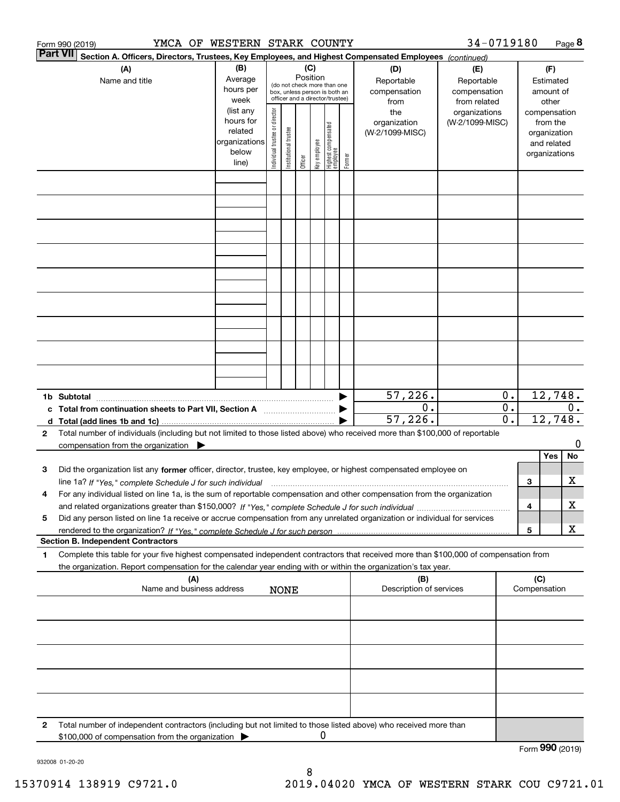|                                                              | YMCA OF WESTERN STARK COUNTY<br>Form 990 (2019)                                                                                                                                                                                                                      |                                                                      |                                |                       |                 |              |                                                                                                 |        |                                           | 34-0719180                                        |                                                 |                  |                                                                          | Page 8 |
|--------------------------------------------------------------|----------------------------------------------------------------------------------------------------------------------------------------------------------------------------------------------------------------------------------------------------------------------|----------------------------------------------------------------------|--------------------------------|-----------------------|-----------------|--------------|-------------------------------------------------------------------------------------------------|--------|-------------------------------------------|---------------------------------------------------|-------------------------------------------------|------------------|--------------------------------------------------------------------------|--------|
|                                                              | Part VII <br>Section A. Officers, Directors, Trustees, Key Employees, and Highest Compensated Employees (continued)                                                                                                                                                  |                                                                      |                                |                       |                 |              |                                                                                                 |        |                                           |                                                   |                                                 |                  |                                                                          |        |
| (B)<br>(A)<br>Average<br>Name and title<br>hours per<br>week |                                                                                                                                                                                                                                                                      |                                                                      |                                |                       | (C)<br>Position |              | (do not check more than one<br>box, unless person is both an<br>officer and a director/trustee) |        | (D)<br>Reportable<br>compensation<br>from | (E)<br>Reportable<br>compensation<br>from related |                                                 |                  | (F)<br>Estimated<br>amount of<br>other                                   |        |
|                                                              |                                                                                                                                                                                                                                                                      | (list any<br>hours for<br>related<br>organizations<br>below<br>line) | Individual trustee or director | Institutional trustee | Officer         | key employee | Highest compensated<br>  employee                                                               | Former | the<br>organization<br>(W-2/1099-MISC)    | organizations<br>(W-2/1099-MISC)                  |                                                 |                  | compensation<br>from the<br>organization<br>and related<br>organizations |        |
|                                                              |                                                                                                                                                                                                                                                                      |                                                                      |                                |                       |                 |              |                                                                                                 |        |                                           |                                                   |                                                 |                  |                                                                          |        |
|                                                              |                                                                                                                                                                                                                                                                      |                                                                      |                                |                       |                 |              |                                                                                                 |        |                                           |                                                   |                                                 |                  |                                                                          |        |
|                                                              |                                                                                                                                                                                                                                                                      |                                                                      |                                |                       |                 |              |                                                                                                 |        |                                           |                                                   |                                                 |                  |                                                                          |        |
|                                                              |                                                                                                                                                                                                                                                                      |                                                                      |                                |                       |                 |              |                                                                                                 |        |                                           |                                                   |                                                 |                  |                                                                          |        |
|                                                              |                                                                                                                                                                                                                                                                      |                                                                      |                                |                       |                 |              |                                                                                                 |        |                                           |                                                   |                                                 |                  |                                                                          |        |
|                                                              |                                                                                                                                                                                                                                                                      |                                                                      |                                |                       |                 |              |                                                                                                 |        |                                           |                                                   |                                                 |                  |                                                                          |        |
|                                                              |                                                                                                                                                                                                                                                                      |                                                                      |                                |                       |                 |              |                                                                                                 |        |                                           |                                                   |                                                 |                  |                                                                          |        |
|                                                              |                                                                                                                                                                                                                                                                      |                                                                      |                                |                       |                 |              |                                                                                                 |        |                                           |                                                   |                                                 |                  |                                                                          |        |
|                                                              |                                                                                                                                                                                                                                                                      |                                                                      |                                |                       |                 |              |                                                                                                 |        |                                           |                                                   |                                                 |                  |                                                                          |        |
|                                                              | 1b Subtotal                                                                                                                                                                                                                                                          |                                                                      |                                |                       |                 |              |                                                                                                 |        | 57, 226.                                  |                                                   | 0.                                              |                  | 12,748.                                                                  |        |
|                                                              | c Total from continuation sheets to Part VII, Section A                                                                                                                                                                                                              |                                                                      |                                |                       |                 |              |                                                                                                 |        | 0.<br>57,226.                             |                                                   | $\overline{0}$ .<br>$\overline{\mathfrak{o}}$ . | $0$ .<br>12,748. |                                                                          |        |
| 2                                                            | Total number of individuals (including but not limited to those listed above) who received more than \$100,000 of reportable<br>compensation from the organization $\blacktriangleright$                                                                             |                                                                      |                                |                       |                 |              |                                                                                                 |        |                                           |                                                   |                                                 |                  |                                                                          | 0      |
|                                                              |                                                                                                                                                                                                                                                                      |                                                                      |                                |                       |                 |              |                                                                                                 |        |                                           |                                                   |                                                 |                  | Yes                                                                      | No     |
| з                                                            | Did the organization list any former officer, director, trustee, key employee, or highest compensated employee on<br>line 1a? If "Yes," complete Schedule J for such individual manufactured contained and the 1a? If "Yes," complete Schedule J for such individual |                                                                      |                                |                       |                 |              |                                                                                                 |        |                                           |                                                   |                                                 | 3                |                                                                          | х      |
| 4                                                            | For any individual listed on line 1a, is the sum of reportable compensation and other compensation from the organization                                                                                                                                             |                                                                      |                                |                       |                 |              |                                                                                                 |        |                                           |                                                   |                                                 |                  |                                                                          |        |
| 5                                                            | Did any person listed on line 1a receive or accrue compensation from any unrelated organization or individual for services                                                                                                                                           |                                                                      |                                |                       |                 |              |                                                                                                 |        |                                           |                                                   |                                                 | 4                |                                                                          | х      |
|                                                              |                                                                                                                                                                                                                                                                      |                                                                      |                                |                       |                 |              |                                                                                                 |        |                                           |                                                   |                                                 | 5                |                                                                          | X      |
| 1                                                            | <b>Section B. Independent Contractors</b><br>Complete this table for your five highest compensated independent contractors that received more than \$100,000 of compensation from                                                                                    |                                                                      |                                |                       |                 |              |                                                                                                 |        |                                           |                                                   |                                                 |                  |                                                                          |        |
|                                                              | the organization. Report compensation for the calendar year ending with or within the organization's tax year.                                                                                                                                                       |                                                                      |                                |                       |                 |              |                                                                                                 |        |                                           |                                                   |                                                 |                  |                                                                          |        |
|                                                              | (A)<br>Name and business address                                                                                                                                                                                                                                     |                                                                      |                                | <b>NONE</b>           |                 |              |                                                                                                 |        | (B)<br>Description of services            |                                                   |                                                 | (C)              | Compensation                                                             |        |
|                                                              |                                                                                                                                                                                                                                                                      |                                                                      |                                |                       |                 |              |                                                                                                 |        |                                           |                                                   |                                                 |                  |                                                                          |        |
|                                                              |                                                                                                                                                                                                                                                                      |                                                                      |                                |                       |                 |              |                                                                                                 |        |                                           |                                                   |                                                 |                  |                                                                          |        |
|                                                              |                                                                                                                                                                                                                                                                      |                                                                      |                                |                       |                 |              |                                                                                                 |        |                                           |                                                   |                                                 |                  |                                                                          |        |
|                                                              |                                                                                                                                                                                                                                                                      |                                                                      |                                |                       |                 |              |                                                                                                 |        |                                           |                                                   |                                                 |                  |                                                                          |        |
|                                                              |                                                                                                                                                                                                                                                                      |                                                                      |                                |                       |                 |              |                                                                                                 |        |                                           |                                                   |                                                 |                  |                                                                          |        |
| 2                                                            | Total number of independent contractors (including but not limited to those listed above) who received more than<br>\$100,000 of compensation from the organization                                                                                                  |                                                                      |                                |                       |                 | 0            |                                                                                                 |        |                                           |                                                   |                                                 |                  |                                                                          |        |
|                                                              |                                                                                                                                                                                                                                                                      |                                                                      |                                |                       |                 |              |                                                                                                 |        |                                           |                                                   |                                                 |                  | Form 990 (2019)                                                          |        |

932008 01-20-20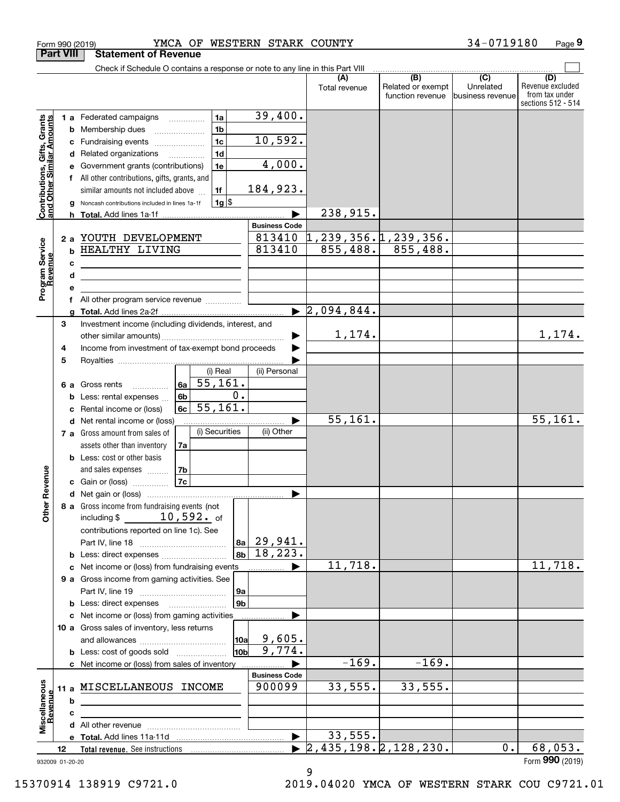|                                                                                                   | Form 990 (2019)                      | YMCA OF WESTERN STARK COUNTY                                                                                                                                                                                                                                                                                                                                                                                                                                                                             |                                                                                      |                                  |                                                           | 34-0719180                                        | Page 9                                                          |
|---------------------------------------------------------------------------------------------------|--------------------------------------|----------------------------------------------------------------------------------------------------------------------------------------------------------------------------------------------------------------------------------------------------------------------------------------------------------------------------------------------------------------------------------------------------------------------------------------------------------------------------------------------------------|--------------------------------------------------------------------------------------|----------------------------------|-----------------------------------------------------------|---------------------------------------------------|-----------------------------------------------------------------|
|                                                                                                   | <b>Part VIII</b>                     | <b>Statement of Revenue</b>                                                                                                                                                                                                                                                                                                                                                                                                                                                                              |                                                                                      |                                  |                                                           |                                                   |                                                                 |
|                                                                                                   |                                      | Check if Schedule O contains a response or note to any line in this Part VIII                                                                                                                                                                                                                                                                                                                                                                                                                            |                                                                                      | Total revenue                    | $\overline{(B)}$<br>Related or exempt<br>function revenue | $\overline{(C)}$<br>Unrelated<br>business revenue | (D)<br>Revenue excluded<br>from tax under<br>sections 512 - 514 |
| Contributions, Gifts, Grants<br>and Other Similar Amounts<br>Program Service<br>Revenue<br>evenue | b<br>c<br>d<br>a<br>b<br>c<br>d<br>е | 1a<br>1 a Federated campaigns<br>1 <sub>b</sub><br>Membership dues<br>1 <sub>c</sub><br>Fundraising events<br>1 <sub>d</sub><br>Related organizations<br>1e<br>Government grants (contributions)<br>f All other contributions, gifts, grants, and<br>similar amounts not included above<br>1f<br>$1g$ \$<br>Noncash contributions included in lines 1a-1f<br>2 a YOUTH DEVELOPMENT<br>HEALTHY LIVING<br><u> 1989 - Johann Barn, mars ann an t-Amhain ann an t-A</u><br>All other program service revenue | 39,400.<br>10,592.<br>4,000.<br>184,923.<br><b>Business Code</b><br>813410<br>813410 | 238,915.<br>855, 488.            | $1, 239, 356.$ 1, 239, 356.<br>855,488.                   |                                                   |                                                                 |
|                                                                                                   | a                                    |                                                                                                                                                                                                                                                                                                                                                                                                                                                                                                          |                                                                                      | $\blacktriangleright$ 2,094,844. |                                                           |                                                   |                                                                 |
|                                                                                                   | 3<br>4<br>5                          | Investment income (including dividends, interest, and<br>Income from investment of tax-exempt bond proceeds<br>(i) Real                                                                                                                                                                                                                                                                                                                                                                                  | (ii) Personal                                                                        | 1,174.                           |                                                           |                                                   | 1,174.                                                          |
|                                                                                                   | 6а<br>b<br>c<br>d                    | 55, 161.<br>6a<br>Gross rents<br>0.<br>6b<br>Less: rental expenses<br>55, 161.<br>6c<br>Rental income or (loss)<br>Net rental income or (loss)                                                                                                                                                                                                                                                                                                                                                           |                                                                                      | 55, 161.                         |                                                           |                                                   | 55, 161.                                                        |
| evenue                                                                                            |                                      | (i) Securities<br>7 a Gross amount from sales of<br>assets other than inventory<br>7a<br><b>b</b> Less: cost or other basis<br>and sales expenses<br>7b<br>7c<br>c Gain or (loss)                                                                                                                                                                                                                                                                                                                        | (ii) Other                                                                           |                                  |                                                           |                                                   |                                                                 |
|                                                                                                   |                                      |                                                                                                                                                                                                                                                                                                                                                                                                                                                                                                          |                                                                                      |                                  |                                                           |                                                   |                                                                 |
| Other Re                                                                                          |                                      | 8 a Gross income from fundraising events (not<br>including $$10,592.$ of<br>contributions reported on line 1c). See<br>8a<br>8b<br><b>b</b> Less: direct expenses                                                                                                                                                                                                                                                                                                                                        | 29,941.<br>18, 223.                                                                  |                                  |                                                           |                                                   |                                                                 |
|                                                                                                   | с                                    | Net income or (loss) from fundraising events                                                                                                                                                                                                                                                                                                                                                                                                                                                             |                                                                                      | 11,718.                          |                                                           |                                                   | 11,718.                                                         |
|                                                                                                   |                                      | 9 a Gross income from gaming activities. See<br>9а<br>9 <sub>b</sub><br><b>b</b> Less: direct expenses <b>manually</b>                                                                                                                                                                                                                                                                                                                                                                                   |                                                                                      |                                  |                                                           |                                                   |                                                                 |
|                                                                                                   |                                      | c Net income or (loss) from gaming activities<br>10 a Gross sales of inventory, less returns<br>10a<br>10bl<br><b>b</b> Less: cost of goods sold                                                                                                                                                                                                                                                                                                                                                         | 9,605.<br>9,774.                                                                     |                                  |                                                           |                                                   |                                                                 |
|                                                                                                   |                                      | c Net income or (loss) from sales of inventory                                                                                                                                                                                                                                                                                                                                                                                                                                                           |                                                                                      | $-169.$                          | $-169.$                                                   |                                                   |                                                                 |
| Miscellaneous<br>Revenue                                                                          | 11 a<br>b                            | MISCELLANEOUS INCOME                                                                                                                                                                                                                                                                                                                                                                                                                                                                                     | <b>Business Code</b><br>900099                                                       | 33,555.                          | 33,555.                                                   |                                                   |                                                                 |
|                                                                                                   | c                                    |                                                                                                                                                                                                                                                                                                                                                                                                                                                                                                          |                                                                                      |                                  |                                                           |                                                   |                                                                 |
|                                                                                                   |                                      |                                                                                                                                                                                                                                                                                                                                                                                                                                                                                                          |                                                                                      |                                  |                                                           |                                                   |                                                                 |
|                                                                                                   |                                      |                                                                                                                                                                                                                                                                                                                                                                                                                                                                                                          |                                                                                      | 33,555.                          |                                                           |                                                   |                                                                 |
|                                                                                                   | 12                                   |                                                                                                                                                                                                                                                                                                                                                                                                                                                                                                          |                                                                                      | 2,435,198.2,128,230.             |                                                           | 0.                                                | 68,053.                                                         |
|                                                                                                   | 932009 01-20-20                      |                                                                                                                                                                                                                                                                                                                                                                                                                                                                                                          |                                                                                      |                                  |                                                           |                                                   | Form 990 (2019)                                                 |

9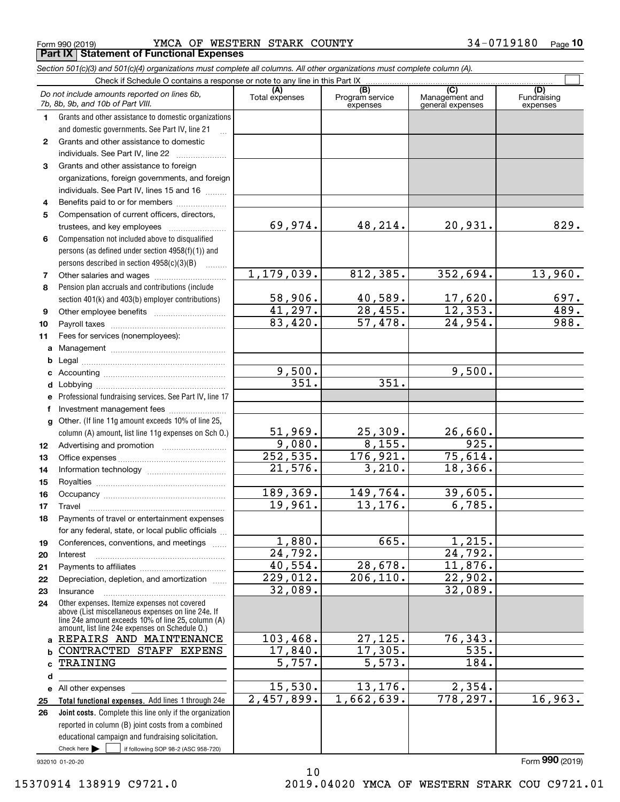Form 990 (2019) **YMCA OF WESTERN STARK COUNTY 3 4** – 0 7 1 9 1 8 0 9 **Part IX Statement of Functional Expenses**

|              | Section 501(c)(3) and 501(c)(4) organizations must complete all columns. All other organizations must complete column (A).                                                                                 |                       |                                    |                                           |                                |
|--------------|------------------------------------------------------------------------------------------------------------------------------------------------------------------------------------------------------------|-----------------------|------------------------------------|-------------------------------------------|--------------------------------|
|              | Check if Schedule O contains a response or note to any line in this Part IX                                                                                                                                |                       |                                    |                                           |                                |
|              | Do not include amounts reported on lines 6b,<br>7b, 8b, 9b, and 10b of Part VIII.                                                                                                                          | (A)<br>Total expenses | (B)<br>Program service<br>expenses | (C)<br>Management and<br>general expenses | (D)<br>Fundraising<br>expenses |
| 1.           | Grants and other assistance to domestic organizations                                                                                                                                                      |                       |                                    |                                           |                                |
|              | and domestic governments. See Part IV, line 21                                                                                                                                                             |                       |                                    |                                           |                                |
| $\mathbf{2}$ | Grants and other assistance to domestic                                                                                                                                                                    |                       |                                    |                                           |                                |
|              | individuals. See Part IV, line 22                                                                                                                                                                          |                       |                                    |                                           |                                |
| 3            | Grants and other assistance to foreign                                                                                                                                                                     |                       |                                    |                                           |                                |
|              | organizations, foreign governments, and foreign                                                                                                                                                            |                       |                                    |                                           |                                |
|              | individuals. See Part IV, lines 15 and 16                                                                                                                                                                  |                       |                                    |                                           |                                |
| 4            | Benefits paid to or for members                                                                                                                                                                            |                       |                                    |                                           |                                |
| 5            | Compensation of current officers, directors,                                                                                                                                                               |                       |                                    |                                           |                                |
|              | trustees, and key employees                                                                                                                                                                                | 69,974.               | 48,214.                            | 20,931.                                   | 829.                           |
| 6            | Compensation not included above to disqualified                                                                                                                                                            |                       |                                    |                                           |                                |
|              | persons (as defined under section 4958(f)(1)) and                                                                                                                                                          |                       |                                    |                                           |                                |
|              | persons described in section 4958(c)(3)(B)<br>.                                                                                                                                                            |                       |                                    |                                           |                                |
| 7            |                                                                                                                                                                                                            | 1, 179, 039.          | 812,385.                           | 352,694.                                  | 13,960.                        |
| 8            | Pension plan accruals and contributions (include                                                                                                                                                           |                       |                                    |                                           |                                |
|              | section 401(k) and 403(b) employer contributions)                                                                                                                                                          | 58,906.               | 40,589.                            | $\frac{17,620}{12,353}$                   | $\frac{697}{489}$ .            |
| 9            |                                                                                                                                                                                                            | 41,297.               | $\overline{28, 455}$ .             |                                           |                                |
| 10           |                                                                                                                                                                                                            | 83,420.               | 57,478.                            | 24,954.                                   | 988.                           |
| 11           | Fees for services (nonemployees):                                                                                                                                                                          |                       |                                    |                                           |                                |
| a            |                                                                                                                                                                                                            |                       |                                    |                                           |                                |
| b            |                                                                                                                                                                                                            |                       |                                    |                                           |                                |
| c            |                                                                                                                                                                                                            | 9,500.                |                                    | 9,500.                                    |                                |
| d            |                                                                                                                                                                                                            | $\overline{351}$ .    | 351.                               |                                           |                                |
| е            | Professional fundraising services. See Part IV, line 17                                                                                                                                                    |                       |                                    |                                           |                                |
| f            | Investment management fees                                                                                                                                                                                 |                       |                                    |                                           |                                |
| g            | Other. (If line 11g amount exceeds 10% of line 25,                                                                                                                                                         |                       |                                    |                                           |                                |
|              | column (A) amount, list line 11g expenses on Sch O.)                                                                                                                                                       | 51,969.               | 25,309.                            | 26,660.                                   |                                |
| 12           |                                                                                                                                                                                                            | 9,080.                | 8,155.                             | 925.                                      |                                |
| 13           |                                                                                                                                                                                                            | 252,535.              | 176,921.                           | 75,614.                                   |                                |
| 14           |                                                                                                                                                                                                            | 21,576.               | 3,210.                             | 18,366.                                   |                                |
| 15           |                                                                                                                                                                                                            |                       |                                    |                                           |                                |
| 16           |                                                                                                                                                                                                            | 189,369.              | 149,764.                           | 39,605.                                   |                                |
| 17           |                                                                                                                                                                                                            | 19,961.               | 13, 176.                           | 6,785.                                    |                                |
| 18           | Payments of travel or entertainment expenses                                                                                                                                                               |                       |                                    |                                           |                                |
|              | for any federal, state, or local public officials                                                                                                                                                          |                       |                                    |                                           |                                |
| 19           | Conferences, conventions, and meetings                                                                                                                                                                     | 1,880.                | 665.                               | 1,215.                                    |                                |
| 20           | Interest                                                                                                                                                                                                   | 24,792.               |                                    | $\overline{24, 792}$ .                    |                                |
| 21           |                                                                                                                                                                                                            | 40,554.               | 28,678.                            | 11,876.                                   |                                |
| 22           | Depreciation, depletion, and amortization                                                                                                                                                                  | 229,012.              | 206, 110.                          | $\overline{22,902.}$                      |                                |
| 23           | Insurance                                                                                                                                                                                                  | 32,089.               |                                    | 32,089.                                   |                                |
| 24           | Other expenses. Itemize expenses not covered<br>above (List miscellaneous expenses on line 24e. If<br>line 24e amount exceeds 10% of line 25, column (A)<br>amount, list line 24e expenses on Schedule O.) |                       |                                    |                                           |                                |
| a            | REPAIRS AND MAINTENANCE                                                                                                                                                                                    | 103,468.              | 27, 125.                           | 76, 343.                                  |                                |
| b            | CONTRACTED STAFF EXPENS                                                                                                                                                                                    | 17,840.               | 17,305.                            | 535.                                      |                                |
| c            | TRAINING                                                                                                                                                                                                   | $\overline{5,757}$ .  | 5,573.                             | 184.                                      |                                |
| d            |                                                                                                                                                                                                            |                       |                                    |                                           |                                |
|              | e All other expenses                                                                                                                                                                                       | 15,530.               | 13,176.                            | 2,354.                                    |                                |
| 25           | Total functional expenses. Add lines 1 through 24e                                                                                                                                                         | 2,457,899.            | 1,662,639.                         | 778, 297.                                 | 16,963.                        |
| 26           | Joint costs. Complete this line only if the organization                                                                                                                                                   |                       |                                    |                                           |                                |
|              | reported in column (B) joint costs from a combined                                                                                                                                                         |                       |                                    |                                           |                                |
|              | educational campaign and fundraising solicitation.                                                                                                                                                         |                       |                                    |                                           |                                |
|              | Check here $\blacktriangleright$<br>if following SOP 98-2 (ASC 958-720)                                                                                                                                    |                       |                                    |                                           |                                |

10

932010 01-20-20

Form (2019) **990**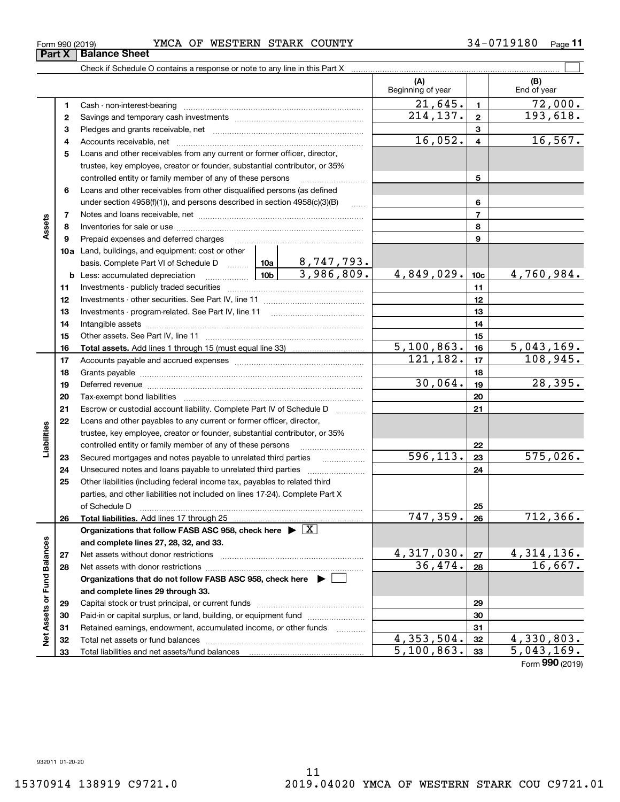| Form 990 (2019)               |  |  |
|-------------------------------|--|--|
| <b>Part X   Balance Sheet</b> |  |  |
|                               |  |  |

## Form 990 (2019) **YMCA OF WESTERN STARK COUNTY 3 4** – 0 7 1 9 1 8 0 9

|                             |              |                                                                                                                                                                                                                                |           |                   | (A)<br>Beginning of year |          | (B)<br>End of year |
|-----------------------------|--------------|--------------------------------------------------------------------------------------------------------------------------------------------------------------------------------------------------------------------------------|-----------|-------------------|--------------------------|----------|--------------------|
|                             | 1            | Cash - non-interest-bearing                                                                                                                                                                                                    |           |                   | 21,645.                  | 1.       | 72,000.            |
|                             | $\mathbf{2}$ |                                                                                                                                                                                                                                | 214, 137. | $\mathbf{2}$      | 193,618.                 |          |                    |
|                             | 3            |                                                                                                                                                                                                                                |           |                   |                          | 3        |                    |
|                             | 4            |                                                                                                                                                                                                                                |           |                   | 16,052.                  | 4        | 16, 567.           |
|                             | 5            | Loans and other receivables from any current or former officer, director,                                                                                                                                                      |           |                   |                          |          |                    |
|                             |              | trustee, key employee, creator or founder, substantial contributor, or 35%                                                                                                                                                     |           |                   |                          |          |                    |
|                             |              | controlled entity or family member of any of these persons                                                                                                                                                                     |           |                   |                          | 5        |                    |
|                             | 6            | Loans and other receivables from other disqualified persons (as defined                                                                                                                                                        |           |                   |                          |          |                    |
|                             |              | under section $4958(f)(1)$ , and persons described in section $4958(c)(3)(B)$                                                                                                                                                  |           | $\sim$            |                          | 6        |                    |
|                             | 7            |                                                                                                                                                                                                                                |           |                   |                          | 7        |                    |
| Assets                      | 8            |                                                                                                                                                                                                                                |           |                   |                          | 8        |                    |
|                             | 9            | Prepaid expenses and deferred charges                                                                                                                                                                                          |           |                   |                          | 9        |                    |
|                             |              | <b>10a</b> Land, buildings, and equipment: cost or other                                                                                                                                                                       |           |                   |                          |          |                    |
|                             |              | basis. Complete Part VI of Schedule D    10a   8, 747, 793.                                                                                                                                                                    |           |                   |                          |          |                    |
|                             |              |                                                                                                                                                                                                                                |           | 3,986,809.        | 4,849,029.               | 10c      | 4,760,984.         |
|                             | 11           |                                                                                                                                                                                                                                |           |                   |                          | 11       |                    |
|                             | 12           |                                                                                                                                                                                                                                |           |                   | 12                       |          |                    |
|                             | 13           |                                                                                                                                                                                                                                |           | 13                |                          |          |                    |
|                             | 14           |                                                                                                                                                                                                                                |           | 14                |                          |          |                    |
|                             | 15           |                                                                                                                                                                                                                                |           | 15                |                          |          |                    |
|                             | 16           |                                                                                                                                                                                                                                |           |                   | $\overline{5,100,863}$ . | 16       | 5,043,169.         |
|                             | 17           |                                                                                                                                                                                                                                |           |                   | 121,182.                 | 17       | 108,945.           |
|                             | 18           |                                                                                                                                                                                                                                |           |                   |                          | 18       |                    |
|                             | 19           | Deferred revenue information and contain an area of the contained and area of the contained and contained and contain and contain and contain and contain and contain and contain and contain and contain and contain and cont | 30,064.   | 19                | 28,395.                  |          |                    |
|                             | 20           |                                                                                                                                                                                                                                |           | 20                |                          |          |                    |
|                             | 21           | Escrow or custodial account liability. Complete Part IV of Schedule D                                                                                                                                                          |           |                   |                          | 21       |                    |
|                             | 22           | Loans and other payables to any current or former officer, director,                                                                                                                                                           |           |                   |                          |          |                    |
| Liabilities                 |              | trustee, key employee, creator or founder, substantial contributor, or 35%                                                                                                                                                     |           |                   |                          |          |                    |
|                             |              | controlled entity or family member of any of these persons                                                                                                                                                                     |           |                   |                          | 22       |                    |
|                             | 23           | Secured mortgages and notes payable to unrelated third parties                                                                                                                                                                 |           | 596,113.          | 23                       | 575,026. |                    |
|                             | 24           |                                                                                                                                                                                                                                |           |                   |                          | 24       |                    |
|                             | 25           | Other liabilities (including federal income tax, payables to related third                                                                                                                                                     |           |                   |                          |          |                    |
|                             |              | parties, and other liabilities not included on lines 17-24). Complete Part X                                                                                                                                                   |           |                   |                          |          |                    |
|                             |              | of Schedule D                                                                                                                                                                                                                  |           |                   | 747,359.                 | 25       | 712, 366.          |
|                             | 26           | Total liabilities. Add lines 17 through 25<br>Organizations that follow FASB ASC 958, check here $\triangleright \lfloor X \rfloor$                                                                                            |           |                   |                          | 26       |                    |
|                             |              |                                                                                                                                                                                                                                |           |                   |                          |          |                    |
|                             |              | and complete lines 27, 28, 32, and 33.<br>Net assets without donor restrictions                                                                                                                                                |           |                   | 4,317,030.               | 27       | <u>4,314,136.</u>  |
|                             | 27<br>28     |                                                                                                                                                                                                                                |           |                   | 36,474.                  | 28       | 16,667.            |
|                             |              | Organizations that do not follow FASB ASC 958, check here ▶ [                                                                                                                                                                  |           |                   |                          |          |                    |
|                             |              | and complete lines 29 through 33.                                                                                                                                                                                              |           |                   |                          |          |                    |
|                             | 29           |                                                                                                                                                                                                                                |           |                   |                          | 29       |                    |
|                             | 30           |                                                                                                                                                                                                                                |           |                   |                          | 30       |                    |
|                             | 31           | Retained earnings, endowment, accumulated income, or other funds                                                                                                                                                               |           | 1.1.1.1.1.1.1.1.1 |                          | 31       |                    |
| Net Assets or Fund Balances | 32           |                                                                                                                                                                                                                                |           |                   | 4,353,504.               | 32       | 4,330,803.         |
|                             |              |                                                                                                                                                                                                                                |           |                   |                          |          |                    |

 $\mathcal{L}^{\text{max}}$ 

5,100,863. 5,043,169.

**33**

Form (2019) **990**

Check if Schedule O contains a response or note to any line in this Part X

**33**

Total liabilities and net assets/fund balances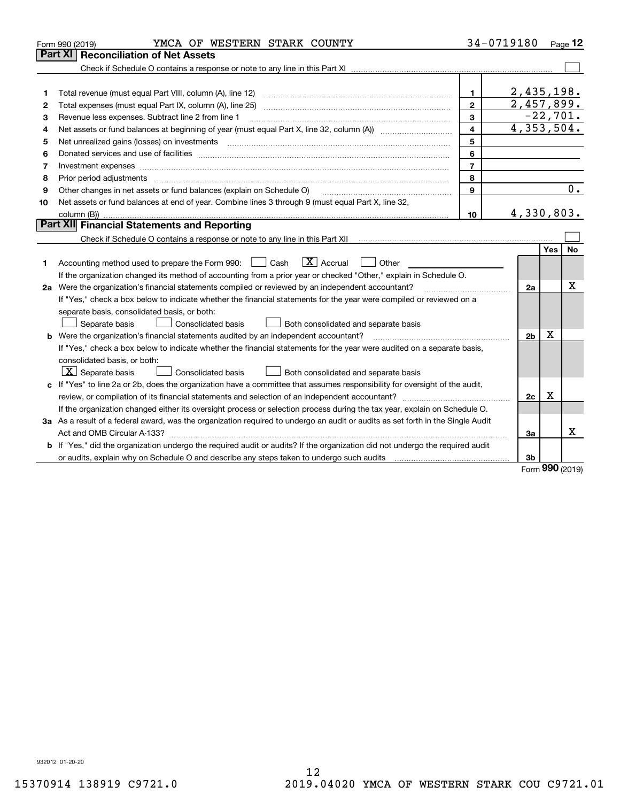|    | YMCA OF WESTERN STARK COUNTY<br>Form 990 (2019)                                                                                 |                         | 34-0719180     |            | $_{\text{Page}}$ 12 |
|----|---------------------------------------------------------------------------------------------------------------------------------|-------------------------|----------------|------------|---------------------|
|    | <b>Part XI   Reconciliation of Net Assets</b>                                                                                   |                         |                |            |                     |
|    |                                                                                                                                 |                         |                |            |                     |
|    |                                                                                                                                 |                         |                |            |                     |
| 1  | Total revenue (must equal Part VIII, column (A), line 12)                                                                       | 1.                      | 2,435,198.     |            |                     |
| 2  |                                                                                                                                 | $\mathbf{2}$            | 2,457,899.     |            |                     |
| 3  | Revenue less expenses. Subtract line 2 from line 1                                                                              | 3                       |                | $-22,701.$ |                     |
| 4  | Net assets or fund balances at beginning of year (must equal Part X, line 32, column (A)) manured manured                       | $\overline{\mathbf{4}}$ | 4,353,504.     |            |                     |
| 5  | Net unrealized gains (losses) on investments                                                                                    | 5                       |                |            |                     |
| 6  |                                                                                                                                 | 6                       |                |            |                     |
| 7  |                                                                                                                                 | $\overline{7}$          |                |            |                     |
| 8  | Prior period adjustments                                                                                                        | 8                       |                |            |                     |
| 9  | Other changes in net assets or fund balances (explain on Schedule O)                                                            | 9                       |                |            | 0.                  |
| 10 | Net assets or fund balances at end of year. Combine lines 3 through 9 (must equal Part X, line 32,                              |                         |                |            |                     |
|    |                                                                                                                                 | 10                      | 4,330,803.     |            |                     |
|    | Part XII Financial Statements and Reporting                                                                                     |                         |                |            |                     |
|    |                                                                                                                                 |                         |                |            |                     |
|    |                                                                                                                                 |                         |                | Yes        | No                  |
| 1  | $\boxed{\mathbf{X}}$ Accrual<br>Accounting method used to prepare the Form 990: <u>June</u> Cash<br>Other                       |                         |                |            |                     |
|    | If the organization changed its method of accounting from a prior year or checked "Other," explain in Schedule O.               |                         |                |            |                     |
|    | 2a Were the organization's financial statements compiled or reviewed by an independent accountant?                              |                         | 2a             |            | Χ                   |
|    | If "Yes," check a box below to indicate whether the financial statements for the year were compiled or reviewed on a            |                         |                |            |                     |
|    | separate basis, consolidated basis, or both:                                                                                    |                         |                |            |                     |
|    | Separate basis<br>Consolidated basis<br>Both consolidated and separate basis                                                    |                         |                |            |                     |
|    | <b>b</b> Were the organization's financial statements audited by an independent accountant?                                     |                         | 2 <sub>b</sub> | X          |                     |
|    | If "Yes," check a box below to indicate whether the financial statements for the year were audited on a separate basis,         |                         |                |            |                     |
|    | consolidated basis, or both:                                                                                                    |                         |                |            |                     |
|    | $\vert$ X $\vert$ Separate basis<br>Consolidated basis<br>Both consolidated and separate basis                                  |                         |                |            |                     |
|    | c If "Yes" to line 2a or 2b, does the organization have a committee that assumes responsibility for oversight of the audit,     |                         |                |            |                     |
|    |                                                                                                                                 |                         | 2c             | x          |                     |
|    | If the organization changed either its oversight process or selection process during the tax year, explain on Schedule O.       |                         |                |            |                     |
|    | 3a As a result of a federal award, was the organization required to undergo an audit or audits as set forth in the Single Audit |                         |                |            |                     |
|    |                                                                                                                                 |                         | За             |            | x                   |
|    | b If "Yes," did the organization undergo the required audit or audits? If the organization did not undergo the required audit   |                         |                |            |                     |
|    | or audits, explain why on Schedule O and describe any steps taken to undergo such audits                                        |                         | 3 <sub>b</sub> |            |                     |

Form (2019) **990**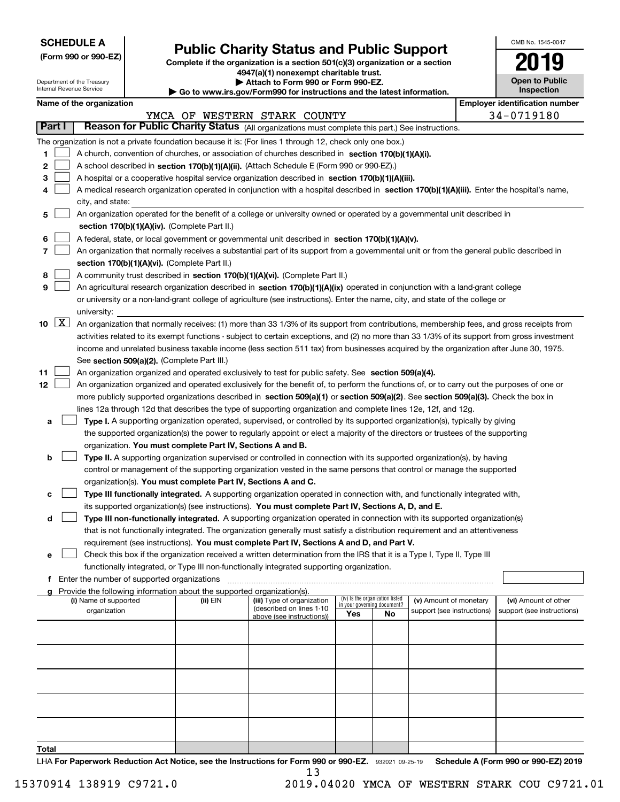| <b>SCHEDULE A</b> |
|-------------------|
|-------------------|

Department of the Treasury Internal Revenue Service

**(Form 990 or 990-EZ)**

# **Public Charity Status and Public Support**

**Complete if the organization is a section 501(c)(3) organization or a section 4947(a)(1) nonexempt charitable trust.**

| Attach to Form 990 or Form 990-EZ. |
|------------------------------------|
|                                    |

**| Go to www.irs.gov/Form990 for instructions and the latest information.**

| OMB No. 1545-0047                   |
|-------------------------------------|
|                                     |
| <b>Open to Public</b><br>Inspection |

**Employer identification number** 

| Name of the organization |  |
|--------------------------|--|
|--------------------------|--|

|                   |                                                                                                                                                                                                                                                                                                                                                                                                                                                                                                                                                                    |          | YMCA OF WESTERN STARK COUNTY                                                        |                                        |                                   |                                                      |  | $34 - 0719180$                                     |  |  |  |
|-------------------|--------------------------------------------------------------------------------------------------------------------------------------------------------------------------------------------------------------------------------------------------------------------------------------------------------------------------------------------------------------------------------------------------------------------------------------------------------------------------------------------------------------------------------------------------------------------|----------|-------------------------------------------------------------------------------------|----------------------------------------|-----------------------------------|------------------------------------------------------|--|----------------------------------------------------|--|--|--|
| <b>Part I</b>     | Reason for Public Charity Status (All organizations must complete this part.) See instructions.                                                                                                                                                                                                                                                                                                                                                                                                                                                                    |          |                                                                                     |                                        |                                   |                                                      |  |                                                    |  |  |  |
| 1.<br>2<br>з<br>4 | The organization is not a private foundation because it is: (For lines 1 through 12, check only one box.)<br>A church, convention of churches, or association of churches described in section $170(b)(1)(A)(i)$ .<br>A school described in section 170(b)(1)(A)(ii). (Attach Schedule E (Form 990 or 990-EZ).)<br>A hospital or a cooperative hospital service organization described in section 170(b)(1)(A)(iii).<br>A medical research organization operated in conjunction with a hospital described in section 170(b)(1)(A)(iii). Enter the hospital's name, |          |                                                                                     |                                        |                                   |                                                      |  |                                                    |  |  |  |
|                   | city, and state:                                                                                                                                                                                                                                                                                                                                                                                                                                                                                                                                                   |          |                                                                                     |                                        |                                   |                                                      |  |                                                    |  |  |  |
| 5                 | An organization operated for the benefit of a college or university owned or operated by a governmental unit described in<br>section 170(b)(1)(A)(iv). (Complete Part II.)                                                                                                                                                                                                                                                                                                                                                                                         |          |                                                                                     |                                        |                                   |                                                      |  |                                                    |  |  |  |
| 6                 | A federal, state, or local government or governmental unit described in section 170(b)(1)(A)(v).                                                                                                                                                                                                                                                                                                                                                                                                                                                                   |          |                                                                                     |                                        |                                   |                                                      |  |                                                    |  |  |  |
| 7                 | An organization that normally receives a substantial part of its support from a governmental unit or from the general public described in                                                                                                                                                                                                                                                                                                                                                                                                                          |          |                                                                                     |                                        |                                   |                                                      |  |                                                    |  |  |  |
|                   | section 170(b)(1)(A)(vi). (Complete Part II.)                                                                                                                                                                                                                                                                                                                                                                                                                                                                                                                      |          |                                                                                     |                                        |                                   |                                                      |  |                                                    |  |  |  |
| 8                 | A community trust described in section 170(b)(1)(A)(vi). (Complete Part II.)                                                                                                                                                                                                                                                                                                                                                                                                                                                                                       |          |                                                                                     |                                        |                                   |                                                      |  |                                                    |  |  |  |
| 9                 | An agricultural research organization described in section 170(b)(1)(A)(ix) operated in conjunction with a land-grant college                                                                                                                                                                                                                                                                                                                                                                                                                                      |          |                                                                                     |                                        |                                   |                                                      |  |                                                    |  |  |  |
|                   | or university or a non-land-grant college of agriculture (see instructions). Enter the name, city, and state of the college or                                                                                                                                                                                                                                                                                                                                                                                                                                     |          |                                                                                     |                                        |                                   |                                                      |  |                                                    |  |  |  |
|                   | university:                                                                                                                                                                                                                                                                                                                                                                                                                                                                                                                                                        |          |                                                                                     |                                        |                                   |                                                      |  |                                                    |  |  |  |
| 10 $X$            | An organization that normally receives: (1) more than 33 1/3% of its support from contributions, membership fees, and gross receipts from                                                                                                                                                                                                                                                                                                                                                                                                                          |          |                                                                                     |                                        |                                   |                                                      |  |                                                    |  |  |  |
|                   | activities related to its exempt functions - subject to certain exceptions, and (2) no more than 33 1/3% of its support from gross investment                                                                                                                                                                                                                                                                                                                                                                                                                      |          |                                                                                     |                                        |                                   |                                                      |  |                                                    |  |  |  |
|                   | income and unrelated business taxable income (less section 511 tax) from businesses acquired by the organization after June 30, 1975.<br>See section 509(a)(2). (Complete Part III.)                                                                                                                                                                                                                                                                                                                                                                               |          |                                                                                     |                                        |                                   |                                                      |  |                                                    |  |  |  |
| 11                | An organization organized and operated exclusively to test for public safety. See section 509(a)(4).                                                                                                                                                                                                                                                                                                                                                                                                                                                               |          |                                                                                     |                                        |                                   |                                                      |  |                                                    |  |  |  |
| 12                | An organization organized and operated exclusively for the benefit of, to perform the functions of, or to carry out the purposes of one or                                                                                                                                                                                                                                                                                                                                                                                                                         |          |                                                                                     |                                        |                                   |                                                      |  |                                                    |  |  |  |
|                   | more publicly supported organizations described in section 509(a)(1) or section 509(a)(2). See section 509(a)(3). Check the box in                                                                                                                                                                                                                                                                                                                                                                                                                                 |          |                                                                                     |                                        |                                   |                                                      |  |                                                    |  |  |  |
|                   | lines 12a through 12d that describes the type of supporting organization and complete lines 12e, 12f, and 12g.                                                                                                                                                                                                                                                                                                                                                                                                                                                     |          |                                                                                     |                                        |                                   |                                                      |  |                                                    |  |  |  |
| а                 | Type I. A supporting organization operated, supervised, or controlled by its supported organization(s), typically by giving                                                                                                                                                                                                                                                                                                                                                                                                                                        |          |                                                                                     |                                        |                                   |                                                      |  |                                                    |  |  |  |
|                   | the supported organization(s) the power to regularly appoint or elect a majority of the directors or trustees of the supporting                                                                                                                                                                                                                                                                                                                                                                                                                                    |          |                                                                                     |                                        |                                   |                                                      |  |                                                    |  |  |  |
|                   | organization. You must complete Part IV, Sections A and B.                                                                                                                                                                                                                                                                                                                                                                                                                                                                                                         |          |                                                                                     |                                        |                                   |                                                      |  |                                                    |  |  |  |
| b                 | Type II. A supporting organization supervised or controlled in connection with its supported organization(s), by having                                                                                                                                                                                                                                                                                                                                                                                                                                            |          |                                                                                     |                                        |                                   |                                                      |  |                                                    |  |  |  |
|                   | control or management of the supporting organization vested in the same persons that control or manage the supported                                                                                                                                                                                                                                                                                                                                                                                                                                               |          |                                                                                     |                                        |                                   |                                                      |  |                                                    |  |  |  |
|                   | organization(s). You must complete Part IV, Sections A and C.                                                                                                                                                                                                                                                                                                                                                                                                                                                                                                      |          |                                                                                     |                                        |                                   |                                                      |  |                                                    |  |  |  |
| c                 | Type III functionally integrated. A supporting organization operated in connection with, and functionally integrated with,                                                                                                                                                                                                                                                                                                                                                                                                                                         |          |                                                                                     |                                        |                                   |                                                      |  |                                                    |  |  |  |
|                   | its supported organization(s) (see instructions). You must complete Part IV, Sections A, D, and E.                                                                                                                                                                                                                                                                                                                                                                                                                                                                 |          |                                                                                     |                                        |                                   |                                                      |  |                                                    |  |  |  |
| d                 | Type III non-functionally integrated. A supporting organization operated in connection with its supported organization(s)                                                                                                                                                                                                                                                                                                                                                                                                                                          |          |                                                                                     |                                        |                                   |                                                      |  |                                                    |  |  |  |
|                   | that is not functionally integrated. The organization generally must satisfy a distribution requirement and an attentiveness<br>requirement (see instructions). You must complete Part IV, Sections A and D, and Part V.                                                                                                                                                                                                                                                                                                                                           |          |                                                                                     |                                        |                                   |                                                      |  |                                                    |  |  |  |
| е                 | Check this box if the organization received a written determination from the IRS that it is a Type I, Type II, Type III                                                                                                                                                                                                                                                                                                                                                                                                                                            |          |                                                                                     |                                        |                                   |                                                      |  |                                                    |  |  |  |
|                   | functionally integrated, or Type III non-functionally integrated supporting organization.                                                                                                                                                                                                                                                                                                                                                                                                                                                                          |          |                                                                                     |                                        |                                   |                                                      |  |                                                    |  |  |  |
|                   | f Enter the number of supported organizations                                                                                                                                                                                                                                                                                                                                                                                                                                                                                                                      |          |                                                                                     |                                        |                                   |                                                      |  |                                                    |  |  |  |
|                   | Provide the following information about the supported organization(s).                                                                                                                                                                                                                                                                                                                                                                                                                                                                                             |          |                                                                                     |                                        |                                   |                                                      |  |                                                    |  |  |  |
|                   | (i) Name of supported<br>organization                                                                                                                                                                                                                                                                                                                                                                                                                                                                                                                              | (ii) EIN | (iii) Type of organization<br>(described on lines 1-10<br>above (see instructions)) | (iv) Is the organization listed<br>Yes | in your governing document?<br>No | (v) Amount of monetary<br>support (see instructions) |  | (vi) Amount of other<br>support (see instructions) |  |  |  |
|                   |                                                                                                                                                                                                                                                                                                                                                                                                                                                                                                                                                                    |          |                                                                                     |                                        |                                   |                                                      |  |                                                    |  |  |  |
|                   |                                                                                                                                                                                                                                                                                                                                                                                                                                                                                                                                                                    |          |                                                                                     |                                        |                                   |                                                      |  |                                                    |  |  |  |
|                   |                                                                                                                                                                                                                                                                                                                                                                                                                                                                                                                                                                    |          |                                                                                     |                                        |                                   |                                                      |  |                                                    |  |  |  |
|                   |                                                                                                                                                                                                                                                                                                                                                                                                                                                                                                                                                                    |          |                                                                                     |                                        |                                   |                                                      |  |                                                    |  |  |  |
|                   |                                                                                                                                                                                                                                                                                                                                                                                                                                                                                                                                                                    |          |                                                                                     |                                        |                                   |                                                      |  |                                                    |  |  |  |
| Total             |                                                                                                                                                                                                                                                                                                                                                                                                                                                                                                                                                                    |          |                                                                                     |                                        |                                   |                                                      |  |                                                    |  |  |  |

LHA For Paperwork Reduction Act Notice, see the Instructions for Form 990 or 990-EZ. 932021 09-25-19 Schedule A (Form 990 or 990-EZ) 2019 13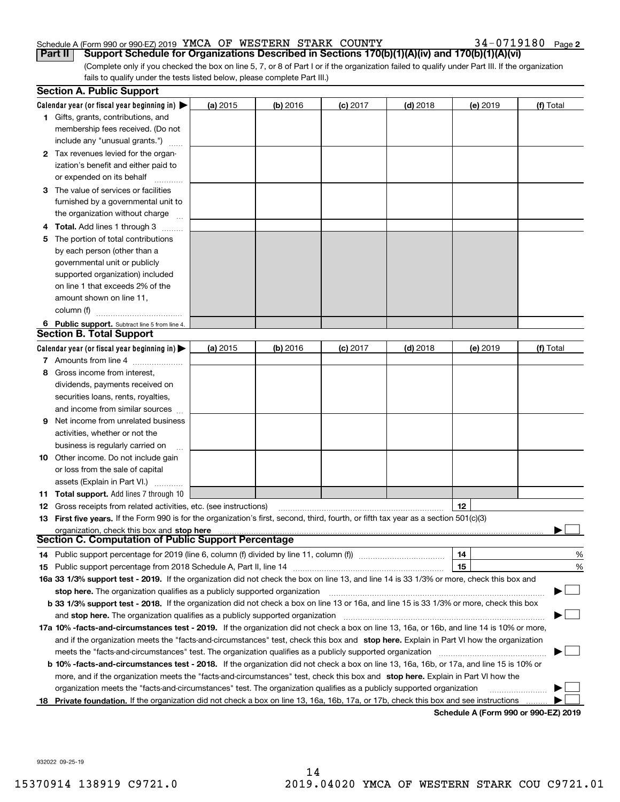## Schedule A (Form 990 or 990-EZ) 2019 Page YMCA OF WESTERN STARK COUNTY 34-0719180

34-0719180 Page 2

(Complete only if you checked the box on line 5, 7, or 8 of Part I or if the organization failed to qualify under Part III. If the organization fails to qualify under the tests listed below, please complete Part III.) **Part II** | Support Schedule for Organizations Described in Sections 170(b)(1)(A)(iv) and 170(b)(1)(A)(vi)

|    | <b>Section A. Public Support</b>                                                                                                               |            |            |            |            |          |                                      |
|----|------------------------------------------------------------------------------------------------------------------------------------------------|------------|------------|------------|------------|----------|--------------------------------------|
|    | Calendar year (or fiscal year beginning in) $\blacktriangleright$                                                                              | (a) 2015   | $(b)$ 2016 | $(c)$ 2017 | $(d)$ 2018 | (e) 2019 | (f) Total                            |
|    | <b>1</b> Gifts, grants, contributions, and                                                                                                     |            |            |            |            |          |                                      |
|    | membership fees received. (Do not                                                                                                              |            |            |            |            |          |                                      |
|    | include any "unusual grants.")                                                                                                                 |            |            |            |            |          |                                      |
|    | 2 Tax revenues levied for the organ-                                                                                                           |            |            |            |            |          |                                      |
|    | ization's benefit and either paid to                                                                                                           |            |            |            |            |          |                                      |
|    | or expended on its behalf                                                                                                                      |            |            |            |            |          |                                      |
|    | 3 The value of services or facilities                                                                                                          |            |            |            |            |          |                                      |
|    | furnished by a governmental unit to                                                                                                            |            |            |            |            |          |                                      |
|    | the organization without charge                                                                                                                |            |            |            |            |          |                                      |
|    | <b>4 Total.</b> Add lines 1 through 3                                                                                                          |            |            |            |            |          |                                      |
| 5. | The portion of total contributions                                                                                                             |            |            |            |            |          |                                      |
|    | by each person (other than a                                                                                                                   |            |            |            |            |          |                                      |
|    | governmental unit or publicly                                                                                                                  |            |            |            |            |          |                                      |
|    | supported organization) included                                                                                                               |            |            |            |            |          |                                      |
|    | on line 1 that exceeds 2% of the                                                                                                               |            |            |            |            |          |                                      |
|    | amount shown on line 11,                                                                                                                       |            |            |            |            |          |                                      |
|    | column (f)                                                                                                                                     |            |            |            |            |          |                                      |
|    | 6 Public support. Subtract line 5 from line 4.                                                                                                 |            |            |            |            |          |                                      |
|    | <b>Section B. Total Support</b>                                                                                                                |            |            |            |            |          |                                      |
|    | Calendar year (or fiscal year beginning in) $\blacktriangleright$                                                                              | (a) $2015$ | $(b)$ 2016 | $(c)$ 2017 | $(d)$ 2018 | (e) 2019 | (f) Total                            |
|    | 7 Amounts from line 4                                                                                                                          |            |            |            |            |          |                                      |
| 8  | Gross income from interest,                                                                                                                    |            |            |            |            |          |                                      |
|    | dividends, payments received on                                                                                                                |            |            |            |            |          |                                      |
|    | securities loans, rents, royalties,                                                                                                            |            |            |            |            |          |                                      |
|    | and income from similar sources                                                                                                                |            |            |            |            |          |                                      |
| 9  | Net income from unrelated business                                                                                                             |            |            |            |            |          |                                      |
|    | activities, whether or not the                                                                                                                 |            |            |            |            |          |                                      |
|    | business is regularly carried on                                                                                                               |            |            |            |            |          |                                      |
|    | <b>10</b> Other income. Do not include gain                                                                                                    |            |            |            |            |          |                                      |
|    | or loss from the sale of capital                                                                                                               |            |            |            |            |          |                                      |
|    | assets (Explain in Part VI.)                                                                                                                   |            |            |            |            |          |                                      |
|    | <b>11 Total support.</b> Add lines 7 through 10                                                                                                |            |            |            |            |          |                                      |
|    | <b>12</b> Gross receipts from related activities, etc. (see instructions)                                                                      |            |            |            |            | 12       |                                      |
|    | 13 First five years. If the Form 990 is for the organization's first, second, third, fourth, or fifth tax year as a section 501(c)(3)          |            |            |            |            |          |                                      |
|    | organization, check this box and stop here                                                                                                     |            |            |            |            |          |                                      |
|    | Section C. Computation of Public Support Percentage                                                                                            |            |            |            |            |          |                                      |
|    | 14 Public support percentage for 2019 (line 6, column (f) divided by line 11, column (f) <i>mummumumumum</i>                                   |            |            |            |            | 14       | %                                    |
|    |                                                                                                                                                |            |            |            |            | 15       | %                                    |
|    | 16a 33 1/3% support test - 2019. If the organization did not check the box on line 13, and line 14 is 33 1/3% or more, check this box and      |            |            |            |            |          |                                      |
|    | stop here. The organization qualifies as a publicly supported organization                                                                     |            |            |            |            |          |                                      |
|    | b 33 1/3% support test - 2018. If the organization did not check a box on line 13 or 16a, and line 15 is 33 1/3% or more, check this box       |            |            |            |            |          |                                      |
|    | and stop here. The organization qualifies as a publicly supported organization                                                                 |            |            |            |            |          |                                      |
|    | 17a 10% -facts-and-circumstances test - 2019. If the organization did not check a box on line 13, 16a, or 16b, and line 14 is 10% or more,     |            |            |            |            |          |                                      |
|    | and if the organization meets the "facts-and-circumstances" test, check this box and stop here. Explain in Part VI how the organization        |            |            |            |            |          |                                      |
|    | meets the "facts-and-circumstances" test. The organization qualifies as a publicly supported organization                                      |            |            |            |            |          |                                      |
|    | <b>b 10% -facts-and-circumstances test - 2018.</b> If the organization did not check a box on line 13, 16a, 16b, or 17a, and line 15 is 10% or |            |            |            |            |          |                                      |
|    | more, and if the organization meets the "facts-and-circumstances" test, check this box and stop here. Explain in Part VI how the               |            |            |            |            |          |                                      |
|    | organization meets the "facts-and-circumstances" test. The organization qualifies as a publicly supported organization                         |            |            |            |            |          |                                      |
|    | 18 Private foundation. If the organization did not check a box on line 13, 16a, 16b, 17a, or 17b, check this box and see instructions          |            |            |            |            |          |                                      |
|    |                                                                                                                                                |            |            |            |            |          | Schedule A (Form 990 or 990-F7) 2019 |

**Schedule A (Form 990 or 990-EZ) 2019**

932022 09-25-19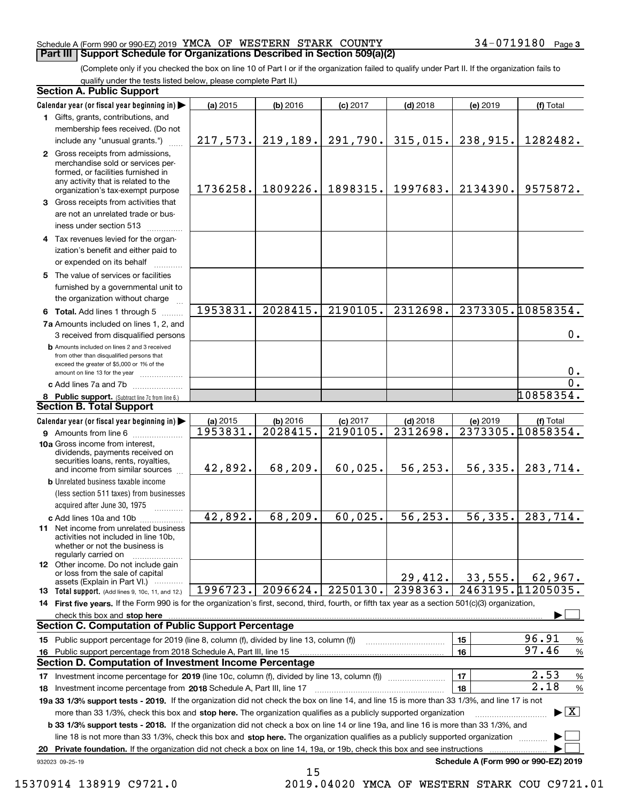### Schedule A (Form 990 or 990-EZ) 2019 Page YMCA OF WESTERN STARK COUNTY 34-0719180 **Part III Support Schedule for Organizations Described in Section 509(a)(2)**

(Complete only if you checked the box on line 10 of Part I or if the organization failed to qualify under Part II. If the organization fails to qualify under the tests listed below, please complete Part II.)

|    | <b>Section A. Public Support</b>                                                                                                                                                                                                      |          |          |            |            |          |                                          |
|----|---------------------------------------------------------------------------------------------------------------------------------------------------------------------------------------------------------------------------------------|----------|----------|------------|------------|----------|------------------------------------------|
|    | Calendar year (or fiscal year beginning in)                                                                                                                                                                                           | (a) 2015 | (b) 2016 | $(c)$ 2017 | $(d)$ 2018 | (e) 2019 | (f) Total                                |
|    | 1 Gifts, grants, contributions, and                                                                                                                                                                                                   |          |          |            |            |          |                                          |
|    | membership fees received. (Do not                                                                                                                                                                                                     |          |          |            |            |          |                                          |
|    | include any "unusual grants.")                                                                                                                                                                                                        | 217,573. | 219,189. | 291,790.   | 315,015.   | 238,915. | 1282482.                                 |
|    | 2 Gross receipts from admissions,<br>merchandise sold or services per-<br>formed, or facilities furnished in<br>any activity that is related to the<br>organization's tax-exempt purpose                                              | 1736258. | 1809226. | 1898315.   | 1997683.   | 2134390. | 9575872.                                 |
|    | 3 Gross receipts from activities that<br>are not an unrelated trade or bus-<br>iness under section 513                                                                                                                                |          |          |            |            |          |                                          |
|    | 4 Tax revenues levied for the organ-<br>ization's benefit and either paid to<br>or expended on its behalf                                                                                                                             |          |          |            |            |          |                                          |
|    | 5 The value of services or facilities<br>furnished by a governmental unit to<br>the organization without charge                                                                                                                       |          |          |            |            |          |                                          |
|    | 6 Total. Add lines 1 through 5                                                                                                                                                                                                        | 1953831. | 2028415. | 2190105.   | 2312698.   |          | 2373305.10858354.                        |
|    | 7a Amounts included on lines 1, 2, and                                                                                                                                                                                                |          |          |            |            |          |                                          |
|    | 3 received from disqualified persons                                                                                                                                                                                                  |          |          |            |            |          | 0.                                       |
|    | <b>b</b> Amounts included on lines 2 and 3 received<br>from other than disqualified persons that<br>exceed the greater of \$5,000 or 1% of the<br>amount on line 13 for the year                                                      |          |          |            |            |          | 0.                                       |
|    | c Add lines 7a and 7b                                                                                                                                                                                                                 |          |          |            |            |          | $\overline{0}$ .                         |
|    | 8 Public support. (Subtract line 7c from line 6.)                                                                                                                                                                                     |          |          |            |            |          | 10858354.                                |
|    | <b>Section B. Total Support</b>                                                                                                                                                                                                       |          |          |            |            |          |                                          |
|    | Calendar year (or fiscal year beginning in)                                                                                                                                                                                           | (a) 2015 | (b) 2016 | $(c)$ 2017 | $(d)$ 2018 | (e) 2019 | (f) Total                                |
|    | <b>9</b> Amounts from line 6                                                                                                                                                                                                          | 1953831. | 2028415. | 2190105.   | 2312698.   |          | 2373305.10858354.                        |
|    | 10a Gross income from interest,<br>dividends, payments received on<br>securities loans, rents, royalties,<br>and income from similar sources                                                                                          | 42,892.  | 68,209.  | 60,025.    | 56, 253.   | 56, 335. | 283,714.                                 |
|    | <b>b</b> Unrelated business taxable income                                                                                                                                                                                            |          |          |            |            |          |                                          |
|    | (less section 511 taxes) from businesses                                                                                                                                                                                              |          |          |            |            |          |                                          |
|    | acquired after June 30, 1975                                                                                                                                                                                                          |          |          |            |            |          |                                          |
|    | c Add lines 10a and 10b<br>11 Net income from unrelated business<br>activities not included in line 10b,<br>whether or not the business is                                                                                            | 42,892.  | 68, 209. | 60,025.    | 56, 253.   | 56, 335. | 283,714.                                 |
|    | regularly carried on<br><b>12</b> Other income. Do not include gain<br>or loss from the sale of capital<br>assets (Explain in Part VI.)                                                                                               |          |          |            | 29,412.    | 33,555.  | 62,967.                                  |
|    | <b>13</b> Total support. (Add lines 9, 10c, 11, and 12.)                                                                                                                                                                              | 1996723. | 2096624. | 2250130.   | 2398363.   |          | 2463195.11205035.                        |
|    | 14 First five years. If the Form 990 is for the organization's first, second, third, fourth, or fifth tax year as a section 501(c)(3) organization,                                                                                   |          |          |            |            |          |                                          |
|    | check this box and <b>stop here</b> www.communication.communication.communication.com/                                                                                                                                                |          |          |            |            |          |                                          |
|    | <b>Section C. Computation of Public Support Percentage</b>                                                                                                                                                                            |          |          |            |            |          |                                          |
|    | 15 Public support percentage for 2019 (line 8, column (f), divided by line 13, column (f))                                                                                                                                            |          |          |            |            | 15       | 96.91<br>$\%$                            |
|    | 16 Public support percentage from 2018 Schedule A, Part III, line 15<br><b>Section D. Computation of Investment Income Percentage</b>                                                                                                 |          |          |            |            | 16       | 97.46<br>$\%$                            |
|    |                                                                                                                                                                                                                                       |          |          |            |            |          | 2.53                                     |
|    | 17 Investment income percentage for 2019 (line 10c, column (f), divided by line 13, column (f))                                                                                                                                       |          |          |            |            | 17<br>18 | %<br>2.18                                |
|    | <b>18</b> Investment income percentage from <b>2018</b> Schedule A, Part III, line 17<br>19a 33 1/3% support tests - 2019. If the organization did not check the box on line 14, and line 15 is more than 33 1/3%, and line 17 is not |          |          |            |            |          | $\%$                                     |
|    | more than 33 1/3%, check this box and stop here. The organization qualifies as a publicly supported organization                                                                                                                      |          |          |            |            |          | $\blacktriangleright$ $\boxed{\text{X}}$ |
|    | b 33 1/3% support tests - 2018. If the organization did not check a box on line 14 or line 19a, and line 16 is more than 33 1/3%, and                                                                                                 |          |          |            |            |          |                                          |
|    | line 18 is not more than 33 1/3%, check this box and stop here. The organization qualifies as a publicly supported organization                                                                                                       |          |          |            |            |          |                                          |
| 20 | Private foundation. If the organization did not check a box on line 14, 19a, or 19b, check this box and see instructions                                                                                                              |          |          |            |            |          |                                          |
|    | 932023 09-25-19                                                                                                                                                                                                                       |          |          |            |            |          | Schedule A (Form 990 or 990-EZ) 2019     |

15 15370914 138919 C9721.0 2019.04020 YMCA OF WESTERN STARK COU C9721.01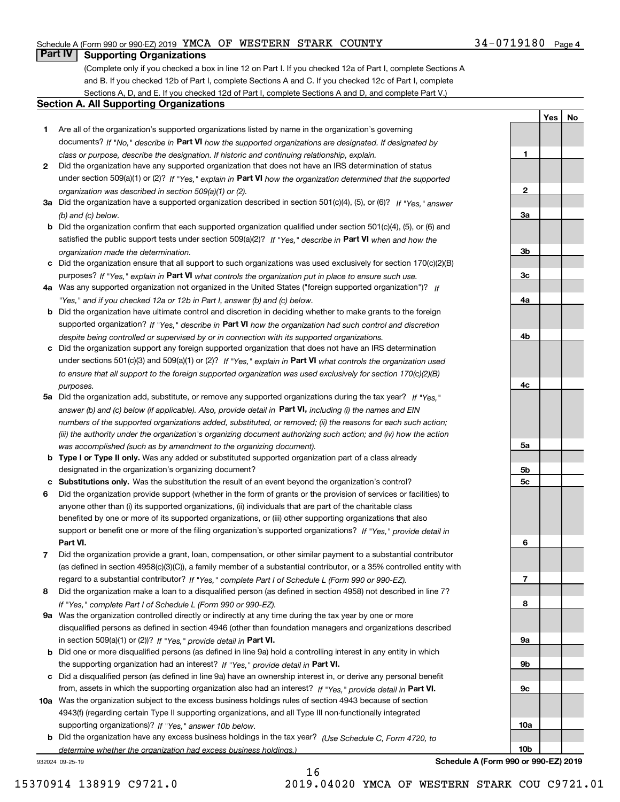## Schedule A (Form 990 or 990-EZ) 2019 Page YMCA OF WESTERN STARK COUNTY 34-0719180

## **Part IV Supporting Organizations**

(Complete only if you checked a box in line 12 on Part I. If you checked 12a of Part I, complete Sections A and B. If you checked 12b of Part I, complete Sections A and C. If you checked 12c of Part I, complete Sections A, D, and E. If you checked 12d of Part I, complete Sections A and D, and complete Part V.)

### **Section A. All Supporting Organizations**

- **1** Are all of the organization's supported organizations listed by name in the organization's governing documents? If "No," describe in **Part VI** how the supported organizations are designated. If designated by *class or purpose, describe the designation. If historic and continuing relationship, explain.*
- **2** Did the organization have any supported organization that does not have an IRS determination of status under section 509(a)(1) or (2)? If "Yes," explain in Part VI how the organization determined that the supported *organization was described in section 509(a)(1) or (2).*
- **3a** Did the organization have a supported organization described in section 501(c)(4), (5), or (6)? If "Yes," answer *(b) and (c) below.*
- **b** Did the organization confirm that each supported organization qualified under section 501(c)(4), (5), or (6) and satisfied the public support tests under section 509(a)(2)? If "Yes," describe in **Part VI** when and how the *organization made the determination.*
- **c**Did the organization ensure that all support to such organizations was used exclusively for section 170(c)(2)(B) purposes? If "Yes," explain in **Part VI** what controls the organization put in place to ensure such use.
- **4a***If* Was any supported organization not organized in the United States ("foreign supported organization")? *"Yes," and if you checked 12a or 12b in Part I, answer (b) and (c) below.*
- **b** Did the organization have ultimate control and discretion in deciding whether to make grants to the foreign supported organization? If "Yes," describe in **Part VI** how the organization had such control and discretion *despite being controlled or supervised by or in connection with its supported organizations.*
- **c** Did the organization support any foreign supported organization that does not have an IRS determination under sections 501(c)(3) and 509(a)(1) or (2)? If "Yes," explain in **Part VI** what controls the organization used *to ensure that all support to the foreign supported organization was used exclusively for section 170(c)(2)(B) purposes.*
- **5a***If "Yes,"* Did the organization add, substitute, or remove any supported organizations during the tax year? answer (b) and (c) below (if applicable). Also, provide detail in **Part VI,** including (i) the names and EIN *numbers of the supported organizations added, substituted, or removed; (ii) the reasons for each such action; (iii) the authority under the organization's organizing document authorizing such action; and (iv) how the action was accomplished (such as by amendment to the organizing document).*
- **b** Type I or Type II only. Was any added or substituted supported organization part of a class already designated in the organization's organizing document?
- **cSubstitutions only.**  Was the substitution the result of an event beyond the organization's control?
- **6** Did the organization provide support (whether in the form of grants or the provision of services or facilities) to **Part VI.** *If "Yes," provide detail in* support or benefit one or more of the filing organization's supported organizations? anyone other than (i) its supported organizations, (ii) individuals that are part of the charitable class benefited by one or more of its supported organizations, or (iii) other supporting organizations that also
- **7**Did the organization provide a grant, loan, compensation, or other similar payment to a substantial contributor *If "Yes," complete Part I of Schedule L (Form 990 or 990-EZ).* regard to a substantial contributor? (as defined in section 4958(c)(3)(C)), a family member of a substantial contributor, or a 35% controlled entity with
- **8** Did the organization make a loan to a disqualified person (as defined in section 4958) not described in line 7? *If "Yes," complete Part I of Schedule L (Form 990 or 990-EZ).*
- **9a** Was the organization controlled directly or indirectly at any time during the tax year by one or more in section 509(a)(1) or (2))? If "Yes," *provide detail in* <code>Part VI.</code> disqualified persons as defined in section 4946 (other than foundation managers and organizations described
- **b**the supporting organization had an interest? If "Yes," provide detail in P**art VI**. Did one or more disqualified persons (as defined in line 9a) hold a controlling interest in any entity in which
- **c**Did a disqualified person (as defined in line 9a) have an ownership interest in, or derive any personal benefit from, assets in which the supporting organization also had an interest? If "Yes," provide detail in P**art VI.**
- **10a** Was the organization subject to the excess business holdings rules of section 4943 because of section supporting organizations)? If "Yes," answer 10b below. 4943(f) (regarding certain Type II supporting organizations, and all Type III non-functionally integrated
- **b** Did the organization have any excess business holdings in the tax year? (Use Schedule C, Form 4720, to *determine whether the organization had excess business holdings.)*

932024 09-25-19

| $\frac{2}{ }$  |  |  |
|----------------|--|--|
|                |  |  |
|                |  |  |
| $\frac{3a}{2}$ |  |  |
|                |  |  |
|                |  |  |
| 3 <sub>b</sub> |  |  |
|                |  |  |
| $\frac{3c}{2}$ |  |  |
|                |  |  |
| 4a             |  |  |
|                |  |  |
|                |  |  |
| 4 <sub>b</sub> |  |  |
|                |  |  |
|                |  |  |
|                |  |  |
| $rac{4c}{2}$   |  |  |
|                |  |  |
|                |  |  |
|                |  |  |
|                |  |  |
|                |  |  |
| $\frac{5a}{2}$ |  |  |
|                |  |  |
| $\frac{5b}{5}$ |  |  |
| $\frac{5c}{2}$ |  |  |
|                |  |  |
|                |  |  |
|                |  |  |
|                |  |  |
| 6              |  |  |
|                |  |  |
|                |  |  |
| $\overline{1}$ |  |  |
|                |  |  |
| 8              |  |  |
|                |  |  |
|                |  |  |
| $\frac{9a}{2}$ |  |  |
|                |  |  |
| 9 <sub>b</sub> |  |  |
|                |  |  |
| $\frac{9c}{2}$ |  |  |
|                |  |  |
|                |  |  |
| 10a            |  |  |
|                |  |  |

34-0719180 Page 4

**1**

**YesNo**

**Schedule A (Form 990 or 990-EZ) 2019**

**10b**

16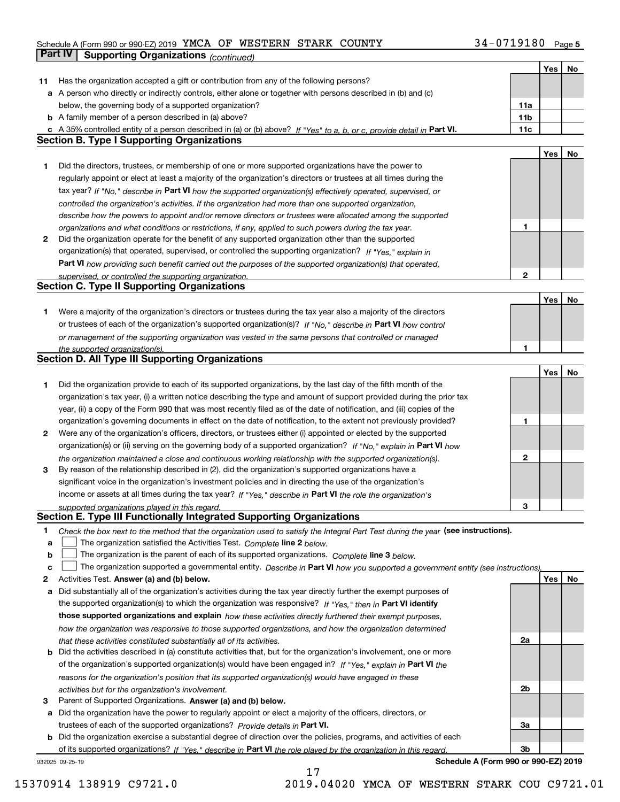## Schedule A (Form 990 or 990-EZ) 2019 Page YMCA OF WESTERN STARK COUNTY 34-0719180

|    | Part IV<br><b>Supporting Organizations (continued)</b>                                                                            |              |     |    |
|----|-----------------------------------------------------------------------------------------------------------------------------------|--------------|-----|----|
|    |                                                                                                                                   |              | Yes | No |
| 11 | Has the organization accepted a gift or contribution from any of the following persons?                                           |              |     |    |
|    | a A person who directly or indirectly controls, either alone or together with persons described in (b) and (c)                    |              |     |    |
|    | below, the governing body of a supported organization?                                                                            | 11a          |     |    |
|    | <b>b</b> A family member of a person described in (a) above?                                                                      | 11b          |     |    |
|    | c A 35% controlled entity of a person described in (a) or (b) above? If "Yes" to a, b, or c, provide detail in Part VI.           | 11c          |     |    |
|    | <b>Section B. Type I Supporting Organizations</b>                                                                                 |              |     |    |
|    |                                                                                                                                   |              | Yes | No |
| 1  | Did the directors, trustees, or membership of one or more supported organizations have the power to                               |              |     |    |
|    | regularly appoint or elect at least a majority of the organization's directors or trustees at all times during the                |              |     |    |
|    | tax year? If "No," describe in Part VI how the supported organization(s) effectively operated, supervised, or                     |              |     |    |
|    | controlled the organization's activities. If the organization had more than one supported organization,                           |              |     |    |
|    | describe how the powers to appoint and/or remove directors or trustees were allocated among the supported                         |              |     |    |
|    | organizations and what conditions or restrictions, if any, applied to such powers during the tax year.                            | 1            |     |    |
| 2  | Did the organization operate for the benefit of any supported organization other than the supported                               |              |     |    |
|    | organization(s) that operated, supervised, or controlled the supporting organization? If "Yes," explain in                        |              |     |    |
|    | Part VI how providing such benefit carried out the purposes of the supported organization(s) that operated,                       |              |     |    |
|    | supervised, or controlled the supporting organization.                                                                            | $\mathbf{2}$ |     |    |
|    | <b>Section C. Type II Supporting Organizations</b>                                                                                |              |     |    |
|    |                                                                                                                                   |              | Yes | No |
| 1  | Were a majority of the organization's directors or trustees during the tax year also a majority of the directors                  |              |     |    |
|    | or trustees of each of the organization's supported organization(s)? If "No." describe in Part VI how control                     |              |     |    |
|    | or management of the supporting organization was vested in the same persons that controlled or managed                            |              |     |    |
|    | the supported organization(s).                                                                                                    | 1            |     |    |
|    | Section D. All Type III Supporting Organizations                                                                                  |              |     |    |
|    |                                                                                                                                   |              | Yes | No |
| 1  | Did the organization provide to each of its supported organizations, by the last day of the fifth month of the                    |              |     |    |
|    | organization's tax year, (i) a written notice describing the type and amount of support provided during the prior tax             |              |     |    |
|    | year, (ii) a copy of the Form 990 that was most recently filed as of the date of notification, and (iii) copies of the            |              |     |    |
|    | organization's governing documents in effect on the date of notification, to the extent not previously provided?                  | 1            |     |    |
| 2  | Were any of the organization's officers, directors, or trustees either (i) appointed or elected by the supported                  |              |     |    |
|    | organization(s) or (ii) serving on the governing body of a supported organization? If "No," explain in Part VI how                |              |     |    |
|    | the organization maintained a close and continuous working relationship with the supported organization(s).                       | 2            |     |    |
| 3  | By reason of the relationship described in (2), did the organization's supported organizations have a                             |              |     |    |
|    | significant voice in the organization's investment policies and in directing the use of the organization's                        |              |     |    |
|    | income or assets at all times during the tax year? If "Yes," describe in Part VI the role the organization's                      |              |     |    |
|    | supported organizations played in this regard.                                                                                    | З            |     |    |
|    | Section E. Type III Functionally Integrated Supporting Organizations                                                              |              |     |    |
| 1  | Check the box next to the method that the organization used to satisfy the Integral Part Test during the year (see instructions). |              |     |    |
| а  | The organization satisfied the Activities Test. Complete line 2 below.                                                            |              |     |    |
| b  | The organization is the parent of each of its supported organizations. Complete line 3 below.                                     |              |     |    |
| c  | The organization supported a governmental entity. Describe in Part VI how you supported a government entity (see instructions),   |              |     |    |
| 2  | Activities Test. Answer (a) and (b) below.                                                                                        |              | Yes | No |
| а  | Did substantially all of the organization's activities during the tax year directly further the exempt purposes of                |              |     |    |
|    | the supported organization(s) to which the organization was responsive? If "Yes," then in Part VI identify                        |              |     |    |
|    | those supported organizations and explain how these activities directly furthered their exempt purposes,                          |              |     |    |
|    | how the organization was responsive to those supported organizations, and how the organization determined                         |              |     |    |
|    | that these activities constituted substantially all of its activities.                                                            | 2a           |     |    |
|    | <b>b</b> Did the activities described in (a) constitute activities that, but for the organization's involvement, one or more      |              |     |    |
|    | of the organization's supported organization(s) would have been engaged in? If "Yes," explain in Part VI the                      |              |     |    |
|    | reasons for the organization's position that its supported organization(s) would have engaged in these                            |              |     |    |
|    | activities but for the organization's involvement.                                                                                | 2b           |     |    |
| 3  | Parent of Supported Organizations. Answer (a) and (b) below.                                                                      |              |     |    |
|    | a Did the organization have the power to regularly appoint or elect a majority of the officers, directors, or                     |              |     |    |
|    | trustees of each of the supported organizations? Provide details in Part VI.                                                      | За           |     |    |
|    | <b>b</b> Did the organization exercise a substantial degree of direction over the policies, programs, and activities of each      |              |     |    |
|    | of its supported organizations? If "Yes." describe in Part VI the role played by the organization in this regard.                 | Зb           |     |    |
|    | Schedule A (Form 990 or 990-EZ) 2019<br>932025 09-25-19                                                                           |              |     |    |

17

**Schedule A (Form 990 or 990-EZ) 2019**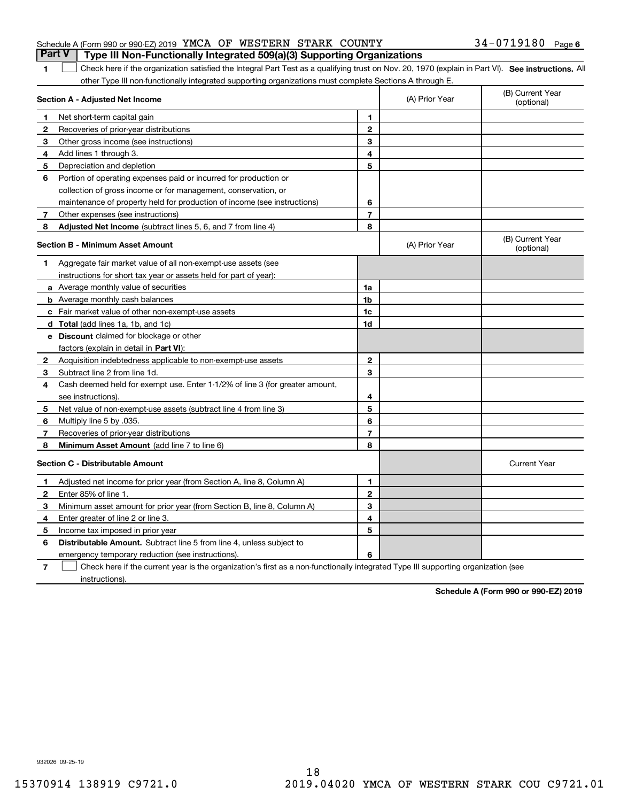|  |  | <b>Part V</b> Type III Non-Functionally Integrated 509(a)(3) Supporting Organizations |                       |  |
|--|--|---------------------------------------------------------------------------------------|-----------------------|--|
|  |  | Schedule A (Form 990 or 990-EZ) 2019 YMCA OF WESTERN STARK COUNTY                     | $34 - 0719180$ Page 6 |  |

1 Check here if the organization satisfied the Integral Part Test as a qualifying trust on Nov. 20, 1970 (explain in Part VI). See instructions. All other Type III non-functionally integrated supporting organizations must complete Sections A through E.

|              | Section A - Adjusted Net Income                                                                                                   | (A) Prior Year | (B) Current Year<br>(optional) |                                |
|--------------|-----------------------------------------------------------------------------------------------------------------------------------|----------------|--------------------------------|--------------------------------|
| 1.           | Net short-term capital gain                                                                                                       | 1              |                                |                                |
| $\mathbf{2}$ | Recoveries of prior-year distributions                                                                                            | $\overline{2}$ |                                |                                |
| 3            | Other gross income (see instructions)                                                                                             | 3              |                                |                                |
| 4            | Add lines 1 through 3.                                                                                                            | 4              |                                |                                |
| 5            | Depreciation and depletion                                                                                                        | 5              |                                |                                |
| 6            | Portion of operating expenses paid or incurred for production or                                                                  |                |                                |                                |
|              | collection of gross income or for management, conservation, or                                                                    |                |                                |                                |
|              | maintenance of property held for production of income (see instructions)                                                          | 6              |                                |                                |
| 7            | Other expenses (see instructions)                                                                                                 | 7              |                                |                                |
| 8            | <b>Adjusted Net Income</b> (subtract lines 5, 6, and 7 from line 4)                                                               | 8              |                                |                                |
|              | <b>Section B - Minimum Asset Amount</b>                                                                                           |                | (A) Prior Year                 | (B) Current Year<br>(optional) |
| 1            | Aggregate fair market value of all non-exempt-use assets (see                                                                     |                |                                |                                |
|              | instructions for short tax year or assets held for part of year):                                                                 |                |                                |                                |
|              | a Average monthly value of securities                                                                                             | 1a             |                                |                                |
|              | <b>b</b> Average monthly cash balances                                                                                            | 1b             |                                |                                |
|              | c Fair market value of other non-exempt-use assets                                                                                | 1c             |                                |                                |
|              | d Total (add lines 1a, 1b, and 1c)                                                                                                | 1d             |                                |                                |
|              | <b>e</b> Discount claimed for blockage or other                                                                                   |                |                                |                                |
|              | factors (explain in detail in Part VI):                                                                                           |                |                                |                                |
| 2            | Acquisition indebtedness applicable to non-exempt-use assets                                                                      | $\mathbf 2$    |                                |                                |
| 3            | Subtract line 2 from line 1d.                                                                                                     | 3              |                                |                                |
| 4            | Cash deemed held for exempt use. Enter 1-1/2% of line 3 (for greater amount,                                                      |                |                                |                                |
|              | see instructions)                                                                                                                 | 4              |                                |                                |
| 5            | Net value of non-exempt-use assets (subtract line 4 from line 3)                                                                  | 5              |                                |                                |
| 6            | Multiply line 5 by .035.                                                                                                          | 6              |                                |                                |
| 7            | Recoveries of prior-year distributions                                                                                            | $\overline{7}$ |                                |                                |
| 8            | Minimum Asset Amount (add line 7 to line 6)                                                                                       | 8              |                                |                                |
|              | <b>Section C - Distributable Amount</b>                                                                                           |                |                                | <b>Current Year</b>            |
| 1            | Adjusted net income for prior year (from Section A, line 8, Column A)                                                             | $\mathbf{1}$   |                                |                                |
| 2            | Enter 85% of line 1.                                                                                                              | $\overline{2}$ |                                |                                |
| 3            | Minimum asset amount for prior year (from Section B, line 8, Column A)                                                            | 3              |                                |                                |
| 4            | Enter greater of line 2 or line 3.                                                                                                | 4              |                                |                                |
| 5            | Income tax imposed in prior year                                                                                                  | 5              |                                |                                |
| 6            | <b>Distributable Amount.</b> Subtract line 5 from line 4, unless subject to                                                       |                |                                |                                |
|              | emergency temporary reduction (see instructions).                                                                                 | 6              |                                |                                |
| 7            | Check here if the current year is the organization's first as a non-functionally integrated Type III supporting organization (see |                |                                |                                |

instructions).

**1**

**Schedule A (Form 990 or 990-EZ) 2019**

932026 09-25-19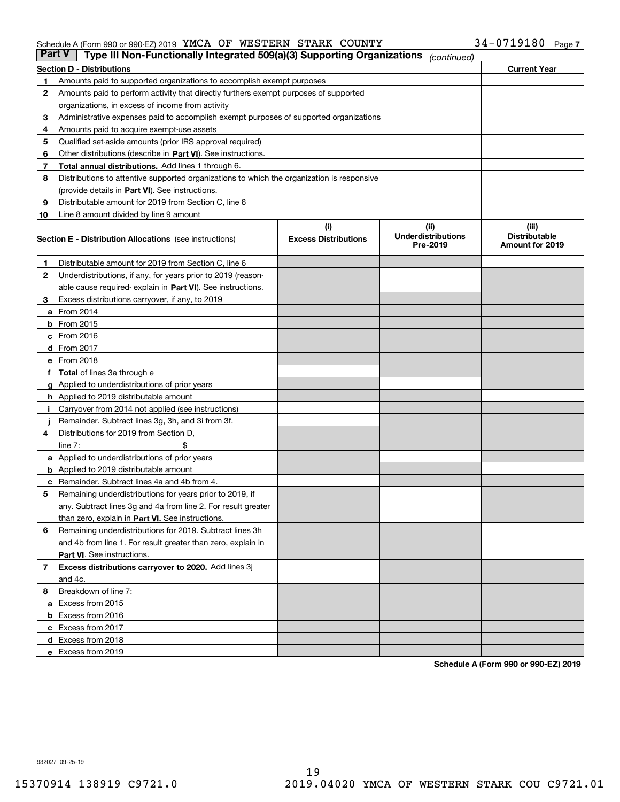### Schedule A (Form 990 or 990-EZ) 2019 Page YMCA OF WESTERN STARK COUNTY 34-0719180

| <b>Part V</b> | Type III Non-Functionally Integrated 509(a)(3) Supporting Organizations                    |                             | (continued)                           |                                         |
|---------------|--------------------------------------------------------------------------------------------|-----------------------------|---------------------------------------|-----------------------------------------|
|               | <b>Section D - Distributions</b>                                                           |                             |                                       | <b>Current Year</b>                     |
| 1             | Amounts paid to supported organizations to accomplish exempt purposes                      |                             |                                       |                                         |
| 2             | Amounts paid to perform activity that directly furthers exempt purposes of supported       |                             |                                       |                                         |
|               | organizations, in excess of income from activity                                           |                             |                                       |                                         |
| з             | Administrative expenses paid to accomplish exempt purposes of supported organizations      |                             |                                       |                                         |
| 4             | Amounts paid to acquire exempt-use assets                                                  |                             |                                       |                                         |
| 5             | Qualified set-aside amounts (prior IRS approval required)                                  |                             |                                       |                                         |
| 6             | Other distributions (describe in Part VI). See instructions.                               |                             |                                       |                                         |
| 7             | Total annual distributions. Add lines 1 through 6.                                         |                             |                                       |                                         |
| 8             | Distributions to attentive supported organizations to which the organization is responsive |                             |                                       |                                         |
|               | (provide details in Part VI). See instructions.                                            |                             |                                       |                                         |
| 9             | Distributable amount for 2019 from Section C, line 6                                       |                             |                                       |                                         |
| 10            | Line 8 amount divided by line 9 amount                                                     |                             |                                       |                                         |
|               |                                                                                            | (i)                         | (iii)                                 | (iii)                                   |
|               | <b>Section E - Distribution Allocations</b> (see instructions)                             | <b>Excess Distributions</b> | <b>Underdistributions</b><br>Pre-2019 | <b>Distributable</b><br>Amount for 2019 |
| 1             | Distributable amount for 2019 from Section C, line 6                                       |                             |                                       |                                         |
| 2             | Underdistributions, if any, for years prior to 2019 (reason-                               |                             |                                       |                                         |
|               | able cause required- explain in Part VI). See instructions.                                |                             |                                       |                                         |
| з             | Excess distributions carryover, if any, to 2019                                            |                             |                                       |                                         |
|               | <b>a</b> From 2014                                                                         |                             |                                       |                                         |
|               | <b>b</b> From $2015$                                                                       |                             |                                       |                                         |
|               | $c$ From 2016                                                                              |                             |                                       |                                         |
|               | <b>d</b> From 2017                                                                         |                             |                                       |                                         |
|               | e From 2018                                                                                |                             |                                       |                                         |
|               | Total of lines 3a through e                                                                |                             |                                       |                                         |
|               | <b>g</b> Applied to underdistributions of prior years                                      |                             |                                       |                                         |
|               | <b>h</b> Applied to 2019 distributable amount                                              |                             |                                       |                                         |
|               | Carryover from 2014 not applied (see instructions)                                         |                             |                                       |                                         |
|               | Remainder. Subtract lines 3g, 3h, and 3i from 3f.                                          |                             |                                       |                                         |
| 4             | Distributions for 2019 from Section D,                                                     |                             |                                       |                                         |
|               | line $7:$                                                                                  |                             |                                       |                                         |
|               | <b>a</b> Applied to underdistributions of prior years                                      |                             |                                       |                                         |
|               | <b>b</b> Applied to 2019 distributable amount                                              |                             |                                       |                                         |
| c             | Remainder. Subtract lines 4a and 4b from 4.                                                |                             |                                       |                                         |
| 5             | Remaining underdistributions for years prior to 2019, if                                   |                             |                                       |                                         |
|               | any. Subtract lines 3g and 4a from line 2. For result greater                              |                             |                                       |                                         |
|               | than zero, explain in Part VI. See instructions.                                           |                             |                                       |                                         |
| 6             | Remaining underdistributions for 2019. Subtract lines 3h                                   |                             |                                       |                                         |
|               | and 4b from line 1. For result greater than zero, explain in                               |                             |                                       |                                         |
|               | Part VI. See instructions.                                                                 |                             |                                       |                                         |
| 7             | Excess distributions carryover to 2020. Add lines 3j                                       |                             |                                       |                                         |
|               | and 4c.                                                                                    |                             |                                       |                                         |
| 8             | Breakdown of line 7:                                                                       |                             |                                       |                                         |
|               | a Excess from 2015                                                                         |                             |                                       |                                         |
|               | <b>b</b> Excess from 2016                                                                  |                             |                                       |                                         |
|               | c Excess from 2017                                                                         |                             |                                       |                                         |
|               | d Excess from 2018                                                                         |                             |                                       |                                         |
|               | e Excess from 2019                                                                         |                             |                                       |                                         |
|               |                                                                                            |                             |                                       |                                         |

**Schedule A (Form 990 or 990-EZ) 2019**

932027 09-25-19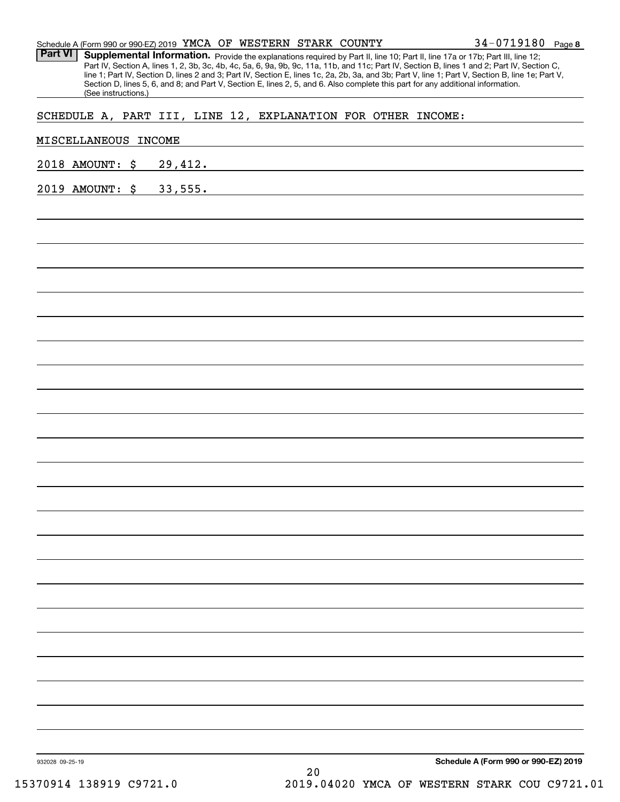| 2019 AMOUNT: \$      | 33,555.                                                      |  |  |  |  |
|----------------------|--------------------------------------------------------------|--|--|--|--|
| 2018 AMOUNT: \$      | 29,412.                                                      |  |  |  |  |
| MISCELLANEOUS INCOME |                                                              |  |  |  |  |
|                      | SCHEDULE A, PART III, LINE 12, EXPLANATION FOR OTHER INCOME: |  |  |  |  |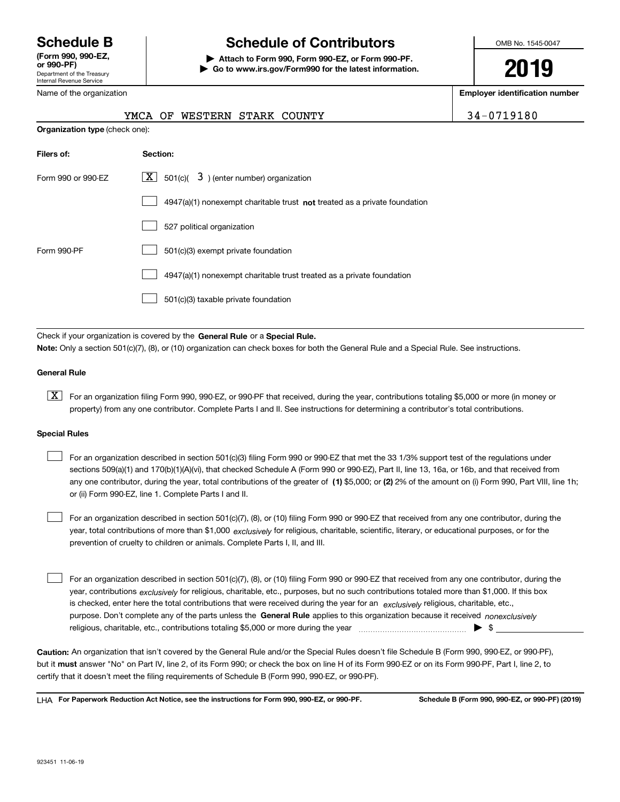Department of the Treasury Internal Revenue Service **(Form 990, 990-EZ, or 990-PF)**

Name of the organization

# **Schedule B Schedule of Contributors**

**| Attach to Form 990, Form 990-EZ, or Form 990-PF. | Go to www.irs.gov/Form990 for the latest information.** OMB No. 1545-0047

**2019**

**Employer identification number**

|  |  | 34-0719180 |  |
|--|--|------------|--|
|  |  |            |  |

|                                       | WESTERN STARK COUNTY<br>YMCA OF                                                    | 34-0719180 |
|---------------------------------------|------------------------------------------------------------------------------------|------------|
| <b>Organization type (check one):</b> |                                                                                    |            |
| Filers of:                            | Section:                                                                           |            |
| Form 990 or 990-EZ                    | $\lfloor x \rfloor$ 501(c)( 3) (enter number) organization                         |            |
|                                       | $4947(a)(1)$ nonexempt charitable trust <b>not</b> treated as a private foundation |            |
|                                       | 527 political organization                                                         |            |
| Form 990-PF                           | 501(c)(3) exempt private foundation                                                |            |
|                                       | 4947(a)(1) nonexempt charitable trust treated as a private foundation              |            |

501(c)(3) taxable private foundation  $\mathcal{L}^{\text{max}}$ 

Check if your organization is covered by the **General Rule** or a **Special Rule. Note:**  Only a section 501(c)(7), (8), or (10) organization can check boxes for both the General Rule and a Special Rule. See instructions.

## **General Rule**

 $\boxed{\textbf{X}}$  For an organization filing Form 990, 990-EZ, or 990-PF that received, during the year, contributions totaling \$5,000 or more (in money or property) from any one contributor. Complete Parts I and II. See instructions for determining a contributor's total contributions.

#### **Special Rules**

any one contributor, during the year, total contributions of the greater of  $\,$  (1) \$5,000; or **(2)** 2% of the amount on (i) Form 990, Part VIII, line 1h; For an organization described in section 501(c)(3) filing Form 990 or 990-EZ that met the 33 1/3% support test of the regulations under sections 509(a)(1) and 170(b)(1)(A)(vi), that checked Schedule A (Form 990 or 990-EZ), Part II, line 13, 16a, or 16b, and that received from or (ii) Form 990-EZ, line 1. Complete Parts I and II.  $\mathcal{L}^{\text{max}}$ 

year, total contributions of more than \$1,000 *exclusively* for religious, charitable, scientific, literary, or educational purposes, or for the For an organization described in section 501(c)(7), (8), or (10) filing Form 990 or 990-EZ that received from any one contributor, during the prevention of cruelty to children or animals. Complete Parts I, II, and III.  $\mathcal{L}^{\text{max}}$ 

purpose. Don't complete any of the parts unless the **General Rule** applies to this organization because it received *nonexclusively* year, contributions <sub>exclusively</sub> for religious, charitable, etc., purposes, but no such contributions totaled more than \$1,000. If this box is checked, enter here the total contributions that were received during the year for an  $\;$ exclusively religious, charitable, etc., For an organization described in section 501(c)(7), (8), or (10) filing Form 990 or 990-EZ that received from any one contributor, during the religious, charitable, etc., contributions totaling \$5,000 or more during the year  $\Box$ — $\Box$  =  $\Box$  $\mathcal{L}^{\text{max}}$ 

**Caution:**  An organization that isn't covered by the General Rule and/or the Special Rules doesn't file Schedule B (Form 990, 990-EZ, or 990-PF),  **must** but it answer "No" on Part IV, line 2, of its Form 990; or check the box on line H of its Form 990-EZ or on its Form 990-PF, Part I, line 2, to certify that it doesn't meet the filing requirements of Schedule B (Form 990, 990-EZ, or 990-PF).

**For Paperwork Reduction Act Notice, see the instructions for Form 990, 990-EZ, or 990-PF. Schedule B (Form 990, 990-EZ, or 990-PF) (2019)** LHA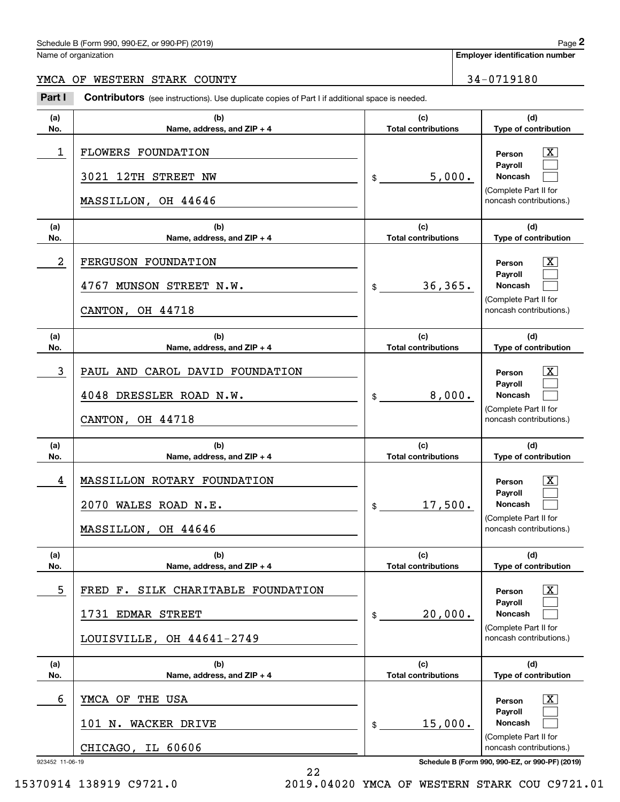## Schedule B (Form 990, 990-EZ, or 990-PF) (2019) Page 2

Name of organization

**Employer identification number**

## YMCA OF WESTERN STARK COUNTY | 34-0719180

Chedule B (Form 990, 990-EZ, or 990-PF) (2019)<br>
lame of organization<br> **29 MCA OF WESTERN STARK COUNTY**<br> **24 – 0719180**<br> **24 – 0719180**<br> **24 – 0719180** 

| (a)                  | (b)                                                                                  | (c)                        | (d)                                                                                                                                              |
|----------------------|--------------------------------------------------------------------------------------|----------------------------|--------------------------------------------------------------------------------------------------------------------------------------------------|
| No.                  | Name, address, and ZIP + 4                                                           | <b>Total contributions</b> | Type of contribution                                                                                                                             |
| 1                    | FLOWERS FOUNDATION<br>3021 12TH STREET NW<br>MASSILLON, OH 44646                     | 5,000.<br>$\frac{1}{2}$    | ΙX<br>Person<br>Payroll<br>Noncash<br>(Complete Part II for<br>noncash contributions.)                                                           |
| (a)                  | (b)                                                                                  | (c)                        | (d)                                                                                                                                              |
| No.                  | Name, address, and ZIP + 4                                                           | <b>Total contributions</b> | Type of contribution                                                                                                                             |
| 2                    | FERGUSON FOUNDATION<br>4767 MUNSON STREET N.W.<br>CANTON, OH 44718                   | 36,365.<br>$\frac{1}{2}$   | $\mathbf{X}$<br>Person<br>Payroll<br>Noncash<br>(Complete Part II for<br>noncash contributions.)                                                 |
| (a)                  | (b)                                                                                  | (c)                        | (d)                                                                                                                                              |
| No.                  | Name, address, and ZIP + 4                                                           | <b>Total contributions</b> | Type of contribution                                                                                                                             |
| 3                    | PAUL AND CAROL DAVID FOUNDATION<br>4048 DRESSLER ROAD N.W.<br>CANTON, OH 44718       | 8,000.<br>$\frac{1}{2}$    | $\mathbf{X}$<br>Person<br>Payroll<br>Noncash<br>(Complete Part II for<br>noncash contributions.)                                                 |
| (a)                  | (b)                                                                                  | (c)                        | (d)                                                                                                                                              |
| No.                  | Name, address, and ZIP + 4                                                           | <b>Total contributions</b> | Type of contribution                                                                                                                             |
| 4                    | MASSILLON ROTARY FOUNDATION<br>2070 WALES ROAD N.E.<br>MASSILLON, OH 44646           | 17,500.<br>$\frac{1}{2}$   | $\mathbf{X}$<br>Person<br>Payroll<br><b>Noncash</b><br>(Complete Part II for<br>noncash contributions.)                                          |
| (a)                  | (b)                                                                                  | (c)                        | (d)                                                                                                                                              |
| No.                  | Name, address, and ZIP + 4                                                           | <b>Total contributions</b> | Type of contribution                                                                                                                             |
| 5                    | FRED F. SILK CHARITABLE FOUNDATION<br>1731 EDMAR STREET<br>LOUISVILLE, OH 44641-2749 | 20,000.<br>\$              | $\vert$ X<br>Person<br>Payroll<br>Noncash<br>(Complete Part II for<br>noncash contributions.)                                                    |
| (a)                  | (b)                                                                                  | (c)                        | (d)                                                                                                                                              |
| No.                  | Name, address, and ZIP + 4                                                           | <b>Total contributions</b> | Type of contribution                                                                                                                             |
| 6<br>923452 11-06-19 | YMCA OF THE USA<br>WACKER DRIVE<br>101 N.<br>CHICAGO, IL 60606                       | 15,000.<br>\$              | $\vert$ X<br>Person<br>Payroll<br>Noncash<br>(Complete Part II for<br>noncash contributions.)<br>Schedule B (Form 990, 990-EZ, or 990-PF) (2019) |

22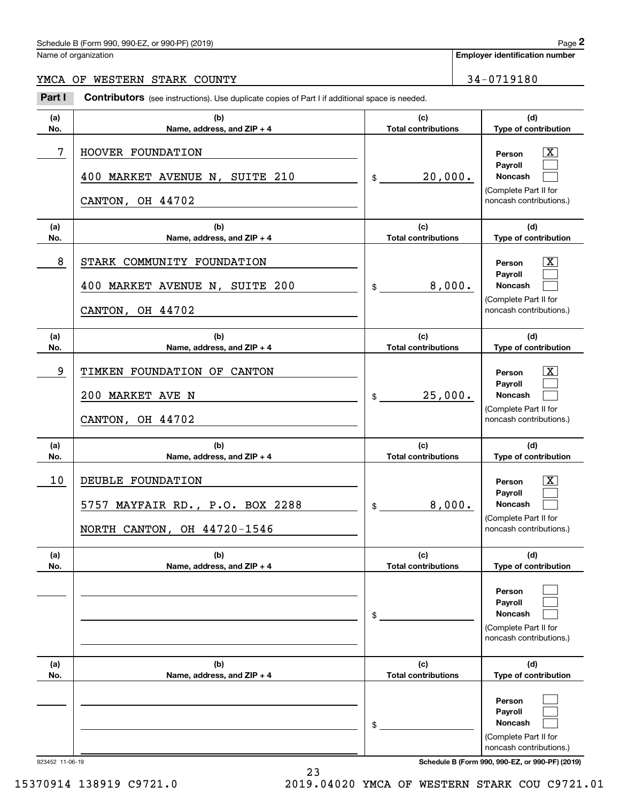## Schedule B (Form 990, 990-EZ, or 990-PF) (2019) Page 2

Name of organization

**Employer identification number**

## YMCA OF WESTERN STARK COUNTY 34-0719180

Chedule B (Form 990, 990-EZ, or 990-PF) (2019)<br>
lame of organization<br> **29 MCA OF WESTERN STARK COUNTY**<br> **24 – 0719180**<br> **24 – 0719180**<br> **24 – 0719180** 

| (a) | (b)                                                                                    | (c)                        | (d)                                                                                                                |
|-----|----------------------------------------------------------------------------------------|----------------------------|--------------------------------------------------------------------------------------------------------------------|
| No. | Name, address, and ZIP + 4                                                             | <b>Total contributions</b> | Type of contribution                                                                                               |
| 7   | HOOVER FOUNDATION<br>400 MARKET AVENUE N, SUITE 210<br>CANTON, OH 44702                | 20,000.<br>$\frac{1}{2}$   | $\boxed{\text{X}}$<br>Person<br>Payroll<br><b>Noncash</b><br>(Complete Part II for<br>noncash contributions.)      |
| (a) | (b)                                                                                    | (c)                        | (d)                                                                                                                |
| No. | Name, address, and ZIP + 4                                                             | <b>Total contributions</b> | Type of contribution                                                                                               |
| 8   | STARK COMMUNITY FOUNDATION<br>400 MARKET AVENUE N, SUITE 200<br>CANTON, OH 44702       | 8,000.<br>$\frac{1}{2}$    | $\boxed{\text{X}}$<br>Person<br>Payroll<br><b>Noncash</b><br>(Complete Part II for<br>noncash contributions.)      |
| (a) | (b)                                                                                    | (c)                        | (d)                                                                                                                |
| No. | Name, address, and ZIP + 4                                                             | <b>Total contributions</b> | Type of contribution                                                                                               |
| 9   | TIMKEN FOUNDATION OF CANTON<br>200 MARKET AVE N<br>CANTON, OH 44702                    | 25,000.<br>$\frac{1}{2}$   | $\overline{\mathbf{X}}$<br>Person<br>Payroll<br><b>Noncash</b><br>(Complete Part II for<br>noncash contributions.) |
| (a) | (b)                                                                                    | (c)                        | (d)                                                                                                                |
| No. | Name, address, and ZIP + 4                                                             | <b>Total contributions</b> | Type of contribution                                                                                               |
| 10  | DEUBLE FOUNDATION<br>5757<br>MAYFAIR RD., P.O. BOX 2288<br>NORTH CANTON, OH 44720-1546 | 8,000.<br>$\frac{1}{2}$    | $\overline{\mathbf{X}}$<br>Person<br>Payroll<br><b>Noncash</b><br>(Complete Part II for<br>noncash contributions.) |
| (a) | (b)                                                                                    | (c)                        | (d)                                                                                                                |
| No. | Name, address, and ZIP + 4                                                             | <b>Total contributions</b> | Type of contribution                                                                                               |
|     |                                                                                        | \$                         | Person<br>Payroll<br>Noncash<br>(Complete Part II for<br>noncash contributions.)                                   |
| (a) | (b)                                                                                    | (c)                        | (d)                                                                                                                |
| No. | Name, address, and ZIP + 4                                                             | <b>Total contributions</b> | Type of contribution                                                                                               |
|     |                                                                                        | \$                         | Person<br>Payroll<br>Noncash<br>(Complete Part II for<br>noncash contributions.)                                   |

23

923452 11-06-19 **Schedule B (Form 990, 990-EZ, or 990-PF) (2019)**

15370914 138919 C9721.0 2019.04020 YMCA OF WESTERN STARK COU C9721.01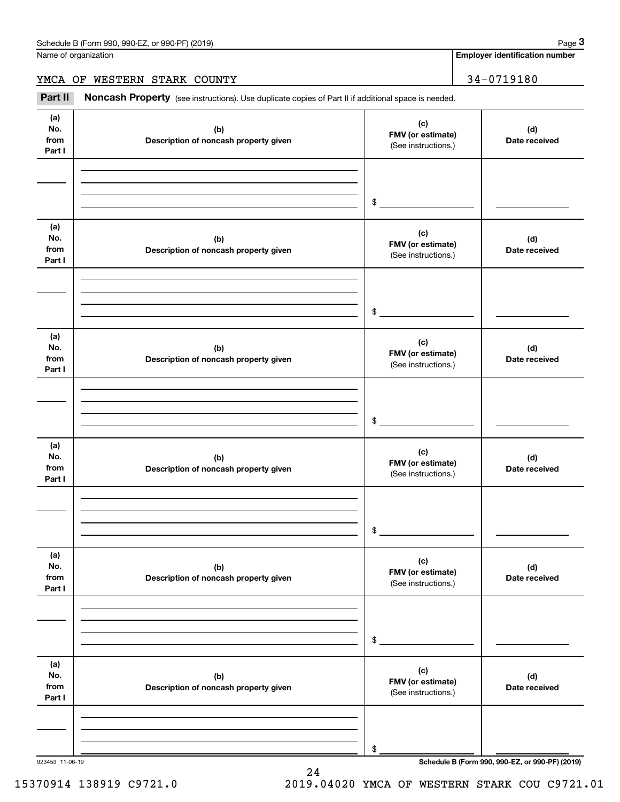**Employer identification number**

YMCA OF WESTERN STARK COUNTY 34-0719180

Employer identification Page 3<br>
Iame of organization<br> **34 – 0719180**<br> **Part II Noncash Property** (see instructions). Use duplicate copies of Part II if additional space is needed.

| (a)<br>No.<br>from<br>Part I | (b)<br>Description of noncash property given | (c)<br>FMV (or estimate)<br>(See instructions.) | (d)<br>Date received |
|------------------------------|----------------------------------------------|-------------------------------------------------|----------------------|
|                              |                                              | \$                                              |                      |
| (a)<br>No.<br>from<br>Part I | (b)<br>Description of noncash property given | (c)<br>FMV (or estimate)<br>(See instructions.) | (d)<br>Date received |
|                              |                                              | \$                                              |                      |
| (a)<br>No.<br>from<br>Part I | (b)<br>Description of noncash property given | (c)<br>FMV (or estimate)<br>(See instructions.) | (d)<br>Date received |
|                              |                                              | $\,$                                            |                      |
| (a)<br>No.<br>from<br>Part I | (b)<br>Description of noncash property given | (c)<br>FMV (or estimate)<br>(See instructions.) | (d)<br>Date received |
|                              |                                              | \$                                              |                      |
| (a)<br>No.<br>from<br>Part I | (b)<br>Description of noncash property given | (c)<br>FMV (or estimate)<br>(See instructions.) | (d)<br>Date received |
|                              |                                              | \$                                              |                      |
| (a)<br>No.<br>from<br>Part I | (b)<br>Description of noncash property given | (c)<br>FMV (or estimate)<br>(See instructions.) | (d)<br>Date received |
|                              |                                              | \$                                              |                      |

24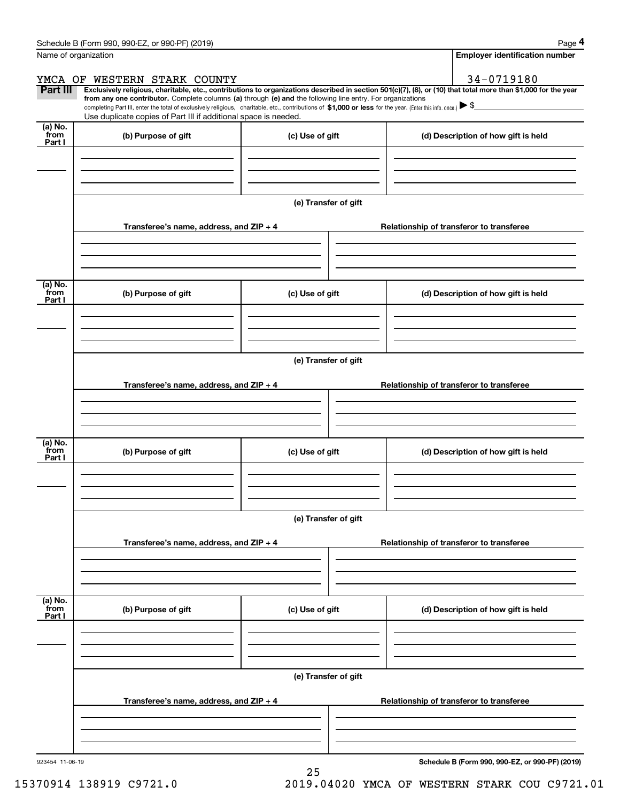|                 | Schedule B (Form 990, 990-EZ, or 990-PF) (2019)                                                                                                                                                                                                      |                      | Page 4                                                                                                                                                         |
|-----------------|------------------------------------------------------------------------------------------------------------------------------------------------------------------------------------------------------------------------------------------------------|----------------------|----------------------------------------------------------------------------------------------------------------------------------------------------------------|
|                 | Name of organization                                                                                                                                                                                                                                 |                      | <b>Employer identification number</b>                                                                                                                          |
|                 | YMCA OF WESTERN STARK COUNTY                                                                                                                                                                                                                         |                      | 34-0719180                                                                                                                                                     |
| Part III        | from any one contributor. Complete columns (a) through (e) and the following line entry. For organizations                                                                                                                                           |                      | Exclusively religious, charitable, etc., contributions to organizations described in section 501(c)(7), (8), or (10) that total more than \$1,000 for the year |
|                 | completing Part III, enter the total of exclusively religious, charitable, etc., contributions of \$1,000 or less for the year. (Enter this info. once.) $\blacktriangleright$ \$<br>Use duplicate copies of Part III if additional space is needed. |                      |                                                                                                                                                                |
| (a) No.         |                                                                                                                                                                                                                                                      |                      |                                                                                                                                                                |
| from<br>Part I  | (b) Purpose of gift                                                                                                                                                                                                                                  | (c) Use of gift      | (d) Description of how gift is held                                                                                                                            |
|                 |                                                                                                                                                                                                                                                      |                      |                                                                                                                                                                |
|                 |                                                                                                                                                                                                                                                      |                      |                                                                                                                                                                |
|                 |                                                                                                                                                                                                                                                      |                      |                                                                                                                                                                |
|                 |                                                                                                                                                                                                                                                      | (e) Transfer of gift |                                                                                                                                                                |
|                 | Transferee's name, address, and ZIP + 4                                                                                                                                                                                                              |                      | Relationship of transferor to transferee                                                                                                                       |
|                 |                                                                                                                                                                                                                                                      |                      |                                                                                                                                                                |
|                 |                                                                                                                                                                                                                                                      |                      |                                                                                                                                                                |
|                 |                                                                                                                                                                                                                                                      |                      |                                                                                                                                                                |
| (a) No.<br>from | (b) Purpose of gift                                                                                                                                                                                                                                  | (c) Use of gift      | (d) Description of how gift is held                                                                                                                            |
| Part I          |                                                                                                                                                                                                                                                      |                      |                                                                                                                                                                |
|                 |                                                                                                                                                                                                                                                      |                      |                                                                                                                                                                |
|                 |                                                                                                                                                                                                                                                      |                      |                                                                                                                                                                |
|                 |                                                                                                                                                                                                                                                      | (e) Transfer of gift |                                                                                                                                                                |
|                 |                                                                                                                                                                                                                                                      |                      |                                                                                                                                                                |
|                 | Transferee's name, address, and ZIP + 4                                                                                                                                                                                                              |                      | Relationship of transferor to transferee                                                                                                                       |
|                 |                                                                                                                                                                                                                                                      |                      |                                                                                                                                                                |
|                 |                                                                                                                                                                                                                                                      |                      |                                                                                                                                                                |
| (a) No.<br>from |                                                                                                                                                                                                                                                      |                      |                                                                                                                                                                |
| Part I          | (b) Purpose of gift                                                                                                                                                                                                                                  | (c) Use of gift      | (d) Description of how gift is held                                                                                                                            |
|                 |                                                                                                                                                                                                                                                      |                      |                                                                                                                                                                |
|                 |                                                                                                                                                                                                                                                      |                      |                                                                                                                                                                |
|                 |                                                                                                                                                                                                                                                      | (e) Transfer of gift |                                                                                                                                                                |
|                 |                                                                                                                                                                                                                                                      |                      |                                                                                                                                                                |
|                 | Transferee's name, address, and $ZIP + 4$                                                                                                                                                                                                            |                      | Relationship of transferor to transferee                                                                                                                       |
|                 |                                                                                                                                                                                                                                                      |                      |                                                                                                                                                                |
|                 |                                                                                                                                                                                                                                                      |                      |                                                                                                                                                                |
| (a) No.         |                                                                                                                                                                                                                                                      |                      |                                                                                                                                                                |
| `from<br>Part I | (b) Purpose of gift                                                                                                                                                                                                                                  | (c) Use of gift      | (d) Description of how gift is held                                                                                                                            |
|                 |                                                                                                                                                                                                                                                      |                      |                                                                                                                                                                |
|                 |                                                                                                                                                                                                                                                      |                      |                                                                                                                                                                |
|                 |                                                                                                                                                                                                                                                      |                      |                                                                                                                                                                |
|                 |                                                                                                                                                                                                                                                      | (e) Transfer of gift |                                                                                                                                                                |
|                 | Transferee's name, address, and $ZIP + 4$                                                                                                                                                                                                            |                      | Relationship of transferor to transferee                                                                                                                       |
|                 |                                                                                                                                                                                                                                                      |                      |                                                                                                                                                                |
|                 |                                                                                                                                                                                                                                                      |                      |                                                                                                                                                                |
|                 |                                                                                                                                                                                                                                                      |                      |                                                                                                                                                                |

25

**Schedule B (Form 990, 990-EZ, or 990-PF) (2019)**

15370914 138919 C9721.0 2019.04020 YMCA OF WESTERN STARK COU C9721.01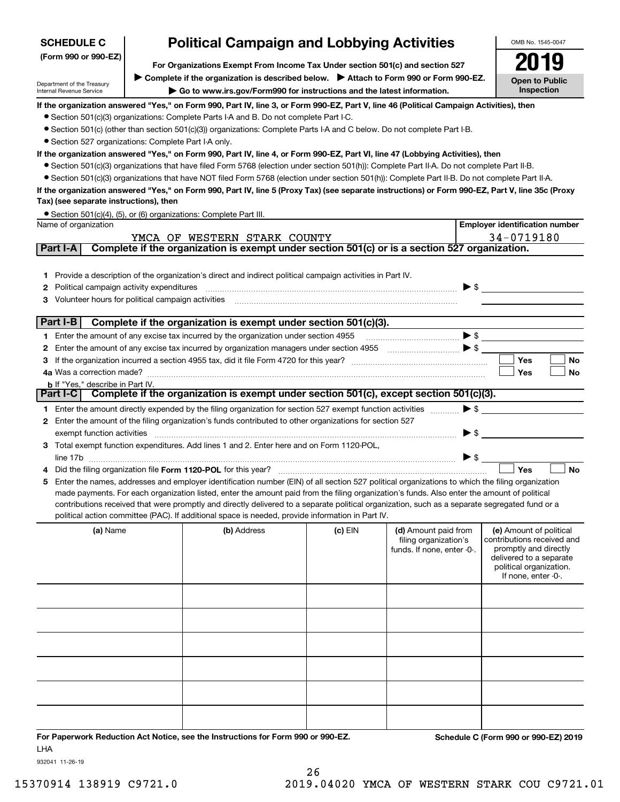| <b>SCHEDULE C</b>                                      | <b>Political Campaign and Lobbying Activities</b>                                                                                                                                                                                                                                                   |           |                                                     | OMB No. 1545-0047                                     |
|--------------------------------------------------------|-----------------------------------------------------------------------------------------------------------------------------------------------------------------------------------------------------------------------------------------------------------------------------------------------------|-----------|-----------------------------------------------------|-------------------------------------------------------|
| (Form 990 or 990-EZ)                                   |                                                                                                                                                                                                                                                                                                     |           |                                                     |                                                       |
|                                                        | For Organizations Exempt From Income Tax Under section 501(c) and section 527<br>▶ Complete if the organization is described below. ▶ Attach to Form 990 or Form 990-EZ.                                                                                                                            |           |                                                     |                                                       |
| Department of the Treasury<br>Internal Revenue Service | Go to www.irs.gov/Form990 for instructions and the latest information.                                                                                                                                                                                                                              |           |                                                     | <b>Open to Public</b><br>Inspection                   |
|                                                        | If the organization answered "Yes," on Form 990, Part IV, line 3, or Form 990-EZ, Part V, line 46 (Political Campaign Activities), then                                                                                                                                                             |           |                                                     |                                                       |
|                                                        | • Section 501(c)(3) organizations: Complete Parts I-A and B. Do not complete Part I-C.                                                                                                                                                                                                              |           |                                                     |                                                       |
|                                                        | • Section 501(c) (other than section 501(c)(3)) organizations: Complete Parts I-A and C below. Do not complete Part I-B.                                                                                                                                                                            |           |                                                     |                                                       |
| • Section 527 organizations: Complete Part I-A only.   |                                                                                                                                                                                                                                                                                                     |           |                                                     |                                                       |
|                                                        | If the organization answered "Yes," on Form 990, Part IV, line 4, or Form 990-EZ, Part VI, line 47 (Lobbying Activities), then                                                                                                                                                                      |           |                                                     |                                                       |
|                                                        | • Section 501(c)(3) organizations that have filed Form 5768 (election under section 501(h)): Complete Part II-A. Do not complete Part II-B.                                                                                                                                                         |           |                                                     |                                                       |
|                                                        | • Section 501(c)(3) organizations that have NOT filed Form 5768 (election under section 501(h)): Complete Part II-B. Do not complete Part II-A.<br>If the organization answered "Yes," on Form 990, Part IV, line 5 (Proxy Tax) (see separate instructions) or Form 990-EZ, Part V, line 35c (Proxy |           |                                                     |                                                       |
| Tax) (see separate instructions), then                 |                                                                                                                                                                                                                                                                                                     |           |                                                     |                                                       |
| Name of organization                                   | • Section 501(c)(4), (5), or (6) organizations: Complete Part III.                                                                                                                                                                                                                                  |           |                                                     | <b>Employer identification number</b>                 |
|                                                        | YMCA OF WESTERN STARK COUNTY                                                                                                                                                                                                                                                                        |           |                                                     | 34-0719180                                            |
| Part I-A                                               | Complete if the organization is exempt under section 501(c) or is a section 527 organization.                                                                                                                                                                                                       |           |                                                     |                                                       |
|                                                        |                                                                                                                                                                                                                                                                                                     |           |                                                     |                                                       |
|                                                        | 1 Provide a description of the organization's direct and indirect political campaign activities in Part IV.                                                                                                                                                                                         |           |                                                     |                                                       |
| Political campaign activity expenditures<br>2          |                                                                                                                                                                                                                                                                                                     |           | $\blacktriangleright$ \$                            |                                                       |
| Volunteer hours for political campaign activities<br>з |                                                                                                                                                                                                                                                                                                     |           |                                                     |                                                       |
| Part I-B                                               |                                                                                                                                                                                                                                                                                                     |           |                                                     |                                                       |
|                                                        | Complete if the organization is exempt under section 501(c)(3).<br>1 Enter the amount of any excise tax incurred by the organization under section 4955                                                                                                                                             |           |                                                     | $\triangleright$ \$                                   |
| 2                                                      | Enter the amount of any excise tax incurred by organization managers under section 4955                                                                                                                                                                                                             |           |                                                     |                                                       |
| з                                                      |                                                                                                                                                                                                                                                                                                     |           |                                                     | <b>Yes</b><br><b>No</b>                               |
| 4a Was a correction made?                              |                                                                                                                                                                                                                                                                                                     |           |                                                     | Yes<br>No                                             |
| <b>b</b> If "Yes," describe in Part IV.                |                                                                                                                                                                                                                                                                                                     |           |                                                     |                                                       |
|                                                        | Part I-C Complete if the organization is exempt under section 501(c), except section 501(c)(3).                                                                                                                                                                                                     |           |                                                     |                                                       |
|                                                        | 1 Enter the amount directly expended by the filing organization for section 527 exempt function activities                                                                                                                                                                                          |           | $\blacktriangleright$ \$                            |                                                       |
|                                                        | 2 Enter the amount of the filing organization's funds contributed to other organizations for section 527                                                                                                                                                                                            |           |                                                     |                                                       |
| exempt function activities                             | 3 Total exempt function expenditures. Add lines 1 and 2. Enter here and on Form 1120-POL,                                                                                                                                                                                                           |           | $\blacktriangleright$ \$                            |                                                       |
|                                                        |                                                                                                                                                                                                                                                                                                     |           | $\blacktriangleright$ \$                            |                                                       |
|                                                        | Did the filing organization file Form 1120-POL for this year?                                                                                                                                                                                                                                       |           |                                                     | Yes<br><b>No</b>                                      |
| 5.                                                     | Enter the names, addresses and employer identification number (EIN) of all section 527 political organizations to which the filing organization                                                                                                                                                     |           |                                                     |                                                       |
|                                                        | made payments. For each organization listed, enter the amount paid from the filing organization's funds. Also enter the amount of political                                                                                                                                                         |           |                                                     |                                                       |
|                                                        | contributions received that were promptly and directly delivered to a separate political organization, such as a separate segregated fund or a                                                                                                                                                      |           |                                                     |                                                       |
|                                                        | political action committee (PAC). If additional space is needed, provide information in Part IV.                                                                                                                                                                                                    |           |                                                     |                                                       |
| (a) Name                                               | (b) Address                                                                                                                                                                                                                                                                                         | $(c)$ EIN | (d) Amount paid from                                | (e) Amount of political<br>contributions received and |
|                                                        |                                                                                                                                                                                                                                                                                                     |           | filing organization's<br>funds. If none, enter -0-. | promptly and directly                                 |
|                                                        |                                                                                                                                                                                                                                                                                                     |           |                                                     | delivered to a separate                               |
|                                                        |                                                                                                                                                                                                                                                                                                     |           |                                                     | political organization.<br>If none, enter -0-.        |
|                                                        |                                                                                                                                                                                                                                                                                                     |           |                                                     |                                                       |
|                                                        |                                                                                                                                                                                                                                                                                                     |           |                                                     |                                                       |
|                                                        |                                                                                                                                                                                                                                                                                                     |           |                                                     |                                                       |
|                                                        |                                                                                                                                                                                                                                                                                                     |           |                                                     |                                                       |
|                                                        |                                                                                                                                                                                                                                                                                                     |           |                                                     |                                                       |
|                                                        |                                                                                                                                                                                                                                                                                                     |           |                                                     |                                                       |
|                                                        |                                                                                                                                                                                                                                                                                                     |           |                                                     |                                                       |
|                                                        |                                                                                                                                                                                                                                                                                                     |           |                                                     |                                                       |
|                                                        |                                                                                                                                                                                                                                                                                                     |           |                                                     |                                                       |
|                                                        |                                                                                                                                                                                                                                                                                                     |           |                                                     |                                                       |

**For Paperwork Reduction Act Notice, see the Instructions for Form 990 or 990-EZ. Schedule C (Form 990 or 990-EZ) 2019** LHA

932041 11-26-19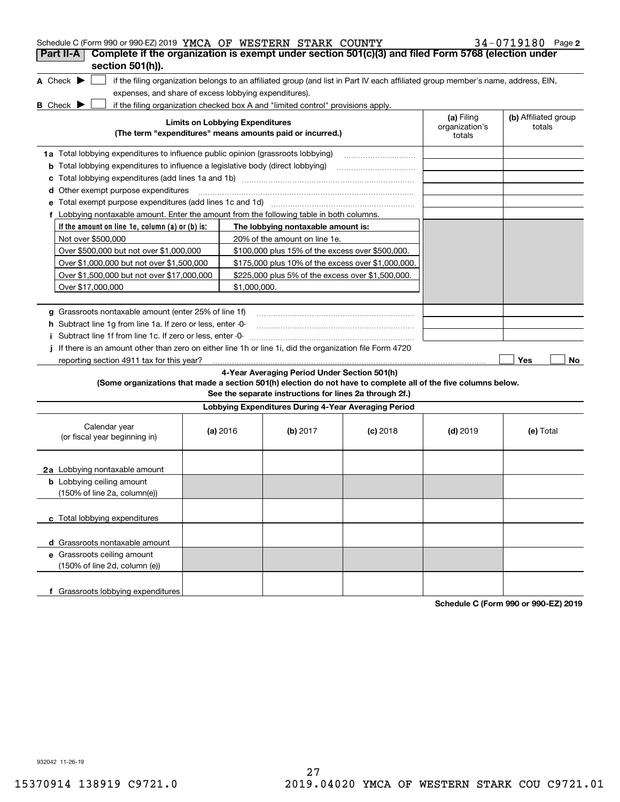| Schedule C (Form 990 or 990-EZ) 2019 YMCA OF WESTERN STARK COUNTY                                                                                                                                                  |                                        |                                                           |                                                                                                                                   |                                        | $34 - 0719180$ Page 2          |
|--------------------------------------------------------------------------------------------------------------------------------------------------------------------------------------------------------------------|----------------------------------------|-----------------------------------------------------------|-----------------------------------------------------------------------------------------------------------------------------------|----------------------------------------|--------------------------------|
| Complete if the organization is exempt under section 501(c)(3) and filed Form 5768 (election under<br>Part II-A<br>section 501(h)).                                                                                |                                        |                                                           |                                                                                                                                   |                                        |                                |
| A Check $\blacktriangleright$<br>expenses, and share of excess lobbying expenditures).<br>if the filing organization checked box A and "limited control" provisions apply.<br><b>B</b> Check $\blacktriangleright$ |                                        |                                                           | if the filing organization belongs to an affiliated group (and list in Part IV each affiliated group member's name, address, EIN, |                                        |                                |
|                                                                                                                                                                                                                    | <b>Limits on Lobbying Expenditures</b> | (The term "expenditures" means amounts paid or incurred.) |                                                                                                                                   | (a) Filing<br>organization's<br>totals | (b) Affiliated group<br>totals |
| 1a Total lobbying expenditures to influence public opinion (grassroots lobbying)                                                                                                                                   |                                        |                                                           |                                                                                                                                   |                                        |                                |
| <b>b</b> Total lobbying expenditures to influence a legislative body (direct lobbying)                                                                                                                             |                                        |                                                           |                                                                                                                                   |                                        |                                |
| c                                                                                                                                                                                                                  |                                        |                                                           |                                                                                                                                   |                                        |                                |
| <b>d</b> Other exempt purpose expenditures                                                                                                                                                                         |                                        |                                                           |                                                                                                                                   |                                        |                                |
| е                                                                                                                                                                                                                  |                                        |                                                           |                                                                                                                                   |                                        |                                |
| f Lobbying nontaxable amount. Enter the amount from the following table in both columns.                                                                                                                           |                                        |                                                           |                                                                                                                                   |                                        |                                |
| If the amount on line 1e, column $(a)$ or $(b)$ is:                                                                                                                                                                |                                        | The lobbying nontaxable amount is:                        |                                                                                                                                   |                                        |                                |
| Not over \$500,000                                                                                                                                                                                                 |                                        | 20% of the amount on line 1e.                             |                                                                                                                                   |                                        |                                |
| Over \$500,000 but not over \$1,000,000                                                                                                                                                                            |                                        | \$100,000 plus 15% of the excess over \$500,000.          |                                                                                                                                   |                                        |                                |
| Over \$1,000,000 but not over \$1,500,000                                                                                                                                                                          |                                        | \$175,000 plus 10% of the excess over \$1,000,000.        |                                                                                                                                   |                                        |                                |
| Over \$1,500,000 but not over \$17,000,000                                                                                                                                                                         |                                        | \$225,000 plus 5% of the excess over \$1,500,000.         |                                                                                                                                   |                                        |                                |
| Over \$17,000,000                                                                                                                                                                                                  | \$1,000,000.                           |                                                           |                                                                                                                                   |                                        |                                |
|                                                                                                                                                                                                                    |                                        |                                                           |                                                                                                                                   |                                        |                                |
| g Grassroots nontaxable amount (enter 25% of line 1f)                                                                                                                                                              |                                        |                                                           |                                                                                                                                   |                                        |                                |
| h Subtract line 1g from line 1a. If zero or less, enter -0-                                                                                                                                                        |                                        |                                                           |                                                                                                                                   |                                        |                                |
| Subtract line 1f from line 1c. If zero or less, enter -0-<br>Ť.<br>If there is an amount other than zero on either line 1h or line 1i, did the organization file Form 4720                                         |                                        |                                                           |                                                                                                                                   |                                        |                                |
| reporting section 4911 tax for this year?                                                                                                                                                                          |                                        |                                                           |                                                                                                                                   |                                        | Yes<br>No                      |
|                                                                                                                                                                                                                    |                                        | 4-Year Averaging Period Under Section 501(h)              |                                                                                                                                   |                                        |                                |
| (Some organizations that made a section 501(h) election do not have to complete all of the five columns below.                                                                                                     |                                        | See the separate instructions for lines 2a through 2f.)   |                                                                                                                                   |                                        |                                |
|                                                                                                                                                                                                                    |                                        | Lobbying Expenditures During 4-Year Averaging Period      |                                                                                                                                   |                                        |                                |
| Calendar year<br>(or fiscal year beginning in)                                                                                                                                                                     | (a) 2016                               | (b) $2017$                                                | $(c)$ 2018                                                                                                                        | $(d)$ 2019                             | (e) Total                      |
| 2a Lobbying nontaxable amount                                                                                                                                                                                      |                                        |                                                           |                                                                                                                                   |                                        |                                |
| <b>b</b> Lobbying ceiling amount<br>(150% of line 2a, column(e))                                                                                                                                                   |                                        |                                                           |                                                                                                                                   |                                        |                                |
| c Total lobbying expenditures                                                                                                                                                                                      |                                        |                                                           |                                                                                                                                   |                                        |                                |
| d Grassroots nontaxable amount                                                                                                                                                                                     |                                        |                                                           |                                                                                                                                   |                                        |                                |
| e Grassroots ceiling amount                                                                                                                                                                                        |                                        |                                                           |                                                                                                                                   |                                        |                                |
| (150% of line 2d, column (e))                                                                                                                                                                                      |                                        |                                                           |                                                                                                                                   |                                        |                                |
| f Grassroots lobbying expenditures                                                                                                                                                                                 |                                        |                                                           |                                                                                                                                   |                                        |                                |

**Schedule C (Form 990 or 990-EZ) 2019**

932042 11-26-19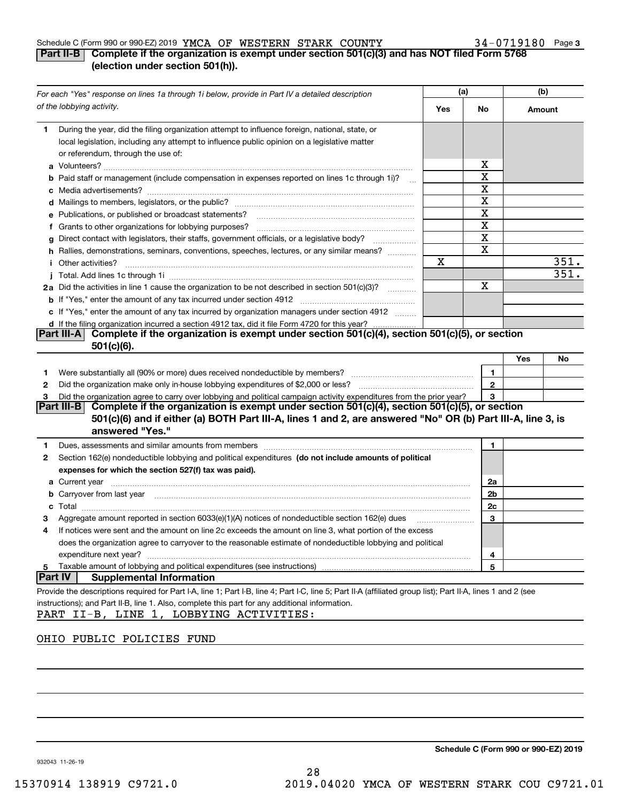## Schedule C (Form 990 or 990-EZ) 2019 Page YMCA OF WESTERN STARK COUNTY 34-0719180

## **3**

## **Part II-B Complete if the organization is exempt under section 501(c)(3) and has NOT filed Form 5768 (election under section 501(h)).**

| For each "Yes" response on lines 1a through 1i below, provide in Part IV a detailed description                                                                                                                                            | (a) |                | (b)    |      |
|--------------------------------------------------------------------------------------------------------------------------------------------------------------------------------------------------------------------------------------------|-----|----------------|--------|------|
| of the lobbying activity.                                                                                                                                                                                                                  | Yes | No.            | Amount |      |
| During the year, did the filing organization attempt to influence foreign, national, state, or<br>1.<br>local legislation, including any attempt to influence public opinion on a legislative matter<br>or referendum, through the use of: |     |                |        |      |
|                                                                                                                                                                                                                                            |     | х              |        |      |
| <b>b</b> Paid staff or management (include compensation in expenses reported on lines 1c through 1i)?                                                                                                                                      |     | X              |        |      |
|                                                                                                                                                                                                                                            |     | X              |        |      |
|                                                                                                                                                                                                                                            |     | X              |        |      |
| e Publications, or published or broadcast statements?                                                                                                                                                                                      |     | X              |        |      |
| f Grants to other organizations for lobbying purposes?                                                                                                                                                                                     |     | X              |        |      |
| g Direct contact with legislators, their staffs, government officials, or a legislative body?                                                                                                                                              |     | X              |        |      |
| h Rallies, demonstrations, seminars, conventions, speeches, lectures, or any similar means?                                                                                                                                                |     | X              |        |      |
| <i>i</i> Other activities?                                                                                                                                                                                                                 | X   |                |        | 351. |
|                                                                                                                                                                                                                                            |     |                |        | 351. |
| 2a Did the activities in line 1 cause the organization to be not described in section 501(c)(3)?                                                                                                                                           |     | х              |        |      |
|                                                                                                                                                                                                                                            |     |                |        |      |
| c If "Yes," enter the amount of any tax incurred by organization managers under section 4912                                                                                                                                               |     |                |        |      |
| d If the filing organization incurred a section 4912 tax, did it file Form 4720 for this year?                                                                                                                                             |     |                |        |      |
| Part III-A Complete if the organization is exempt under section 501(c)(4), section 501(c)(5), or section                                                                                                                                   |     |                |        |      |
| $501(c)(6)$ .                                                                                                                                                                                                                              |     |                |        |      |
|                                                                                                                                                                                                                                            |     |                | Yes    | No   |
| 1.                                                                                                                                                                                                                                         |     | 1              |        |      |
| 2                                                                                                                                                                                                                                          |     | $\mathbf{2}$   |        |      |
| Did the organization agree to carry over lobbying and political campaign activity expenditures from the prior year?                                                                                                                        |     | 3              |        |      |
| Part III-B Complete if the organization is exempt under section 501(c)(4), section 501(c)(5), or section<br>501(c)(6) and if either (a) BOTH Part III-A, lines 1 and 2, are answered "No" OR (b) Part III-A, line 3, is<br>answered "Yes." |     |                |        |      |
| Dues, assessments and similar amounts from members [11] matter contracts and similar amounts from members [11] matter and similar amounts from members [11] matter and similar amounts from members [11] matter and similar am<br>1        |     | 1              |        |      |
| Section 162(e) nondeductible lobbying and political expenditures (do not include amounts of political<br>2                                                                                                                                 |     |                |        |      |
| expenses for which the section 527(f) tax was paid).                                                                                                                                                                                       |     |                |        |      |
|                                                                                                                                                                                                                                            |     | 2a             |        |      |
| <b>b</b> Carryover from last year manufactured and content to content the content of the content of the content of the content of the content of the content of the content of the content of the content of the content of the con        |     | 2 <sub>b</sub> |        |      |
|                                                                                                                                                                                                                                            |     | 2c             |        |      |
| Aggregate amount reported in section 6033(e)(1)(A) notices of nondeductible section 162(e) dues                                                                                                                                            |     | 3              |        |      |
| If notices were sent and the amount on line 2c exceeds the amount on line 3, what portion of the excess<br>4                                                                                                                               |     |                |        |      |
| does the organization agree to carryover to the reasonable estimate of nondeductible lobbying and political                                                                                                                                |     |                |        |      |
| expenditure next year?                                                                                                                                                                                                                     |     | 4              |        |      |
| Taxable amount of lobbying and political expenditures (see instructions)<br>5                                                                                                                                                              |     | 5              |        |      |
| Part IV<br><b>Supplemental Information</b>                                                                                                                                                                                                 |     |                |        |      |
| Provide the descriptions required for Part I-A, line 1; Part I-B, line 4; Part I-C, line 5; Part II-A (affiliated group list); Part II-A, lines 1 and 2 (see                                                                               |     |                |        |      |
| instructions); and Part II-B, line 1. Also, complete this part for any additional information.                                                                                                                                             |     |                |        |      |
| PART II-B, LINE 1, LOBBYING ACTIVITIES:                                                                                                                                                                                                    |     |                |        |      |

## OHIO PUBLIC POLICIES FUND

**Schedule C (Form 990 or 990-EZ) 2019**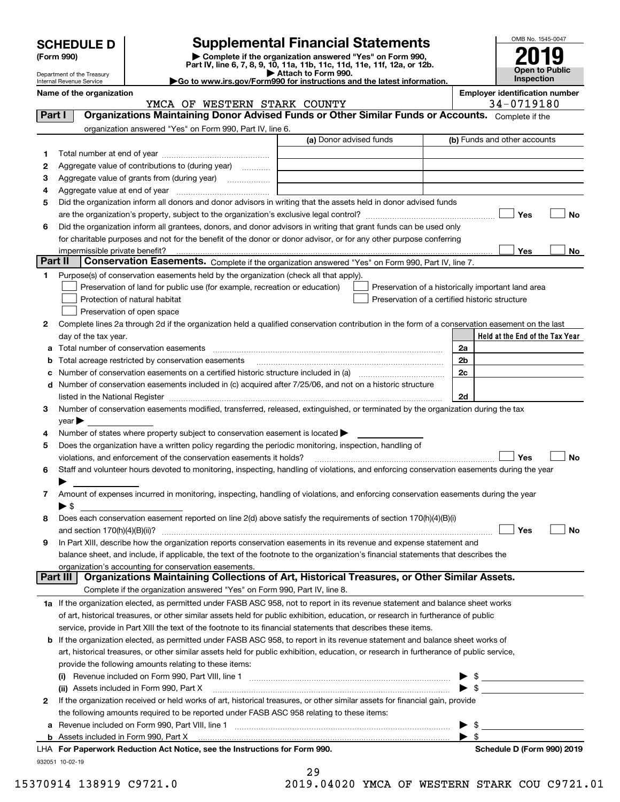| <b>SCHEDULE D</b> |  |
|-------------------|--|
|-------------------|--|

| (Form 990) |
|------------|
|------------|

# **Supplemental Financial Statements**

**(Form 990)** (**Form 990,**<br>Part IV, line 6, 7, 8, 9, 10, 11a, 11b, 11c, 11d, 11e, 11f, 12a, or 12b.<br>Department of the Treasury **and Exercise Connect Connect Connect Connect Connect Connect Connect Connect Connect** 

| P Allach to Form 990.                                                  |
|------------------------------------------------------------------------|
| Go to www.irs.gov/Form990 for instructions and the latest information. |



Department of the Treasury Internal Revenue Service

#### **Name of the organization**<br>**Employer identification number**<br> **Reference To The CONSTAN STARK COLLUTY**<br> **Employer identification number**<br> **Employer identification number** YMCA OF WESTERN STARK COUNTY

| Part I  | INCH OI NODIDIUN DIHUU COONII<br>Organizations Maintaining Donor Advised Funds or Other Similar Funds or Accounts. Complete if the                                                                                            |                         |                                                |                          | J = V / ± J ± V V                                  |
|---------|-------------------------------------------------------------------------------------------------------------------------------------------------------------------------------------------------------------------------------|-------------------------|------------------------------------------------|--------------------------|----------------------------------------------------|
|         | organization answered "Yes" on Form 990, Part IV, line 6.                                                                                                                                                                     |                         |                                                |                          |                                                    |
|         |                                                                                                                                                                                                                               | (a) Donor advised funds |                                                |                          | (b) Funds and other accounts                       |
| 1       |                                                                                                                                                                                                                               |                         |                                                |                          |                                                    |
| 2       | Aggregate value of contributions to (during year)                                                                                                                                                                             |                         |                                                |                          |                                                    |
| з       | Aggregate value of grants from (during year)                                                                                                                                                                                  |                         |                                                |                          |                                                    |
| 4       |                                                                                                                                                                                                                               |                         |                                                |                          |                                                    |
| 5       | Did the organization inform all donors and donor advisors in writing that the assets held in donor advised funds                                                                                                              |                         |                                                |                          |                                                    |
|         |                                                                                                                                                                                                                               |                         |                                                |                          | Yes<br>No                                          |
| 6       | Did the organization inform all grantees, donors, and donor advisors in writing that grant funds can be used only                                                                                                             |                         |                                                |                          |                                                    |
|         | for charitable purposes and not for the benefit of the donor or donor advisor, or for any other purpose conferring                                                                                                            |                         |                                                |                          |                                                    |
|         | impermissible private benefit?                                                                                                                                                                                                |                         |                                                |                          | Yes<br>No                                          |
| Part II | Conservation Easements. Complete if the organization answered "Yes" on Form 990, Part IV, line 7.                                                                                                                             |                         |                                                |                          |                                                    |
| 1       | Purpose(s) of conservation easements held by the organization (check all that apply).                                                                                                                                         |                         |                                                |                          |                                                    |
|         | Preservation of land for public use (for example, recreation or education)                                                                                                                                                    |                         |                                                |                          | Preservation of a historically important land area |
|         | Protection of natural habitat                                                                                                                                                                                                 |                         | Preservation of a certified historic structure |                          |                                                    |
|         | Preservation of open space                                                                                                                                                                                                    |                         |                                                |                          |                                                    |
| 2       | Complete lines 2a through 2d if the organization held a qualified conservation contribution in the form of a conservation easement on the last                                                                                |                         |                                                |                          |                                                    |
|         | day of the tax year.                                                                                                                                                                                                          |                         |                                                |                          | Held at the End of the Tax Year                    |
| a       | Total number of conservation easements                                                                                                                                                                                        |                         |                                                | 2a                       |                                                    |
| b       | Total acreage restricted by conservation easements                                                                                                                                                                            |                         |                                                | 2 <sub>b</sub>           |                                                    |
| с       |                                                                                                                                                                                                                               |                         |                                                | 2c                       |                                                    |
| d       | Number of conservation easements included in (c) acquired after 7/25/06, and not on a historic structure                                                                                                                      |                         |                                                |                          |                                                    |
|         | listed in the National Register [11, 1200] [12] The National Register [11, 1200] [12] The National Register [11, 1200] [12] The National Register [11, 1200] [12] The National Register [11, 1200] [12] The National Register |                         |                                                | 2d                       |                                                    |
| 3       | Number of conservation easements modified, transferred, released, extinguished, or terminated by the organization during the tax                                                                                              |                         |                                                |                          |                                                    |
|         | $year \blacktriangleright$                                                                                                                                                                                                    |                         |                                                |                          |                                                    |
| 4       | Number of states where property subject to conservation easement is located >                                                                                                                                                 |                         |                                                |                          |                                                    |
| 5       | Does the organization have a written policy regarding the periodic monitoring, inspection, handling of                                                                                                                        |                         |                                                |                          |                                                    |
|         | violations, and enforcement of the conservation easements it holds?                                                                                                                                                           |                         |                                                |                          | Yes<br><b>No</b>                                   |
| 6       | Staff and volunteer hours devoted to monitoring, inspecting, handling of violations, and enforcing conservation easements during the year                                                                                     |                         |                                                |                          |                                                    |
|         |                                                                                                                                                                                                                               |                         |                                                |                          |                                                    |
| 7       | Amount of expenses incurred in monitoring, inspecting, handling of violations, and enforcing conservation easements during the year                                                                                           |                         |                                                |                          |                                                    |
|         | ▶ \$                                                                                                                                                                                                                          |                         |                                                |                          |                                                    |
| 8       | Does each conservation easement reported on line 2(d) above satisfy the requirements of section 170(h)(4)(B)(i)                                                                                                               |                         |                                                |                          |                                                    |
|         |                                                                                                                                                                                                                               |                         |                                                |                          | Yes<br>No                                          |
| 9       | In Part XIII, describe how the organization reports conservation easements in its revenue and expense statement and                                                                                                           |                         |                                                |                          |                                                    |
|         | balance sheet, and include, if applicable, the text of the footnote to the organization's financial statements that describes the                                                                                             |                         |                                                |                          |                                                    |
|         | organization's accounting for conservation easements.<br>Organizations Maintaining Collections of Art, Historical Treasures, or Other Similar Assets.<br>Part III                                                             |                         |                                                |                          |                                                    |
|         | Complete if the organization answered "Yes" on Form 990, Part IV, line 8.                                                                                                                                                     |                         |                                                |                          |                                                    |
|         | 1a If the organization elected, as permitted under FASB ASC 958, not to report in its revenue statement and balance sheet works                                                                                               |                         |                                                |                          |                                                    |
|         | of art, historical treasures, or other similar assets held for public exhibition, education, or research in furtherance of public                                                                                             |                         |                                                |                          |                                                    |
|         | service, provide in Part XIII the text of the footnote to its financial statements that describes these items.                                                                                                                |                         |                                                |                          |                                                    |
|         | <b>b</b> If the organization elected, as permitted under FASB ASC 958, to report in its revenue statement and balance sheet works of                                                                                          |                         |                                                |                          |                                                    |
|         | art, historical treasures, or other similar assets held for public exhibition, education, or research in furtherance of public service,                                                                                       |                         |                                                |                          |                                                    |
|         | provide the following amounts relating to these items:                                                                                                                                                                        |                         |                                                |                          |                                                    |
|         |                                                                                                                                                                                                                               |                         |                                                |                          | $\blacktriangleright$ \$                           |
|         |                                                                                                                                                                                                                               |                         |                                                |                          |                                                    |
| 2       | If the organization received or held works of art, historical treasures, or other similar assets for financial gain, provide                                                                                                  |                         |                                                |                          |                                                    |
|         | the following amounts required to be reported under FASB ASC 958 relating to these items:                                                                                                                                     |                         |                                                |                          |                                                    |
| а       |                                                                                                                                                                                                                               |                         |                                                |                          | $\blacktriangleright$ \$                           |
|         |                                                                                                                                                                                                                               |                         |                                                | $\blacktriangleright$ \$ |                                                    |
|         | LHA For Paperwork Reduction Act Notice, see the Instructions for Form 990.                                                                                                                                                    |                         |                                                |                          | Schedule D (Form 990) 2019                         |
|         | 932051 10-02-19                                                                                                                                                                                                               |                         |                                                |                          |                                                    |
|         |                                                                                                                                                                                                                               |                         |                                                |                          |                                                    |

|   | 29 |   |               |  |
|---|----|---|---------------|--|
| - | ∼  | ~ | $\sim$ $\sim$ |  |

15370914 138919 C9721.0 2019.04020 YMCA OF WESTERN STARK COU C9721.01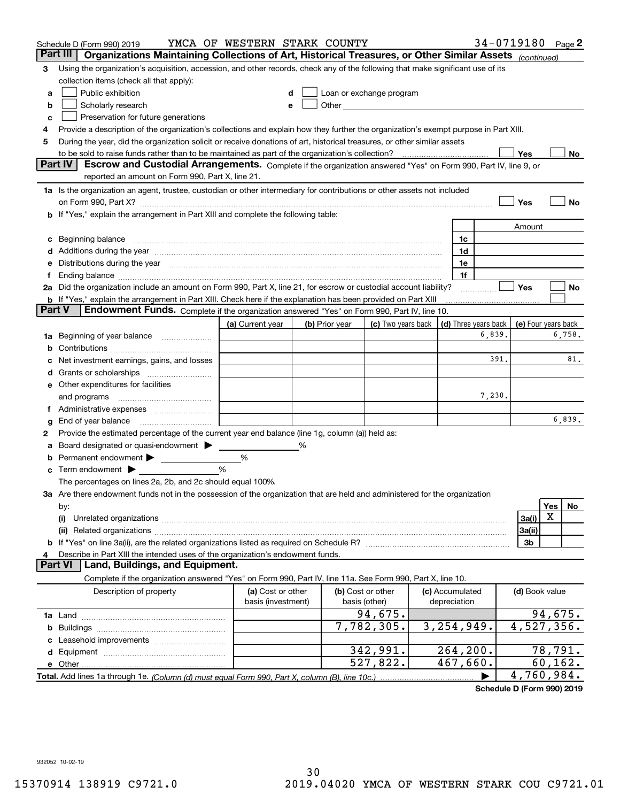|        | Schedule D (Form 990) 2019                                                                                                                                                                                                     | YMCA OF WESTERN STARK COUNTY            |   |                |                                                                                                               |                                 |                                                      | 34-0719180 Page 2 |          |        |
|--------|--------------------------------------------------------------------------------------------------------------------------------------------------------------------------------------------------------------------------------|-----------------------------------------|---|----------------|---------------------------------------------------------------------------------------------------------------|---------------------------------|------------------------------------------------------|-------------------|----------|--------|
|        | Part III<br>Organizations Maintaining Collections of Art, Historical Treasures, or Other Similar Assets (continued)                                                                                                            |                                         |   |                |                                                                                                               |                                 |                                                      |                   |          |        |
| 3      | Using the organization's acquisition, accession, and other records, check any of the following that make significant use of its                                                                                                |                                         |   |                |                                                                                                               |                                 |                                                      |                   |          |        |
|        | collection items (check all that apply):                                                                                                                                                                                       |                                         |   |                |                                                                                                               |                                 |                                                      |                   |          |        |
| a      | Public exhibition                                                                                                                                                                                                              |                                         |   |                | Loan or exchange program                                                                                      |                                 |                                                      |                   |          |        |
| b      | Scholarly research                                                                                                                                                                                                             |                                         |   |                | Other and the contract of the contract of the contract of the contract of the contract of the contract of the |                                 |                                                      |                   |          |        |
| с      | Preservation for future generations                                                                                                                                                                                            |                                         |   |                |                                                                                                               |                                 |                                                      |                   |          |        |
| 4      | Provide a description of the organization's collections and explain how they further the organization's exempt purpose in Part XIII.                                                                                           |                                         |   |                |                                                                                                               |                                 |                                                      |                   |          |        |
| 5      | During the year, did the organization solicit or receive donations of art, historical treasures, or other similar assets                                                                                                       |                                         |   |                |                                                                                                               |                                 |                                                      |                   |          |        |
|        | to be sold to raise funds rather than to be maintained as part of the organization's collection?                                                                                                                               |                                         |   |                |                                                                                                               |                                 |                                                      | Yes               |          | No     |
|        | <b>Part IV</b><br>Escrow and Custodial Arrangements. Complete if the organization answered "Yes" on Form 990, Part IV, line 9, or                                                                                              |                                         |   |                |                                                                                                               |                                 |                                                      |                   |          |        |
|        | reported an amount on Form 990, Part X, line 21.                                                                                                                                                                               |                                         |   |                |                                                                                                               |                                 |                                                      |                   |          |        |
|        | 1a Is the organization an agent, trustee, custodian or other intermediary for contributions or other assets not included                                                                                                       |                                         |   |                |                                                                                                               |                                 |                                                      |                   |          |        |
|        | on Form 990, Part X? [11] matter contracts and contracts and contracts are contracted and contracts are contracted and contract and contract of the contract of the contract of the contract of the contract of the contract o |                                         |   |                |                                                                                                               |                                 |                                                      | Yes               |          | No     |
|        | b If "Yes," explain the arrangement in Part XIII and complete the following table:                                                                                                                                             |                                         |   |                |                                                                                                               |                                 |                                                      |                   |          |        |
|        |                                                                                                                                                                                                                                |                                         |   |                |                                                                                                               |                                 |                                                      | Amount            |          |        |
| c      | Beginning balance material content contracts and all the content of the content of the content of the content of the content of the content of the content of the content of the content of the content of the content of the  |                                         |   |                |                                                                                                               | 1c                              |                                                      |                   |          |        |
|        | Additions during the year manufactured and an account of the year manufactured and account of the year manufactured and account of the state of the state of the state of the state of the state of the state of the state of  |                                         |   |                |                                                                                                               | 1d                              |                                                      |                   |          |        |
| е      | Distributions during the year manufactured and an extraordinary of the year manufactured and the year manufactured and the set of the set of the set of the set of the set of the set of the set of the set of the set of the  |                                         |   |                |                                                                                                               | 1e                              |                                                      |                   |          |        |
| Ť.     |                                                                                                                                                                                                                                |                                         |   |                |                                                                                                               | 1f                              |                                                      |                   |          |        |
|        | 2a Did the organization include an amount on Form 990, Part X, line 21, for escrow or custodial account liability?                                                                                                             |                                         |   |                |                                                                                                               |                                 |                                                      | Yes               |          | No     |
|        | <b>b</b> If "Yes," explain the arrangement in Part XIII. Check here if the explanation has been provided on Part XIII<br>Part V<br>Endowment Funds. Complete if the organization answered "Yes" on Form 990, Part IV, line 10. |                                         |   |                |                                                                                                               |                                 |                                                      |                   |          |        |
|        |                                                                                                                                                                                                                                |                                         |   |                |                                                                                                               |                                 |                                                      |                   |          |        |
|        |                                                                                                                                                                                                                                | (a) Current year                        |   | (b) Prior year | (c) Two years back                                                                                            |                                 | (d) Three years back   (e) Four years back<br>6,839. |                   |          | 6,758. |
| 1a     | Beginning of year balance                                                                                                                                                                                                      |                                         |   |                |                                                                                                               |                                 |                                                      |                   |          |        |
| b      |                                                                                                                                                                                                                                |                                         |   |                |                                                                                                               |                                 | 391.                                                 |                   |          | 81.    |
|        | Net investment earnings, gains, and losses                                                                                                                                                                                     |                                         |   |                |                                                                                                               |                                 |                                                      |                   |          |        |
|        |                                                                                                                                                                                                                                |                                         |   |                |                                                                                                               |                                 |                                                      |                   |          |        |
|        | e Other expenditures for facilities                                                                                                                                                                                            |                                         |   |                |                                                                                                               |                                 | 7,230.                                               |                   |          |        |
|        | and programs                                                                                                                                                                                                                   |                                         |   |                |                                                                                                               |                                 |                                                      |                   |          |        |
|        | End of year balance                                                                                                                                                                                                            |                                         |   |                |                                                                                                               |                                 |                                                      |                   |          | 6,839. |
| g<br>2 | Provide the estimated percentage of the current year end balance (line 1g, column (a)) held as:                                                                                                                                |                                         |   |                |                                                                                                               |                                 |                                                      |                   |          |        |
| а      | Board designated or quasi-endowment                                                                                                                                                                                            |                                         | % |                |                                                                                                               |                                 |                                                      |                   |          |        |
|        | Permanent endowment > <u>example</u>                                                                                                                                                                                           | %                                       |   |                |                                                                                                               |                                 |                                                      |                   |          |        |
| c      | Term endowment $\blacktriangleright$                                                                                                                                                                                           | %                                       |   |                |                                                                                                               |                                 |                                                      |                   |          |        |
|        | The percentages on lines 2a, 2b, and 2c should equal 100%.                                                                                                                                                                     |                                         |   |                |                                                                                                               |                                 |                                                      |                   |          |        |
|        | 3a Are there endowment funds not in the possession of the organization that are held and administered for the organization                                                                                                     |                                         |   |                |                                                                                                               |                                 |                                                      |                   |          |        |
|        | by:                                                                                                                                                                                                                            |                                         |   |                |                                                                                                               |                                 |                                                      |                   | Yes      | No.    |
|        | (i)                                                                                                                                                                                                                            |                                         |   |                |                                                                                                               |                                 |                                                      | 3a(i)             | X        |        |
|        |                                                                                                                                                                                                                                |                                         |   |                |                                                                                                               |                                 |                                                      | 3a(ii)            |          |        |
|        |                                                                                                                                                                                                                                |                                         |   |                |                                                                                                               |                                 |                                                      | 3b                |          |        |
|        | Describe in Part XIII the intended uses of the organization's endowment funds.                                                                                                                                                 |                                         |   |                |                                                                                                               |                                 |                                                      |                   |          |        |
|        | Land, Buildings, and Equipment.<br><b>Part VI</b>                                                                                                                                                                              |                                         |   |                |                                                                                                               |                                 |                                                      |                   |          |        |
|        | Complete if the organization answered "Yes" on Form 990, Part IV, line 11a. See Form 990, Part X, line 10.                                                                                                                     |                                         |   |                |                                                                                                               |                                 |                                                      |                   |          |        |
|        | Description of property                                                                                                                                                                                                        | (a) Cost or other<br>basis (investment) |   |                | (b) Cost or other<br>basis (other)                                                                            | (c) Accumulated<br>depreciation |                                                      | (d) Book value    |          |        |
|        |                                                                                                                                                                                                                                |                                         |   |                | 94,675.                                                                                                       |                                 |                                                      |                   | 94,675.  |        |
| b      |                                                                                                                                                                                                                                |                                         |   |                | 7,782,305.                                                                                                    | 3, 254, 949.                    |                                                      | 4,527,356.        |          |        |
|        |                                                                                                                                                                                                                                |                                         |   |                |                                                                                                               |                                 |                                                      |                   |          |        |
| d      |                                                                                                                                                                                                                                |                                         |   |                | 342,991.                                                                                                      | 264,200.                        |                                                      |                   | 78,791.  |        |
|        | e Other                                                                                                                                                                                                                        |                                         |   |                | 527,822.                                                                                                      | 467,660.                        |                                                      |                   | 60, 162. |        |
|        |                                                                                                                                                                                                                                |                                         |   |                |                                                                                                               |                                 |                                                      | 4,760,984.        |          |        |

**Schedule D (Form 990) 2019**

932052 10-02-19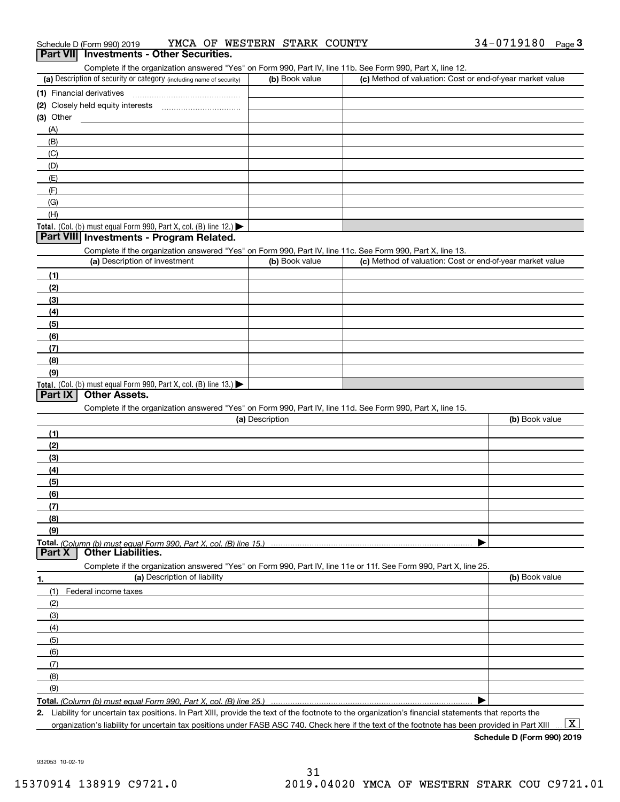| Schedule D (Form 990) 2019                                                                                        | YMCA OF WESTERN STARK COUNTY |                                                           | 34-0719180<br>Page $3$ |
|-------------------------------------------------------------------------------------------------------------------|------------------------------|-----------------------------------------------------------|------------------------|
| Part VII Investments - Other Securities.                                                                          |                              |                                                           |                        |
| Complete if the organization answered "Yes" on Form 990, Part IV, line 11b. See Form 990, Part X, line 12.        |                              |                                                           |                        |
| (a) Description of security or category (including name of security)                                              | (b) Book value               | (c) Method of valuation: Cost or end-of-year market value |                        |
|                                                                                                                   |                              |                                                           |                        |
|                                                                                                                   |                              |                                                           |                        |
| (3) Other<br><u> 1989 - Jan Barbara Barbara, manazarta da k</u>                                                   |                              |                                                           |                        |
| (A)                                                                                                               |                              |                                                           |                        |
| (B)                                                                                                               |                              |                                                           |                        |
| (C)                                                                                                               |                              |                                                           |                        |
| (D)                                                                                                               |                              |                                                           |                        |
| (E)                                                                                                               |                              |                                                           |                        |
| (F)                                                                                                               |                              |                                                           |                        |
| (G)                                                                                                               |                              |                                                           |                        |
| (H)                                                                                                               |                              |                                                           |                        |
| Total. (Col. (b) must equal Form 990, Part X, col. (B) line 12.)                                                  |                              |                                                           |                        |
| Part VIII Investments - Program Related.                                                                          |                              |                                                           |                        |
| Complete if the organization answered "Yes" on Form 990, Part IV, line 11c. See Form 990, Part X, line 13.        |                              |                                                           |                        |
| (a) Description of investment                                                                                     | (b) Book value               | (c) Method of valuation: Cost or end-of-year market value |                        |
| (1)                                                                                                               |                              |                                                           |                        |
| (2)                                                                                                               |                              |                                                           |                        |
|                                                                                                                   |                              |                                                           |                        |
| (3)                                                                                                               |                              |                                                           |                        |
| (4)                                                                                                               |                              |                                                           |                        |
| (5)                                                                                                               |                              |                                                           |                        |
| (6)                                                                                                               |                              |                                                           |                        |
| (7)                                                                                                               |                              |                                                           |                        |
| (8)                                                                                                               |                              |                                                           |                        |
| (9)                                                                                                               |                              |                                                           |                        |
| Total. (Col. (b) must equal Form 990, Part X, col. (B) line 13.) $\blacktriangleright$                            |                              |                                                           |                        |
| Part IX   Other Assets.                                                                                           |                              |                                                           |                        |
| Complete if the organization answered "Yes" on Form 990, Part IV, line 11d. See Form 990, Part X, line 15.        |                              |                                                           |                        |
|                                                                                                                   | (a) Description              |                                                           | (b) Book value         |
| (1)                                                                                                               |                              |                                                           |                        |
| (2)                                                                                                               |                              |                                                           |                        |
| (3)                                                                                                               |                              |                                                           |                        |
| (4)                                                                                                               |                              |                                                           |                        |
| (5)                                                                                                               |                              |                                                           |                        |
| (6)                                                                                                               |                              |                                                           |                        |
| (7)                                                                                                               |                              |                                                           |                        |
| (8)                                                                                                               |                              |                                                           |                        |
| (9)                                                                                                               |                              |                                                           |                        |
|                                                                                                                   |                              |                                                           |                        |
| Part X<br><b>Other Liabilities.</b>                                                                               |                              |                                                           |                        |
| Complete if the organization answered "Yes" on Form 990, Part IV, line 11e or 11f. See Form 990, Part X, line 25. |                              |                                                           |                        |
| (a) Description of liability                                                                                      |                              |                                                           | (b) Book value         |
| 1.                                                                                                                |                              |                                                           |                        |
| (1) Federal income taxes                                                                                          |                              |                                                           |                        |

**Schedule D (Form 990) 2019**

 $\boxed{\text{X}}$ 

 $\blacktriangleright$ 

932053 10-02-19

**2.**

(2)(3)(4)(5) (6)(7)(8)(9)

Liability for uncertain tax positions. In Part XIII, provide the text of the footnote to the organization's financial statements that reports the organization's liability for uncertain tax positions under FASB ASC 740. Check here if the text of the footnote has been provided in Part XIII

**Total.**  *(Column (b) must equal Form 990, Part X, col. (B) line 25.)*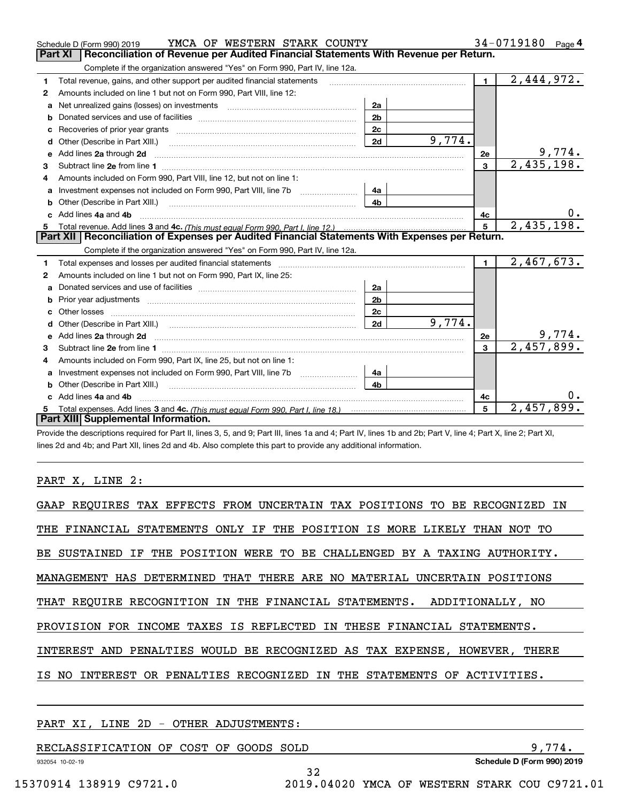|   | YMCA OF WESTERN STARK COUNTY<br>Schedule D (Form 990) 2019                                                                                                                                                                          |                |        |                | 34-0719180<br>Page 4     |
|---|-------------------------------------------------------------------------------------------------------------------------------------------------------------------------------------------------------------------------------------|----------------|--------|----------------|--------------------------|
|   | Reconciliation of Revenue per Audited Financial Statements With Revenue per Return.<br>Part XI                                                                                                                                      |                |        |                |                          |
|   | Complete if the organization answered "Yes" on Form 990, Part IV, line 12a.                                                                                                                                                         |                |        |                |                          |
| 1 | Total revenue, gains, and other support per audited financial statements                                                                                                                                                            |                |        | $\blacksquare$ | $\overline{2,444,972}$ . |
| 2 | Amounts included on line 1 but not on Form 990, Part VIII, line 12:                                                                                                                                                                 |                |        |                |                          |
| a | Net unrealized gains (losses) on investments [11] matter contracts and the unrealized gains (losses) on investments                                                                                                                 | 2a             |        |                |                          |
| b |                                                                                                                                                                                                                                     | 2 <sub>b</sub> |        |                |                          |
|   |                                                                                                                                                                                                                                     | 2c             |        |                |                          |
| d |                                                                                                                                                                                                                                     | 2d             | 9,774. |                |                          |
| е | Add lines 2a through 2d                                                                                                                                                                                                             |                |        | 2е             | 9,774.                   |
| 3 |                                                                                                                                                                                                                                     |                |        | $\mathbf{3}$   | 2,435,198.               |
| 4 | Amounts included on Form 990, Part VIII, line 12, but not on line 1:                                                                                                                                                                |                |        |                |                          |
|   |                                                                                                                                                                                                                                     | 4a             |        |                |                          |
| b |                                                                                                                                                                                                                                     | 4 <sub>b</sub> |        |                |                          |
|   | c Add lines 4a and 4b                                                                                                                                                                                                               |                |        | 4c             |                          |
|   |                                                                                                                                                                                                                                     |                |        | 5              | 2,435,198.               |
|   |                                                                                                                                                                                                                                     |                |        |                |                          |
|   | Part XII   Reconciliation of Expenses per Audited Financial Statements With Expenses per Return.                                                                                                                                    |                |        |                |                          |
|   | Complete if the organization answered "Yes" on Form 990, Part IV, line 12a.                                                                                                                                                         |                |        |                |                          |
| 1 | Total expenses and losses per audited financial statements                                                                                                                                                                          |                |        | $\blacksquare$ | 2,467,673.               |
| 2 | Amounts included on line 1 but not on Form 990, Part IX, line 25:                                                                                                                                                                   |                |        |                |                          |
| a |                                                                                                                                                                                                                                     | 2a             |        |                |                          |
| b |                                                                                                                                                                                                                                     | 2 <sub>b</sub> |        |                |                          |
| c |                                                                                                                                                                                                                                     | 2 <sub>c</sub> |        |                |                          |
| d |                                                                                                                                                                                                                                     | 2d             | 9,774. |                |                          |
| e | Add lines 2a through 2d <b>contained a contained a contained a contained a</b> contained a contained a contained a contained a contained a contained a contained a contained a contained a contained a contained a contained a cont |                |        | 2e             | 9,774.                   |
| 3 |                                                                                                                                                                                                                                     |                |        | 3              | 2,457,899.               |
| 4 | Amounts included on Form 990, Part IX, line 25, but not on line 1:                                                                                                                                                                  |                |        |                |                          |
| a |                                                                                                                                                                                                                                     | 4a             |        |                |                          |
| b | Other (Describe in Part XIII.)                                                                                                                                                                                                      | 4 <sub>b</sub> |        |                |                          |
|   | c Add lines 4a and 4b                                                                                                                                                                                                               |                |        | 4c             |                          |
|   | Part XIII Supplemental Information.                                                                                                                                                                                                 |                |        | 5              | 2,457,899.               |

Provide the descriptions required for Part II, lines 3, 5, and 9; Part III, lines 1a and 4; Part IV, lines 1b and 2b; Part V, line 4; Part X, line 2; Part XI, lines 2d and 4b; and Part XII, lines 2d and 4b. Also complete this part to provide any additional information.

## PART X, LINE 2:

| GAAP REOUIRES TAX EFFECTS FROM UNCERTAIN TAX POSITIONS TO BE RECOGNIZED IN |
|----------------------------------------------------------------------------|
| THE FINANCIAL STATEMENTS ONLY IF THE POSITION IS MORE LIKELY THAN NOT TO   |
| BE SUSTAINED IF THE POSITION WERE TO BE CHALLENGED BY A TAXING AUTHORITY.  |
| MANAGEMENT HAS DETERMINED THAT THERE ARE NO MATERIAL UNCERTAIN POSITIONS   |
| THAT REOUIRE RECOGNITION IN THE FINANCIAL STATEMENTS. ADDITIONALLY, NO     |
| PROVISION FOR INCOME TAXES IS REFLECTED IN THESE FINANCIAL STATEMENTS.     |
| INTEREST AND PENALTIES WOULD BE RECOGNIZED AS TAX EXPENSE, HOWEVER, THERE  |
| IS NO INTEREST OR PENALTIES RECOGNIZED IN THE STATEMENTS OF ACTIVITIES.    |
|                                                                            |

## PART XI, LINE 2D - OTHER ADJUSTMENTS:

| the contract of the contract of the contract of the contract of the contract of the contract of the contract of | $0.1.11.5$ $(5.000)$ $0.40$ |
|-----------------------------------------------------------------------------------------------------------------|-----------------------------|
| RECLASSIFICATION OF COST OF<br>SOLD<br>GOODS                                                                    |                             |

32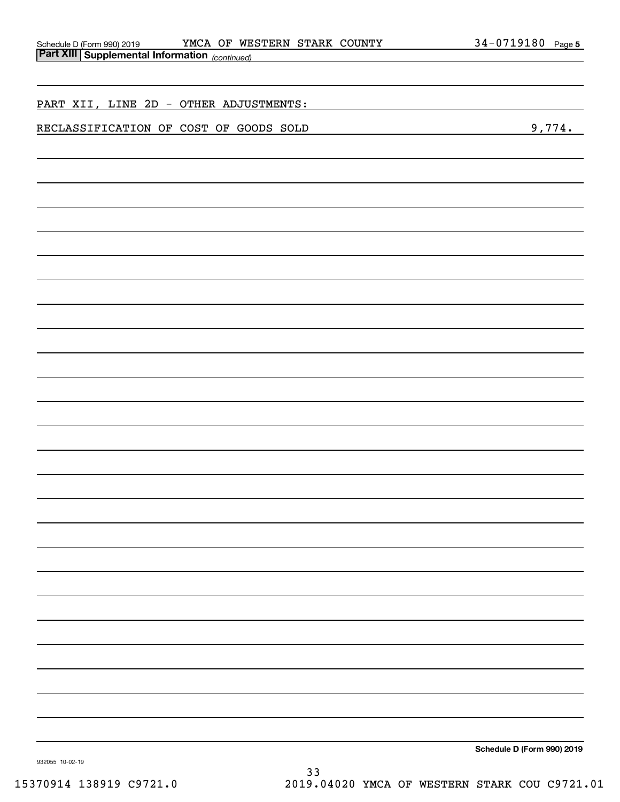|                                                                                          | YMCA OF WESTERN STARK COUNTY<br>34-0719180 Page 5 |
|------------------------------------------------------------------------------------------|---------------------------------------------------|
| Schedule D (Form 990) 2019 YMCA OF WE;<br>Part XIII Supplemental Information (continued) |                                                   |
|                                                                                          |                                                   |
|                                                                                          |                                                   |
| PART XII, LINE 2D - OTHER ADJUSTMENTS:                                                   |                                                   |
|                                                                                          |                                                   |
| RECLASSIFICATION OF COST OF GOODS SOLD                                                   | 9,774.                                            |
|                                                                                          |                                                   |
|                                                                                          |                                                   |
|                                                                                          |                                                   |
|                                                                                          |                                                   |
|                                                                                          |                                                   |
|                                                                                          |                                                   |
|                                                                                          |                                                   |
|                                                                                          |                                                   |
|                                                                                          |                                                   |
|                                                                                          |                                                   |
|                                                                                          |                                                   |
|                                                                                          |                                                   |
|                                                                                          |                                                   |
|                                                                                          |                                                   |
|                                                                                          |                                                   |
|                                                                                          |                                                   |
|                                                                                          |                                                   |
|                                                                                          |                                                   |
|                                                                                          |                                                   |
|                                                                                          |                                                   |
|                                                                                          |                                                   |
|                                                                                          |                                                   |
|                                                                                          |                                                   |
|                                                                                          |                                                   |
|                                                                                          |                                                   |
|                                                                                          |                                                   |
|                                                                                          |                                                   |
|                                                                                          |                                                   |
|                                                                                          |                                                   |
|                                                                                          |                                                   |
|                                                                                          |                                                   |
|                                                                                          |                                                   |
|                                                                                          |                                                   |
|                                                                                          |                                                   |
|                                                                                          |                                                   |
|                                                                                          |                                                   |
|                                                                                          |                                                   |
|                                                                                          |                                                   |
|                                                                                          |                                                   |
|                                                                                          |                                                   |
|                                                                                          |                                                   |
|                                                                                          |                                                   |
|                                                                                          |                                                   |
|                                                                                          |                                                   |
|                                                                                          |                                                   |
|                                                                                          |                                                   |
|                                                                                          | Schodule D (Form 000) 2010                        |

**Schedule D (Form 990) 2019**

932055 10-02-19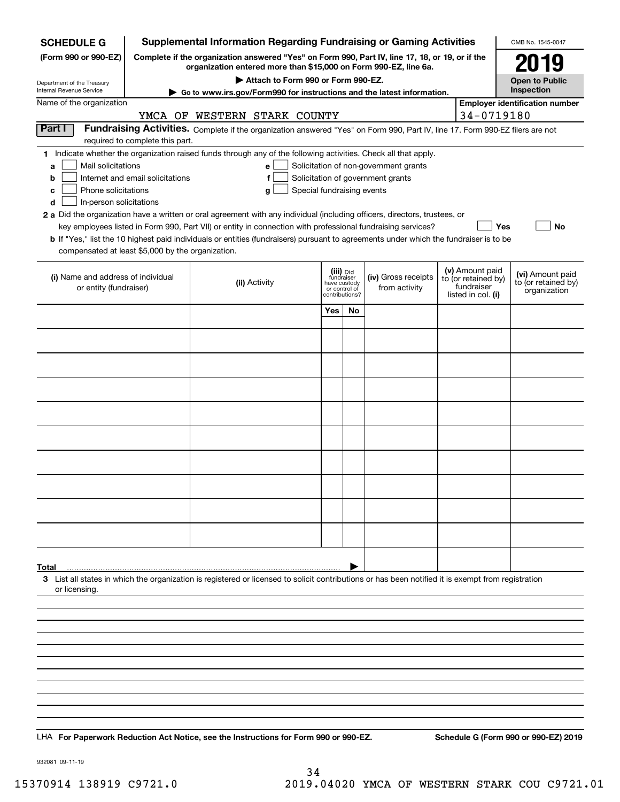| <b>Supplemental Information Regarding Fundraising or Gaming Activities</b><br><b>SCHEDULE G</b>                                                                                             |                                  |                                                                                                                                                    |                                                                            |    |                                                                            | OMB No. 1545-0047 |                                                         |                                                         |  |
|---------------------------------------------------------------------------------------------------------------------------------------------------------------------------------------------|----------------------------------|----------------------------------------------------------------------------------------------------------------------------------------------------|----------------------------------------------------------------------------|----|----------------------------------------------------------------------------|-------------------|---------------------------------------------------------|---------------------------------------------------------|--|
| Complete if the organization answered "Yes" on Form 990, Part IV, line 17, 18, or 19, or if the<br>(Form 990 or 990-EZ)<br>organization entered more than \$15,000 on Form 990-EZ, line 6a. |                                  |                                                                                                                                                    |                                                                            |    |                                                                            |                   |                                                         | 2019                                                    |  |
| Attach to Form 990 or Form 990-EZ.<br>Department of the Treasury<br>Internal Revenue Service                                                                                                |                                  |                                                                                                                                                    |                                                                            |    |                                                                            |                   |                                                         | <b>Open to Public</b><br>Inspection                     |  |
| Go to www.irs.gov/Form990 for instructions and the latest information.<br>Name of the organization                                                                                          |                                  |                                                                                                                                                    |                                                                            |    |                                                                            |                   |                                                         | <b>Employer identification number</b>                   |  |
| 34-0719180<br>YMCA OF WESTERN STARK COUNTY                                                                                                                                                  |                                  |                                                                                                                                                    |                                                                            |    |                                                                            |                   |                                                         |                                                         |  |
| Part I                                                                                                                                                                                      | required to complete this part.  | Fundraising Activities. Complete if the organization answered "Yes" on Form 990, Part IV, line 17. Form 990-EZ filers are not                      |                                                                            |    |                                                                            |                   |                                                         |                                                         |  |
|                                                                                                                                                                                             |                                  | 1 Indicate whether the organization raised funds through any of the following activities. Check all that apply.                                    |                                                                            |    |                                                                            |                   |                                                         |                                                         |  |
| Mail solicitations<br>a                                                                                                                                                                     | Internet and email solicitations | e l<br>f                                                                                                                                           |                                                                            |    | Solicitation of non-government grants<br>Solicitation of government grants |                   |                                                         |                                                         |  |
| b<br>Phone solicitations<br>с                                                                                                                                                               |                                  | Special fundraising events<br>g                                                                                                                    |                                                                            |    |                                                                            |                   |                                                         |                                                         |  |
| d<br>In-person solicitations                                                                                                                                                                |                                  |                                                                                                                                                    |                                                                            |    |                                                                            |                   |                                                         |                                                         |  |
|                                                                                                                                                                                             |                                  | 2 a Did the organization have a written or oral agreement with any individual (including officers, directors, trustees, or                         |                                                                            |    |                                                                            |                   |                                                         |                                                         |  |
|                                                                                                                                                                                             |                                  | key employees listed in Form 990, Part VII) or entity in connection with professional fundraising services?                                        |                                                                            |    |                                                                            |                   | Yes                                                     | No                                                      |  |
| compensated at least \$5,000 by the organization.                                                                                                                                           |                                  | <b>b</b> If "Yes," list the 10 highest paid individuals or entities (fundraisers) pursuant to agreements under which the fundraiser is to be       |                                                                            |    |                                                                            |                   |                                                         |                                                         |  |
|                                                                                                                                                                                             |                                  |                                                                                                                                                    |                                                                            |    |                                                                            |                   | (v) Amount paid                                         |                                                         |  |
| (i) Name and address of individual<br>or entity (fundraiser)                                                                                                                                |                                  | (ii) Activity                                                                                                                                      | (iii) Did<br>fundraiser<br>have custody<br>or control of<br>contributions? |    | (iv) Gross receipts<br>from activity                                       |                   | to (or retained by)<br>fundraiser<br>listed in col. (i) | (vi) Amount paid<br>to (or retained by)<br>organization |  |
|                                                                                                                                                                                             |                                  |                                                                                                                                                    | Yes                                                                        | No |                                                                            |                   |                                                         |                                                         |  |
|                                                                                                                                                                                             |                                  |                                                                                                                                                    |                                                                            |    |                                                                            |                   |                                                         |                                                         |  |
|                                                                                                                                                                                             |                                  |                                                                                                                                                    |                                                                            |    |                                                                            |                   |                                                         |                                                         |  |
|                                                                                                                                                                                             |                                  |                                                                                                                                                    |                                                                            |    |                                                                            |                   |                                                         |                                                         |  |
|                                                                                                                                                                                             |                                  |                                                                                                                                                    |                                                                            |    |                                                                            |                   |                                                         |                                                         |  |
|                                                                                                                                                                                             |                                  |                                                                                                                                                    |                                                                            |    |                                                                            |                   |                                                         |                                                         |  |
|                                                                                                                                                                                             |                                  |                                                                                                                                                    |                                                                            |    |                                                                            |                   |                                                         |                                                         |  |
|                                                                                                                                                                                             |                                  |                                                                                                                                                    |                                                                            |    |                                                                            |                   |                                                         |                                                         |  |
|                                                                                                                                                                                             |                                  |                                                                                                                                                    |                                                                            |    |                                                                            |                   |                                                         |                                                         |  |
|                                                                                                                                                                                             |                                  |                                                                                                                                                    |                                                                            |    |                                                                            |                   |                                                         |                                                         |  |
|                                                                                                                                                                                             |                                  |                                                                                                                                                    |                                                                            |    |                                                                            |                   |                                                         |                                                         |  |
|                                                                                                                                                                                             |                                  |                                                                                                                                                    |                                                                            |    |                                                                            |                   |                                                         |                                                         |  |
| Total                                                                                                                                                                                       |                                  |                                                                                                                                                    |                                                                            |    |                                                                            |                   |                                                         |                                                         |  |
| or licensing.                                                                                                                                                                               |                                  | 3 List all states in which the organization is registered or licensed to solicit contributions or has been notified it is exempt from registration |                                                                            |    |                                                                            |                   |                                                         |                                                         |  |
|                                                                                                                                                                                             |                                  |                                                                                                                                                    |                                                                            |    |                                                                            |                   |                                                         |                                                         |  |
|                                                                                                                                                                                             |                                  |                                                                                                                                                    |                                                                            |    |                                                                            |                   |                                                         |                                                         |  |
|                                                                                                                                                                                             |                                  |                                                                                                                                                    |                                                                            |    |                                                                            |                   |                                                         |                                                         |  |
|                                                                                                                                                                                             |                                  |                                                                                                                                                    |                                                                            |    |                                                                            |                   |                                                         |                                                         |  |
|                                                                                                                                                                                             |                                  |                                                                                                                                                    |                                                                            |    |                                                                            |                   |                                                         |                                                         |  |
|                                                                                                                                                                                             |                                  |                                                                                                                                                    |                                                                            |    |                                                                            |                   |                                                         |                                                         |  |
|                                                                                                                                                                                             |                                  |                                                                                                                                                    |                                                                            |    |                                                                            |                   |                                                         |                                                         |  |
|                                                                                                                                                                                             |                                  | LHA For Paperwork Reduction Act Notice, see the Instructions for Form 990 or 990-EZ.                                                               |                                                                            |    |                                                                            |                   |                                                         | Schedule G (Form 990 or 990-EZ) 2019                    |  |

932081 09-11-19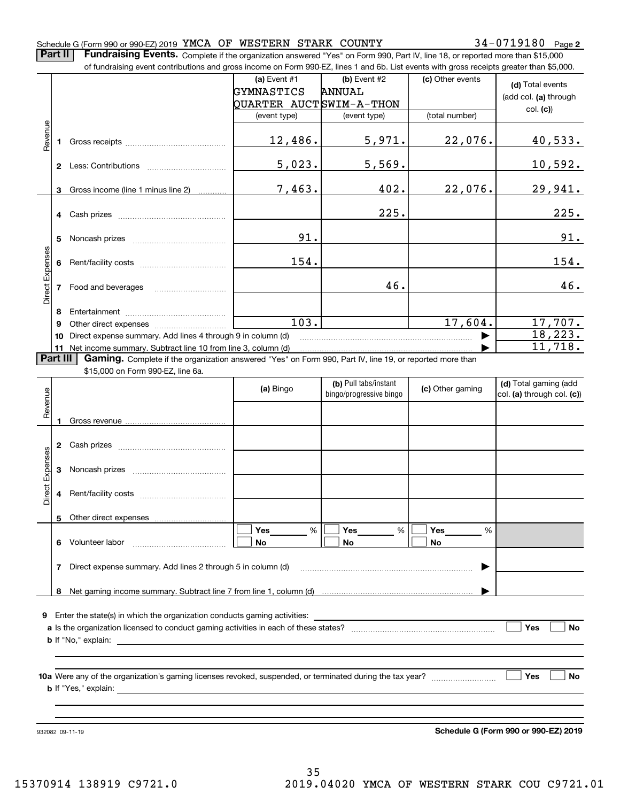#### Schedule G (Form 990 or 990-EZ) 2019 <code>YMCA OF WESTERN STARK COUNTY</code>  $34\text{--}0719180$  <code>Page</code>

**2**

**Part II** | Fundraising Events. Complete if the organization answered "Yes" on Form 990, Part IV, line 18, or reported more than \$15,000 of fundraising event contributions and gross income on Form 990-EZ, lines 1 and 6b. List events with gross receipts greater than \$5,000.

|                 |          | .000 of fundraising event contributions and gross income on Form 990-EZ, lines 1 and 6D. List events with gross receipts greater than \$5,000. |                         |                                                  |                  |                                                     |
|-----------------|----------|------------------------------------------------------------------------------------------------------------------------------------------------|-------------------------|--------------------------------------------------|------------------|-----------------------------------------------------|
|                 |          |                                                                                                                                                | (a) Event $#1$          | $(b)$ Event #2                                   | (c) Other events | (d) Total events                                    |
|                 |          |                                                                                                                                                | GYMNASTICS              | <b>ANNUAL</b>                                    |                  | (add col. (a) through                               |
|                 |          |                                                                                                                                                | QUARTER AUCTSWIM-A-THON |                                                  |                  |                                                     |
|                 |          |                                                                                                                                                | (event type)            | (event type)                                     | (total number)   | col. (c)                                            |
| Revenue         |          |                                                                                                                                                |                         |                                                  |                  |                                                     |
|                 | 1        |                                                                                                                                                | 12,486.                 | 5,971.                                           | 22,076.          | 40,533.                                             |
|                 |          |                                                                                                                                                |                         |                                                  |                  |                                                     |
|                 |          |                                                                                                                                                | 5,023.                  | 5,569.                                           |                  | 10,592.                                             |
|                 |          |                                                                                                                                                |                         |                                                  |                  |                                                     |
|                 | 3        | Gross income (line 1 minus line 2)                                                                                                             | 7,463.                  | 402.                                             | 22,076.          | 29,941.                                             |
|                 |          |                                                                                                                                                |                         |                                                  |                  |                                                     |
|                 |          |                                                                                                                                                |                         | 225.                                             |                  | 225.                                                |
|                 |          |                                                                                                                                                |                         |                                                  |                  |                                                     |
|                 | 5        |                                                                                                                                                | 91.                     |                                                  |                  | 91.                                                 |
|                 |          |                                                                                                                                                |                         |                                                  |                  |                                                     |
|                 | 6        |                                                                                                                                                | 154.                    |                                                  |                  | 154.                                                |
| Direct Expenses |          |                                                                                                                                                |                         |                                                  |                  |                                                     |
|                 |          | 7 Food and beverages                                                                                                                           |                         | 46.                                              |                  | 46.                                                 |
|                 |          |                                                                                                                                                |                         |                                                  |                  |                                                     |
|                 | 8        |                                                                                                                                                |                         |                                                  |                  |                                                     |
|                 | 9        |                                                                                                                                                | $\overline{103}$ .      |                                                  | 17,604.          | 17,707.                                             |
|                 | 10       | Direct expense summary. Add lines 4 through 9 in column (d)                                                                                    |                         |                                                  |                  | 18,223.                                             |
|                 | 11       | Net income summary. Subtract line 10 from line 3, column (d)                                                                                   |                         |                                                  |                  | 11,718.                                             |
|                 | Part III | Gaming. Complete if the organization answered "Yes" on Form 990, Part IV, line 19, or reported more than                                       |                         |                                                  |                  |                                                     |
|                 |          | \$15,000 on Form 990-EZ, line 6a.                                                                                                              |                         |                                                  |                  |                                                     |
|                 |          |                                                                                                                                                | (a) Bingo               | (b) Pull tabs/instant<br>bingo/progressive bingo | (c) Other gaming | (d) Total gaming (add<br>col. (a) through col. (c)) |
|                 |          |                                                                                                                                                |                         |                                                  |                  |                                                     |
| Revenue         |          |                                                                                                                                                |                         |                                                  |                  |                                                     |
|                 | 1        |                                                                                                                                                |                         |                                                  |                  |                                                     |
|                 |          |                                                                                                                                                |                         |                                                  |                  |                                                     |
|                 |          |                                                                                                                                                |                         |                                                  |                  |                                                     |
|                 |          |                                                                                                                                                |                         |                                                  |                  |                                                     |
|                 | 3        |                                                                                                                                                |                         |                                                  |                  |                                                     |
| Direct Expenses |          |                                                                                                                                                |                         |                                                  |                  |                                                     |
|                 | 4        |                                                                                                                                                |                         |                                                  |                  |                                                     |
|                 |          |                                                                                                                                                |                         |                                                  |                  |                                                     |
|                 |          | 5 Other direct expenses                                                                                                                        |                         |                                                  |                  |                                                     |
|                 |          |                                                                                                                                                | %<br>Yes                | Yes<br>%                                         | Yes<br>%         |                                                     |
|                 | 6.       | Volunteer labor                                                                                                                                | No                      | No                                               | No               |                                                     |
|                 |          |                                                                                                                                                |                         |                                                  |                  |                                                     |
|                 | 7        | Direct expense summary. Add lines 2 through 5 in column (d)                                                                                    |                         |                                                  |                  |                                                     |
|                 | 8        |                                                                                                                                                |                         |                                                  |                  |                                                     |
|                 |          |                                                                                                                                                |                         |                                                  |                  |                                                     |
|                 |          | <b>9</b> Enter the state(s) in which the organization conducts gaming activities:                                                              |                         |                                                  |                  |                                                     |
|                 |          |                                                                                                                                                |                         |                                                  |                  | Yes<br><b>No</b>                                    |
|                 |          |                                                                                                                                                |                         |                                                  |                  |                                                     |
|                 |          | $\mathbf b$ If "No," explain: $\qquad \qquad$                                                                                                  |                         |                                                  |                  |                                                     |
|                 |          |                                                                                                                                                |                         |                                                  |                  |                                                     |
|                 |          |                                                                                                                                                |                         |                                                  |                  | Yes<br><b>No</b>                                    |
|                 |          |                                                                                                                                                |                         |                                                  |                  |                                                     |
|                 |          |                                                                                                                                                |                         |                                                  |                  |                                                     |
|                 |          |                                                                                                                                                |                         |                                                  |                  |                                                     |
|                 |          |                                                                                                                                                |                         |                                                  |                  |                                                     |
|                 |          | 932082 09-11-19                                                                                                                                |                         |                                                  |                  | Schedule G (Form 990 or 990-EZ) 2019                |

**Schedule G (Form 990 or 990-EZ) 2019**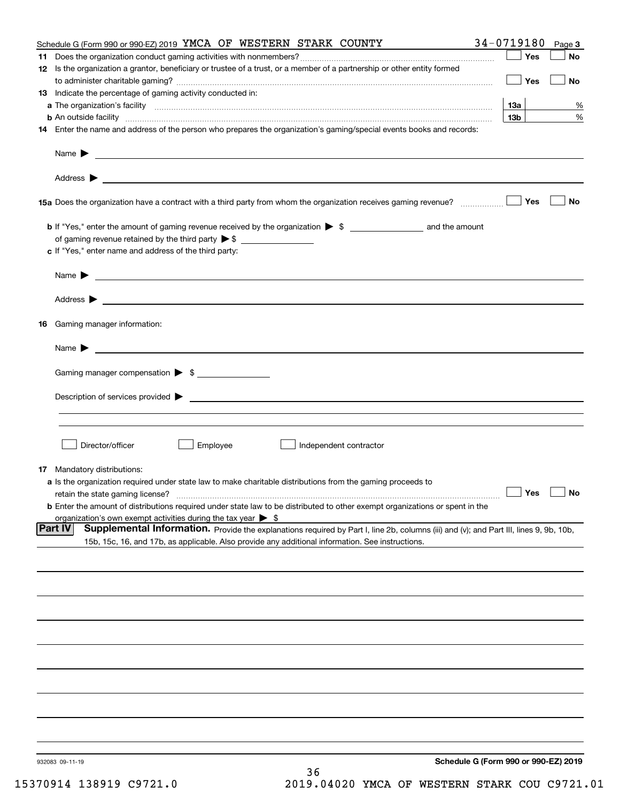|    | Schedule G (Form 990 or 990-EZ) 2019 YMCA OF WESTERN STARK COUNTY                                                                                             | 34-0719180      | Page 3    |
|----|---------------------------------------------------------------------------------------------------------------------------------------------------------------|-----------------|-----------|
| 11 |                                                                                                                                                               | Yes             | No        |
|    | 12 Is the organization a grantor, beneficiary or trustee of a trust, or a member of a partnership or other entity formed                                      |                 |           |
|    |                                                                                                                                                               | Yes             | No        |
|    | 13 Indicate the percentage of gaming activity conducted in:                                                                                                   |                 |           |
|    |                                                                                                                                                               | <u>13a</u>      | %         |
|    | <b>b</b> An outside facility <i>www.communicality www.communicality.communicality www.communicality www.communicality.communicality www.communicality.com</i> | 13 <sub>b</sub> | %         |
|    | 14 Enter the name and address of the person who prepares the organization's gaming/special events books and records:                                          |                 |           |
|    |                                                                                                                                                               |                 |           |
|    |                                                                                                                                                               |                 |           |
|    |                                                                                                                                                               |                 |           |
|    |                                                                                                                                                               |                 |           |
|    |                                                                                                                                                               |                 |           |
|    |                                                                                                                                                               | Yes             | <b>No</b> |
|    |                                                                                                                                                               |                 |           |
|    | b If "Yes," enter the amount of gaming revenue received by the organization > \$ ____________________ and the amount                                          |                 |           |
|    |                                                                                                                                                               |                 |           |
|    | c If "Yes," enter name and address of the third party:                                                                                                        |                 |           |
|    |                                                                                                                                                               |                 |           |
|    | Name $\blacktriangleright$ $\bot$                                                                                                                             |                 |           |
|    |                                                                                                                                                               |                 |           |
|    |                                                                                                                                                               |                 |           |
|    |                                                                                                                                                               |                 |           |
|    |                                                                                                                                                               |                 |           |
| 16 | Gaming manager information:                                                                                                                                   |                 |           |
|    |                                                                                                                                                               |                 |           |
|    | Name $\blacktriangleright$ $\frac{1}{\sqrt{1-\frac{1}{2}}\left(1-\frac{1}{2}\right)}$                                                                         |                 |           |
|    |                                                                                                                                                               |                 |           |
|    | Gaming manager compensation > \$                                                                                                                              |                 |           |
|    |                                                                                                                                                               |                 |           |
|    |                                                                                                                                                               |                 |           |
|    |                                                                                                                                                               |                 |           |
|    |                                                                                                                                                               |                 |           |
|    |                                                                                                                                                               |                 |           |
|    | Director/officer<br>Employee<br>Independent contractor                                                                                                        |                 |           |
|    |                                                                                                                                                               |                 |           |
|    | 17 Mandatory distributions:                                                                                                                                   |                 |           |
|    | a Is the organization required under state law to make charitable distributions from the gaming proceeds to                                                   |                 |           |
|    | $\Box$ Yes $\Box$ No<br>retain the state gaming license?                                                                                                      |                 |           |
|    | <b>b</b> Enter the amount of distributions required under state law to be distributed to other exempt organizations or spent in the                           |                 |           |
|    | organization's own exempt activities during the tax year $\triangleright$ \$                                                                                  |                 |           |
|    | Part IV<br>Supplemental Information. Provide the explanations required by Part I, line 2b, columns (iii) and (v); and Part III, lines 9, 9b, 10b,             |                 |           |
|    | 15b, 15c, 16, and 17b, as applicable. Also provide any additional information. See instructions.                                                              |                 |           |
|    |                                                                                                                                                               |                 |           |
|    |                                                                                                                                                               |                 |           |
|    |                                                                                                                                                               |                 |           |
|    |                                                                                                                                                               |                 |           |
|    |                                                                                                                                                               |                 |           |
|    |                                                                                                                                                               |                 |           |
|    |                                                                                                                                                               |                 |           |
|    |                                                                                                                                                               |                 |           |
|    |                                                                                                                                                               |                 |           |
|    |                                                                                                                                                               |                 |           |
|    |                                                                                                                                                               |                 |           |
|    |                                                                                                                                                               |                 |           |
|    |                                                                                                                                                               |                 |           |
|    |                                                                                                                                                               |                 |           |
|    |                                                                                                                                                               |                 |           |
|    |                                                                                                                                                               |                 |           |
|    |                                                                                                                                                               |                 |           |
|    |                                                                                                                                                               |                 |           |
|    | Schedule G (Form 990 or 990-EZ) 2019<br>932083 09-11-19                                                                                                       |                 |           |
|    | 36                                                                                                                                                            |                 |           |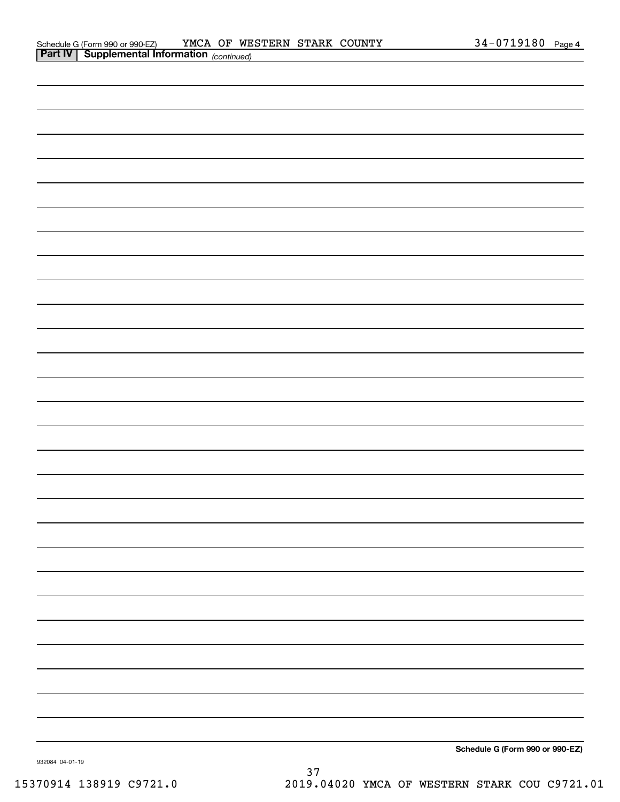| <b>Part IV   Supplemental Information</b> (continued) |
|-------------------------------------------------------|
|                                                       |
|                                                       |
|                                                       |
|                                                       |
|                                                       |
|                                                       |
|                                                       |
|                                                       |
|                                                       |
|                                                       |
|                                                       |
|                                                       |
|                                                       |
|                                                       |
|                                                       |
|                                                       |
|                                                       |
|                                                       |
|                                                       |
|                                                       |
|                                                       |
|                                                       |
|                                                       |
|                                                       |
|                                                       |
|                                                       |
|                                                       |
|                                                       |
| Schedule G (Form 990 or 990-EZ)                       |

932084 04-01-19

**Schedule G (F**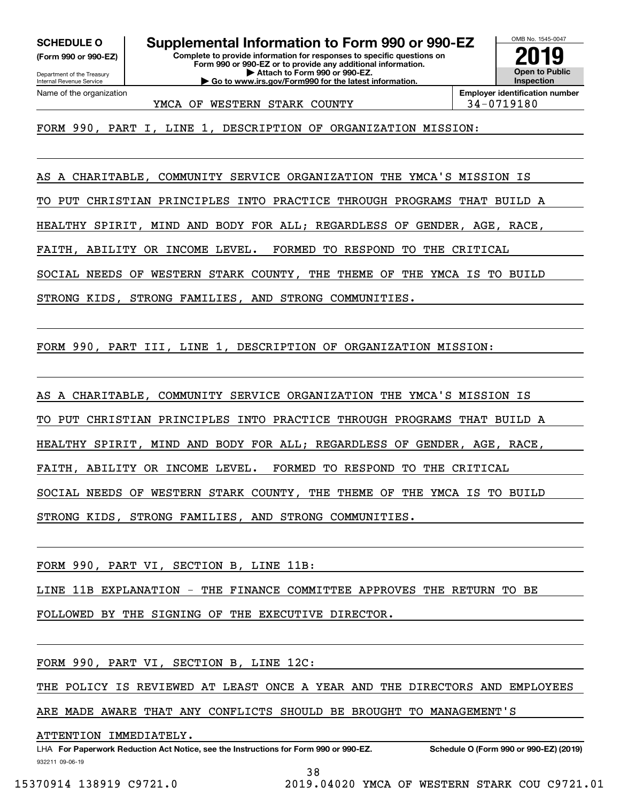**(Form 990 or 990-EZ)**

Department of the Treasury Internal Revenue Service Name of the organization

**SCHEDULE O Supplemental Information to Form 990 or 990-EZ**

**Complete to provide information for responses to specific questions on Form 990 or 990-EZ or to provide any additional information. | Attach to Form 990 or 990-EZ. | Go to www.irs.gov/Form990 for the latest information.**



YMCA OF WESTERN STARK COUNTY  $\vert$  34-0719180

FORM 990, PART I, LINE 1, DESCRIPTION OF ORGANIZATION MISSION:

AS A CHARITABLE, COMMUNITY SERVICE ORGANIZATION THE YMCA'S MISSION IS

TO PUT CHRISTIAN PRINCIPLES INTO PRACTICE THROUGH PROGRAMS THAT BUILD A

HEALTHY SPIRIT, MIND AND BODY FOR ALL; REGARDLESS OF GENDER, AGE, RACE,

FAITH, ABILITY OR INCOME LEVEL. FORMED TO RESPOND TO THE CRITICAL

SOCIAL NEEDS OF WESTERN STARK COUNTY, THE THEME OF THE YMCA IS TO BUILD

STRONG KIDS, STRONG FAMILIES, AND STRONG COMMUNITIES.

FORM 990, PART III, LINE 1, DESCRIPTION OF ORGANIZATION MISSION:

AS A CHARITABLE, COMMUNITY SERVICE ORGANIZATION THE YMCA'S MISSION IS TO PUT CHRISTIAN PRINCIPLES INTO PRACTICE THROUGH PROGRAMS THAT BUILD A HEALTHY SPIRIT, MIND AND BODY FOR ALL; REGARDLESS OF GENDER, AGE, RACE, FAITH, ABILITY OR INCOME LEVEL. FORMED TO RESPOND TO THE CRITICAL SOCIAL NEEDS OF WESTERN STARK COUNTY, THE THEME OF THE YMCA IS TO BUILD STRONG KIDS, STRONG FAMILIES, AND STRONG COMMUNITIES.

FORM 990, PART VI, SECTION B, LINE 11B:

LINE 11B EXPLANATION - THE FINANCE COMMITTEE APPROVES THE RETURN TO BE

FOLLOWED BY THE SIGNING OF THE EXECUTIVE DIRECTOR.

FORM 990, PART VI, SECTION B, LINE 12C:

THE POLICY IS REVIEWED AT LEAST ONCE A YEAR AND THE DIRECTORS AND EMPLOYEES

ARE MADE AWARE THAT ANY CONFLICTS SHOULD BE BROUGHT TO MANAGEMENT'S

ATTENTION IMMEDIATELY.

932211 09-06-19 LHA For Paperwork Reduction Act Notice, see the Instructions for Form 990 or 990-EZ. Schedule O (Form 990 or 990-EZ) (2019)

38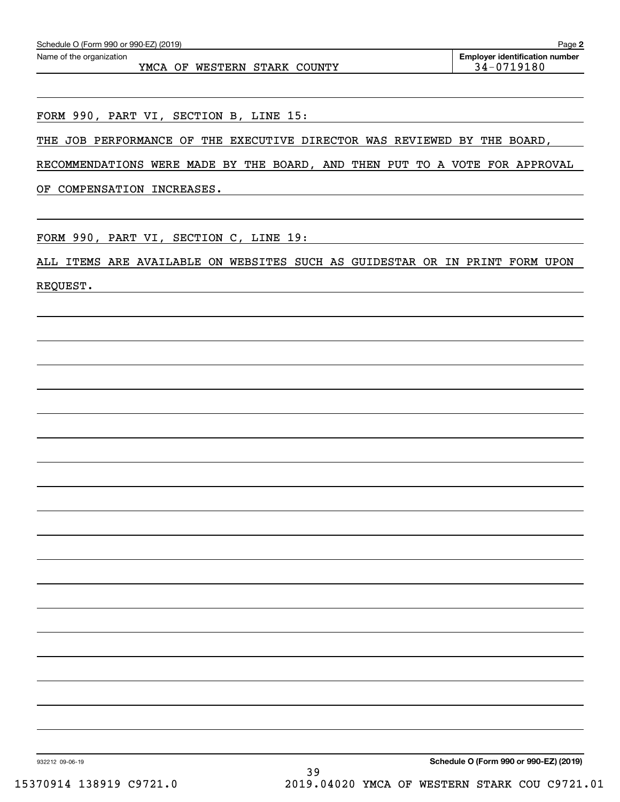YMCA OF WESTERN STARK COUNTY 1994-0719180

FORM 990, PART VI, SECTION B, LINE 15:

THE JOB PERFORMANCE OF THE EXECUTIVE DIRECTOR WAS REVIEWED BY THE BOARD,

RECOMMENDATIONS WERE MADE BY THE BOARD, AND THEN PUT TO A VOTE FOR APPROVAL

OF COMPENSATION INCREASES.

FORM 990, PART VI, SECTION C, LINE 19:

ALL ITEMS ARE AVAILABLE ON WEBSITES SUCH AS GUIDESTAR OR IN PRINT FORM UPON REQUEST.

932212 09-06-19